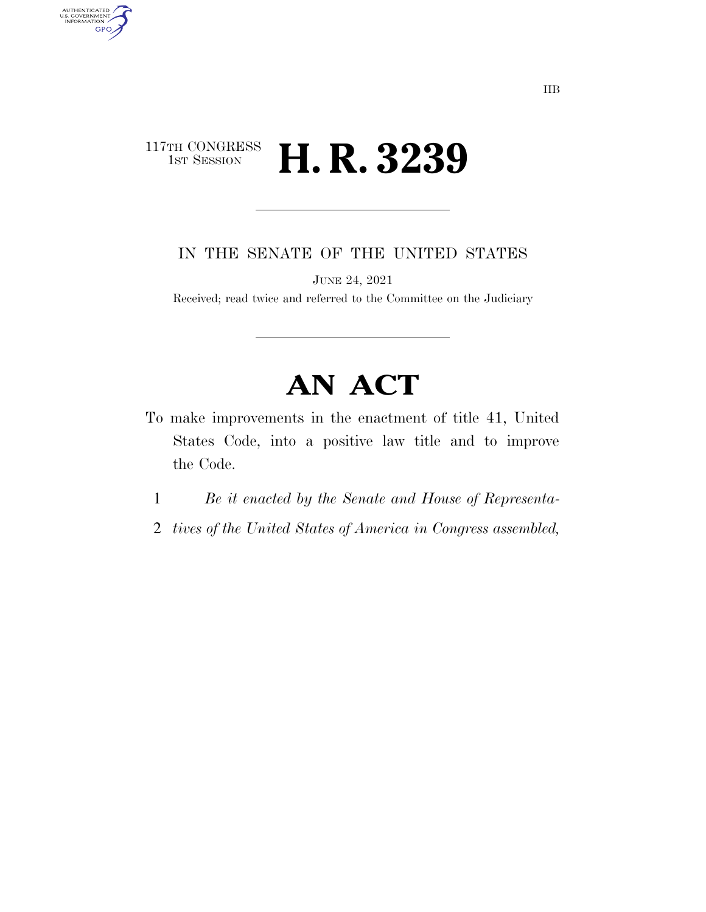# 117TH CONGRESS<br>1st Session H. R. 3239

AUTHENTICATED<br>U.S. GOVERNMENT<br>INFORMATION

**GPO** 

IN THE SENATE OF THE UNITED STATES

JUNE 24, 2021

Received; read twice and referred to the Committee on the Judiciary

# **AN ACT**

- To make improvements in the enactment of title 41, United States Code, into a positive law title and to improve the Code.
	- 1 *Be it enacted by the Senate and House of Representa-*
- 2 *tives of the United States of America in Congress assembled,*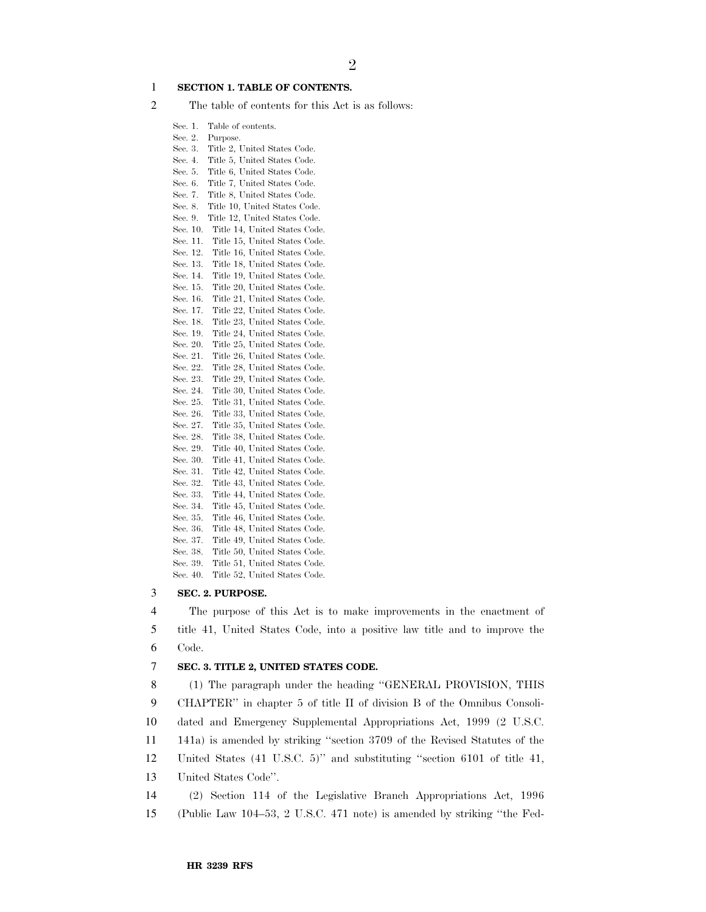#### 1 **SECTION 1. TABLE OF CONTENTS.**

- 2 The table of contents for this Act is as follows:
	- Sec. 1. Table of contents.
	- Sec. 2. Purpose.
	- Sec. 3. Title 2, United States Code. Sec. 4. Title 5, United States Code.
	- Sec. 5. Title 6, United States Code.
	- Sec. 6. Title 7, United States Code.
	- Sec. 7. Title 8, United States Code.
	- Sec. 8. Title 10, United States Code.
	- Sec. 9. Title 12, United States Code.
	- Sec. 10. Title 14, United States Code.
	- Sec. 11. Title 15, United States Code. Sec. 12. Title 16, United States Code.
	- Sec. 13. Title 18, United States Code.
	- Sec. 14. Title 19, United States Code.
	- Sec. 15. Title 20, United States Code.
	- Sec. 16. Title 21, United States Code.
	- Sec. 17. Title 22, United States Code. Sec. 18. Title 23, United States Code.
	- Sec. 19. Title 24, United States Code.
	- Sec. 20. Title 25, United States Code.
	- Sec. 21. Title 26, United States Code.
	- Sec. 22. Title 28, United States Code.
	- Sec. 23. Title 29, United States Code.
	- Sec. 24. Title 30, United States Code. Sec. 25. Title 31, United States Code.
	- Sec. 26. Title 33, United States Code.
	- Sec. 27. Title 35, United States Code. Sec. 28. Title 38, United States Code.
	- Sec. 29. Title 40, United States Code.
	- Sec. 30. Title 41, United States Code.
	- Sec. 31. Title 42, United States Code.
	- Sec. 32. Title 43, United States Code.
	- Sec. 33. Title 44, United States Code. Sec. 34. Title 45, United States Code.
	- Sec. 35. Title 46, United States Code.
	- Sec. 36. Title 48, United States Code.
	- Sec. 37. Title 49, United States Code.
	- Sec. 38. Title 50, United States Code.
	- Sec. 39. Title 51, United States Code.
	- Sec. 40. Title 52, United States Code.

#### 3 **SEC. 2. PURPOSE.**

4 The purpose of this Act is to make improvements in the enactment of 5 title 41, United States Code, into a positive law title and to improve the 6 Code.

#### 7 **SEC. 3. TITLE 2, UNITED STATES CODE.**

 (1) The paragraph under the heading ''GENERAL PROVISION, THIS CHAPTER'' in chapter 5 of title II of division B of the Omnibus Consoli- dated and Emergency Supplemental Appropriations Act, 1999 (2 U.S.C. 141a) is amended by striking ''section 3709 of the Revised Statutes of the United States (41 U.S.C. 5)'' and substituting ''section 6101 of title 41, United States Code''. (2) Section 114 of the Legislative Branch Appropriations Act, 1996 (Public Law 104–53, 2 U.S.C. 471 note) is amended by striking ''the Fed-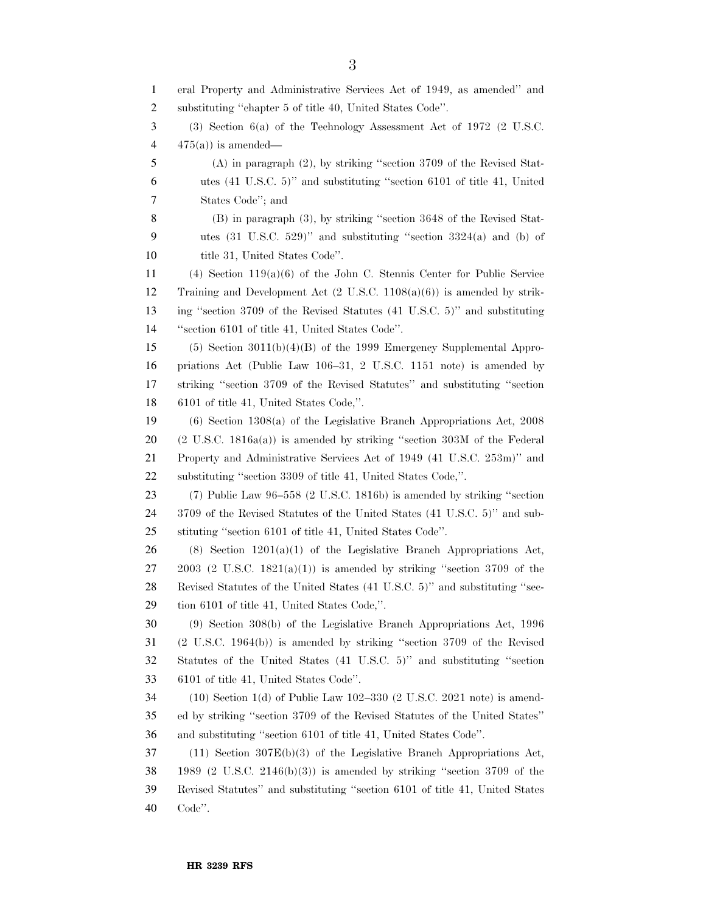eral Property and Administrative Services Act of 1949, as amended'' and substituting ''chapter 5 of title 40, United States Code''. (3) Section 6(a) of the Technology Assessment Act of 1972 (2 U.S.C.  $4 \times 475(a)$  is amended— (A) in paragraph (2), by striking ''section 3709 of the Revised Stat- utes (41 U.S.C. 5)'' and substituting ''section 6101 of title 41, United States Code''; and (B) in paragraph (3), by striking ''section 3648 of the Revised Stat- utes (31 U.S.C. 529)'' and substituting ''section 3324(a) and (b) of 10 title 31. United States Code". (4) Section 119(a)(6) of the John C. Stennis Center for Public Service Training and Development Act (2 U.S.C. 1108(a)(6)) is amended by strik- ing ''section 3709 of the Revised Statutes (41 U.S.C. 5)'' and substituting ''section 6101 of title 41, United States Code''. (5) Section 3011(b)(4)(B) of the 1999 Emergency Supplemental Appro- priations Act (Public Law 106–31, 2 U.S.C. 1151 note) is amended by striking ''section 3709 of the Revised Statutes'' and substituting ''section 6101 of title 41, United States Code,''. (6) Section 1308(a) of the Legislative Branch Appropriations Act, 2008 (2 U.S.C. 1816a(a)) is amended by striking ''section 303M of the Federal Property and Administrative Services Act of 1949 (41 U.S.C. 253m)'' and substituting ''section 3309 of title 41, United States Code,''. (7) Public Law 96–558 (2 U.S.C. 1816b) is amended by striking ''section 3709 of the Revised Statutes of the United States (41 U.S.C. 5)'' and sub- stituting ''section 6101 of title 41, United States Code''. 26 (8) Section  $1201(a)(1)$  of the Legislative Branch Appropriations Act, 2003 (2 U.S.C. 1821(a)(1)) is amended by striking "section 3709 of the Revised Statutes of the United States (41 U.S.C. 5)'' and substituting ''sec- tion 6101 of title 41, United States Code,''. (9) Section 308(b) of the Legislative Branch Appropriations Act, 1996 (2 U.S.C. 1964(b)) is amended by striking ''section 3709 of the Revised Statutes of the United States (41 U.S.C. 5)'' and substituting ''section 6101 of title 41, United States Code''. (10) Section 1(d) of Public Law 102–330 (2 U.S.C. 2021 note) is amend- ed by striking ''section 3709 of the Revised Statutes of the United States'' and substituting ''section 6101 of title 41, United States Code''. (11) Section 307E(b)(3) of the Legislative Branch Appropriations Act, 1989 (2 U.S.C. 2146(b)(3)) is amended by striking ''section 3709 of the Revised Statutes'' and substituting ''section 6101 of title 41, United States Code''.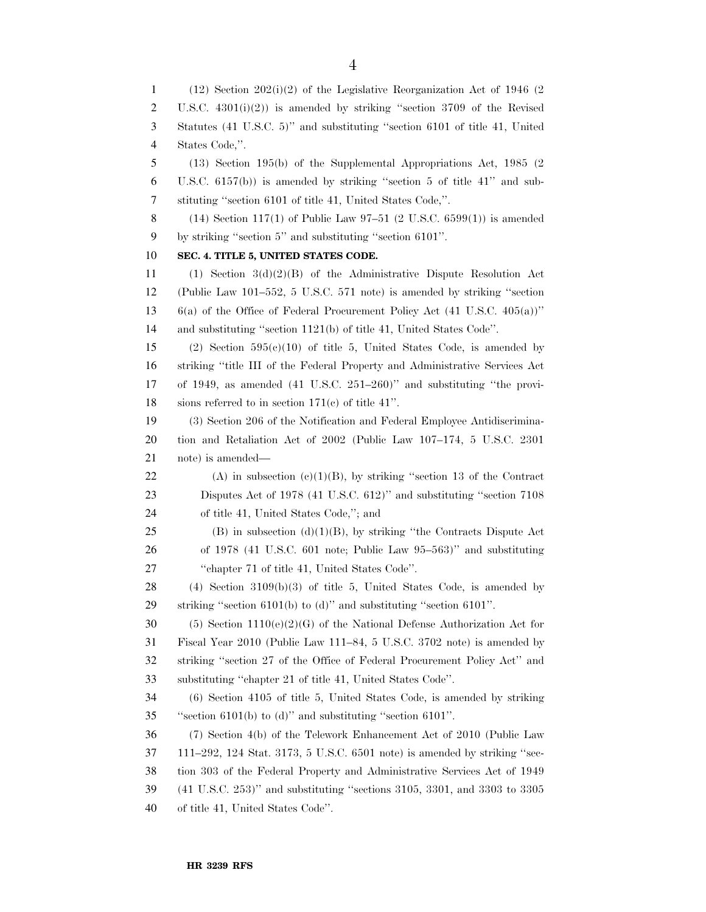(12) Section 202(i)(2) of the Legislative Reorganization Act of 1946 (2 U.S.C. 4301(i)(2)) is amended by striking ''section 3709 of the Revised Statutes (41 U.S.C. 5)'' and substituting ''section 6101 of title 41, United States Code,''. (13) Section 195(b) of the Supplemental Appropriations Act, 1985 (2 U.S.C. 6157(b)) is amended by striking ''section 5 of title 41'' and sub- stituting ''section 6101 of title 41, United States Code,''. 8 (14) Section 117(1) of Public Law  $97-51$  (2 U.S.C. 6599(1)) is amended by striking ''section 5'' and substituting ''section 6101''. **SEC. 4. TITLE 5, UNITED STATES CODE.**  (1) Section 3(d)(2)(B) of the Administrative Dispute Resolution Act (Public Law 101–552, 5 U.S.C. 571 note) is amended by striking ''section 6(a) of the Office of Federal Procurement Policy Act (41 U.S.C. 405(a))'' and substituting ''section 1121(b) of title 41, United States Code''. (2) Section 595(c)(10) of title 5, United States Code, is amended by striking ''title III of the Federal Property and Administrative Services Act of 1949, as amended (41 U.S.C. 251–260)'' and substituting ''the provi- sions referred to in section 171(c) of title 41''. (3) Section 206 of the Notification and Federal Employee Antidiscrimina- tion and Retaliation Act of 2002 (Public Law 107–174, 5 U.S.C. 2301 note) is amended— 22 (A) in subsection  $(c)(1)(B)$ , by striking "section 13 of the Contract Disputes Act of 1978 (41 U.S.C. 612)'' and substituting ''section 7108 of title 41, United States Code,''; and 25 (B) in subsection  $(d)(1)(B)$ , by striking "the Contracts Dispute Act of 1978 (41 U.S.C. 601 note; Public Law 95–563)'' and substituting ''chapter 71 of title 41, United States Code''. (4) Section 3109(b)(3) of title 5, United States Code, is amended by striking ''section 6101(b) to (d)'' and substituting ''section 6101''. 30 (5) Section  $1110(e)(2)(G)$  of the National Defense Authorization Act for Fiscal Year 2010 (Public Law 111–84, 5 U.S.C. 3702 note) is amended by striking ''section 27 of the Office of Federal Procurement Policy Act'' and substituting ''chapter 21 of title 41, United States Code''. (6) Section 4105 of title 5, United States Code, is amended by striking ''section 6101(b) to (d)'' and substituting ''section 6101''. (7) Section 4(b) of the Telework Enhancement Act of 2010 (Public Law 111–292, 124 Stat. 3173, 5 U.S.C. 6501 note) is amended by striking ''sec- tion 303 of the Federal Property and Administrative Services Act of 1949 (41 U.S.C. 253)'' and substituting ''sections 3105, 3301, and 3303 to 3305 of title 41, United States Code''.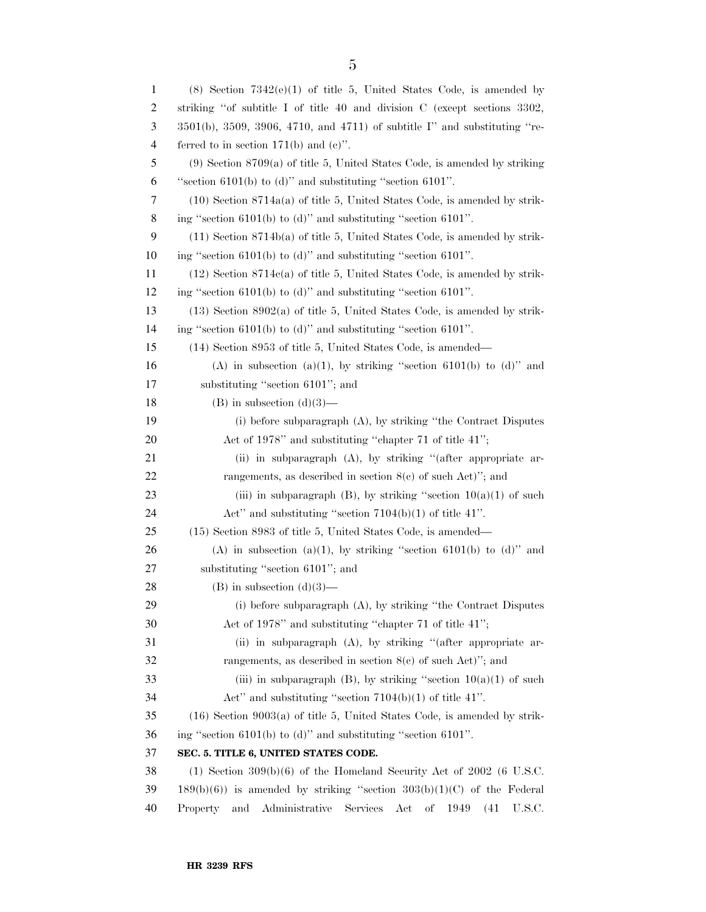| $\mathbf{1}$ | $(8)$ Section $7342(e)(1)$ of title 5, United States Code, is amended by                 |
|--------------|------------------------------------------------------------------------------------------|
| 2            | striking "of subtitle I of title 40 and division C (except sections 3302,                |
| 3            | $3501(b)$ , $3509$ , $3906$ , $4710$ , and $4711$ ) of subtitle I" and substituting "re- |
| 4            | ferred to in section 171(b) and $(e)$ .                                                  |
| 5            | $(9)$ Section 8709(a) of title 5, United States Code, is amended by striking             |
| 6            | "section $6101(b)$ to (d)" and substituting "section $6101$ ".                           |
| 7            | $(10)$ Section 8714a(a) of title 5, United States Code, is amended by strik-             |
| 8            | ing "section $6101(b)$ to (d)" and substituting "section $6101$ ".                       |
| 9            | $(11)$ Section 8714b(a) of title 5, United States Code, is amended by strik-             |
| 10           | ing "section $6101(b)$ to (d)" and substituting "section $6101$ ".                       |
| 11           | $(12)$ Section 8714 $e$ (a) of title 5, United States Code, is amended by strik-         |
| 12           | ing "section $6101(b)$ to (d)" and substituting "section $6101$ ".                       |
| 13           | $(13)$ Section 8902(a) of title 5, United States Code, is amended by strik-              |
| 14           | ing "section $6101(b)$ to (d)" and substituting "section $6101$ ".                       |
| 15           | (14) Section 8953 of title 5, United States Code, is amended—                            |
| 16           | (A) in subsection (a)(1), by striking "section 6101(b) to (d)" and                       |
| 17           | substituting "section 6101"; and                                                         |
| 18           | $(B)$ in subsection $(d)(3)$ —                                                           |
| 19           | (i) before subparagraph (A), by striking "the Contract Disputes                          |
| 20           | Act of 1978" and substituting "chapter 71 of title 41";                                  |
| 21           | (ii) in subparagraph (A), by striking "(after appropriate ar-                            |
| 22           | rangements, as described in section $8(e)$ of such Act)"; and                            |
| 23           | (iii) in subparagraph (B), by striking "section $10(a)(1)$ of such                       |
| 24           | Act" and substituting "section $7104(b)(1)$ of title 41".                                |
| 25           | (15) Section 8983 of title 5, United States Code, is amended—                            |
| 26           | (A) in subsection (a)(1), by striking "section 6101(b) to (d)" and                       |
| 27           | substituting "section 6101"; and                                                         |
| 28           | $(B)$ in subsection $(d)(3)$ —                                                           |
| 29           | (i) before subparagraph (A), by striking "the Contract Disputes                          |
| 30           | Act of 1978" and substituting "chapter 71 of title 41";                                  |
| 31           | (ii) in subparagraph (A), by striking "(after appropriate ar-                            |
| 32           | rangements, as described in section $8(e)$ of such Act)"; and                            |
| 33           | (iii) in subparagraph (B), by striking "section $10(a)(1)$ of such                       |
| 34           | Act" and substituting "section $7104(b)(1)$ of title 41".                                |
| 35           | $(16)$ Section 9003(a) of title 5, United States Code, is amended by strik-              |
| 36           | ing "section $6101(b)$ to (d)" and substituting "section $6101$ ".                       |
| 37           | SEC. 5. TITLE 6, UNITED STATES CODE.                                                     |
| 38           | $(1)$ Section 309(b)(6) of the Homeland Security Act of 2002 (6 U.S.C.                   |
| 39           | $189(b)(6)$ ) is amended by striking "section $303(b)(1)(C)$ of the Federal              |
| 40           | Property<br>and<br>Administrative<br>Services<br>Act<br>οf<br>1949<br>U.S.C.<br>(41)     |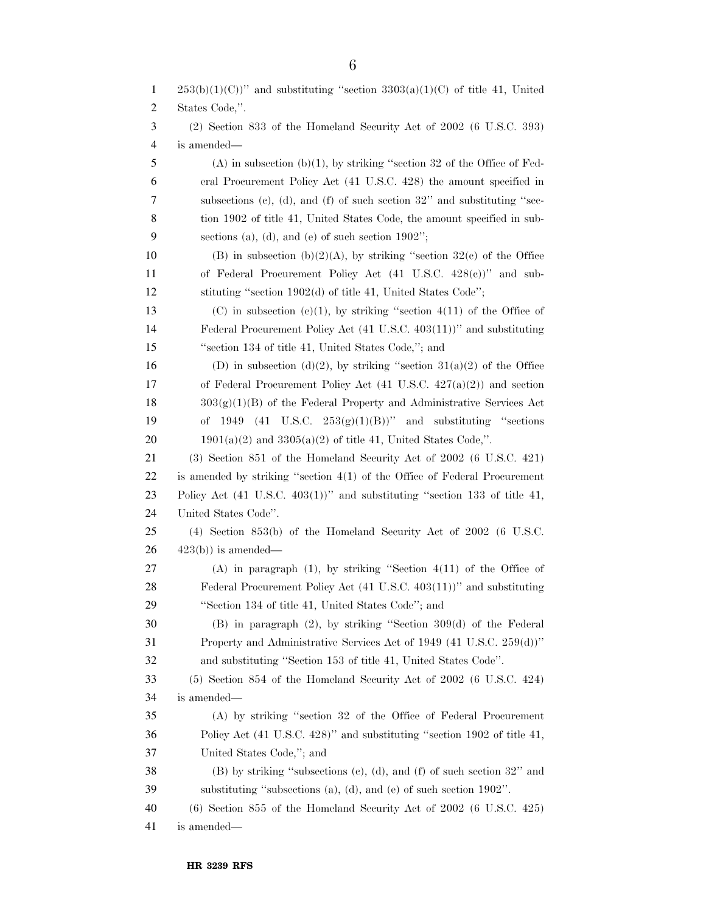| $\mathbf{1}$   | $253(b)(1)(C)$ " and substituting "section $3303(a)(1)(C)$ of title 41, United        |
|----------------|---------------------------------------------------------------------------------------|
| 2              | States Code,".                                                                        |
| 3              | $(2)$ Section 833 of the Homeland Security Act of 2002 (6 U.S.C. 393)                 |
| $\overline{4}$ | is amended—                                                                           |
| 5              | $(A)$ in subsection $(b)(1)$ , by striking "section 32 of the Office of Fed-          |
| 6              | eral Procurement Policy Act (41 U.S.C. 428) the amount specified in                   |
| 7              | subsections (c), (d), and (f) of such section $32$ " and substituting "sec-           |
| 8              | tion 1902 of title 41, United States Code, the amount specified in sub-               |
| 9              | sections (a), (d), and (e) of such section $1902$ ";                                  |
| 10             | (B) in subsection (b)(2)(A), by striking "section $32(e)$ of the Office               |
| 11             | of Federal Procurement Policy Act (41 U.S.C. 428(c))" and sub-                        |
| 12             | stituting "section 1902(d) of title 41, United States Code";                          |
| 13             | (C) in subsection (e)(1), by striking "section 4(11) of the Office of                 |
| 14             | Federal Procurement Policy Act (41 U.S.C. 403(11))" and substituting                  |
| 15             | "section 134 of title 41, United States Code,"; and                                   |
| 16             | (D) in subsection (d)(2), by striking "section $31(a)(2)$ of the Office               |
| 17             | of Federal Procurement Policy Act $(41 \text{ U.S.C. } 427(a)(2))$ and section        |
| 18             | $303(g)(1)(B)$ of the Federal Property and Administrative Services Act                |
| 19             | 1949 (41 U.S.C. $253(g)(1)(B)$ )" and substituting "sections"<br>of                   |
| 20             | $1901(a)(2)$ and $3305(a)(2)$ of title 41, United States Code,".                      |
| 21             | (3) Section 851 of the Homeland Security Act of 2002 (6 U.S.C. 421)                   |
| 22             | is amended by striking "section $4(1)$ of the Office of Federal Procurement           |
| 23             | Policy Act $(41 \text{ U.S.C. } 403(1))$ " and substituting "section 133 of title 41, |
| 24             | United States Code".                                                                  |
| 25             | $(4)$ Section 853(b) of the Homeland Security Act of 2002 (6 U.S.C.                   |
| 26             | $423(b)$ ) is amended—                                                                |
| 27             | $(A)$ in paragraph $(1)$ , by striking "Section $4(11)$ of the Office of              |
| 28             | Federal Procurement Policy Act (41 U.S.C. 403(11))" and substituting                  |
| 29             | "Section 134 of title 41, United States Code"; and                                    |
| 30             | $(B)$ in paragraph $(2)$ , by striking "Section 309 $(d)$ of the Federal              |
| 31             | Property and Administrative Services Act of 1949 (41 U.S.C. 259(d))"                  |
| 32             | and substituting "Section 153 of title 41, United States Code".                       |
| 33             | $(5)$ Section 854 of the Homeland Security Act of 2002 (6 U.S.C. 424)                 |
| 34             | is amended—                                                                           |
| 35             | (A) by striking "section 32 of the Office of Federal Procurement                      |
| 36             | Policy Act (41 U.S.C. 428)" and substituting "section 1902 of title 41,               |
| 37             | United States Code,"; and                                                             |
| 38             | (B) by striking "subsections (c), (d), and (f) of such section 32" and                |
| 39             | substituting "subsections (a), (d), and (e) of such section $1902$ ".                 |
| 40             | $(6)$ Section 855 of the Homeland Security Act of 2002 $(6 \text{ U.S.C. } 425)$      |
| 41             | is amended—                                                                           |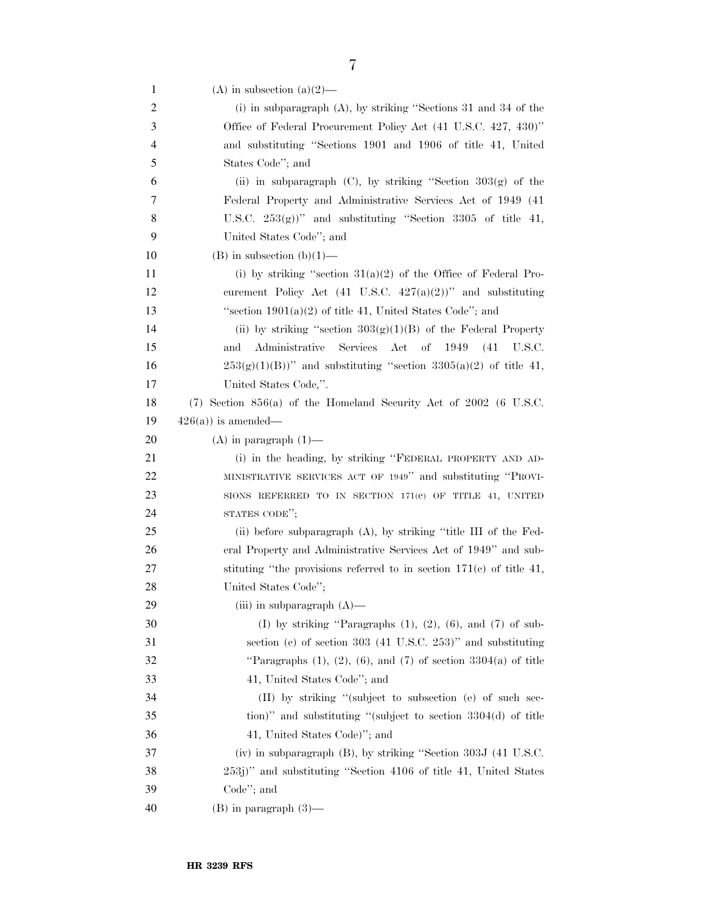| $\mathbf{1}$   | (A) in subsection (a) $(2)$ —                                                |
|----------------|------------------------------------------------------------------------------|
| $\overline{c}$ | (i) in subparagraph $(A)$ , by striking "Sections 31 and 34 of the           |
| $\mathfrak{Z}$ | Office of Federal Procurement Policy Act (41 U.S.C. 427, 430)"               |
| 4              | and substituting "Sections 1901 and 1906 of title 41, United                 |
| 5              | States Code"; and                                                            |
| 6              | (ii) in subparagraph $(C)$ , by striking "Section 303 $(g)$ of the           |
| 7              | Federal Property and Administrative Services Act of 1949 (41)                |
| 8              | U.S.C. $253(g)$ " and substituting "Section 3305 of title 41,                |
| 9              | United States Code"; and                                                     |
| 10             | $(B)$ in subsection $(b)(1)$ —                                               |
| 11             | (i) by striking "section $31(a)(2)$ of the Office of Federal Pro-            |
| 12             | curement Policy Act (41 U.S.C. $427(a)(2)$ )" and substituting               |
| 13             | "section $1901(a)(2)$ of title 41, United States Code"; and                  |
| 14             | (ii) by striking "section $303(g)(1)(B)$ of the Federal Property             |
| 15             | Services<br>of<br>and<br>Administrative<br>Act<br>1949<br>(41)<br>U.S.C.     |
| 16             | $253(g)(1)(B)$ " and substituting "section $3305(a)(2)$ of title 41,         |
| 17             | United States Code,".                                                        |
| 18             | $(7)$ Section 856(a) of the Homeland Security Act of 2002 (6 U.S.C.          |
| 19             | $426(a)$ is amended—                                                         |
| 20             | $(A)$ in paragraph $(1)$ —                                                   |
| 21             | (i) in the heading, by striking "FEDERAL PROPERTY AND AD-                    |
| 22             | MINISTRATIVE SERVICES ACT OF 1949" and substituting "PROVI-                  |
| 23             | SIONS REFERRED TO IN SECTION 171(c) OF TITLE 41, UNITED                      |
| 24             | STATES CODE";                                                                |
| 25             | (ii) before subparagraph $(A)$ , by striking "title III of the Fed-          |
| 26             | eral Property and Administrative Services Act of 1949" and sub-              |
| 27             | stituting "the provisions referred to in section $171(c)$ of title 41,       |
| 28             | United States Code";                                                         |
| 29             | (iii) in subparagraph $(A)$ —                                                |
| 30             | (I) by striking "Paragraphs $(1)$ , $(2)$ , $(6)$ , and $(7)$ of sub-        |
| 31             | section (c) of section $303$ (41 U.S.C. $253$ )" and substituting            |
| 32             | "Paragraphs $(1)$ , $(2)$ , $(6)$ , and $(7)$ of section $3304(a)$ of title  |
| 33             | 41, United States Code"; and                                                 |
| 34             | (II) by striking "(subject to subsection (e) of such sec-                    |
| 35             | tion)" and substituting "(subject to section 3304(d) of title                |
| 36             | 41, United States Code)"; and                                                |
| 37             | (iv) in subparagraph $(B)$ , by striking "Section 303J $(41 \text{ U.S.C.})$ |
| 38             | 253j)" and substituting "Section 4106 of title 41, United States             |
| 39             | Code"; and                                                                   |
| 40             | $(B)$ in paragraph $(3)$ —                                                   |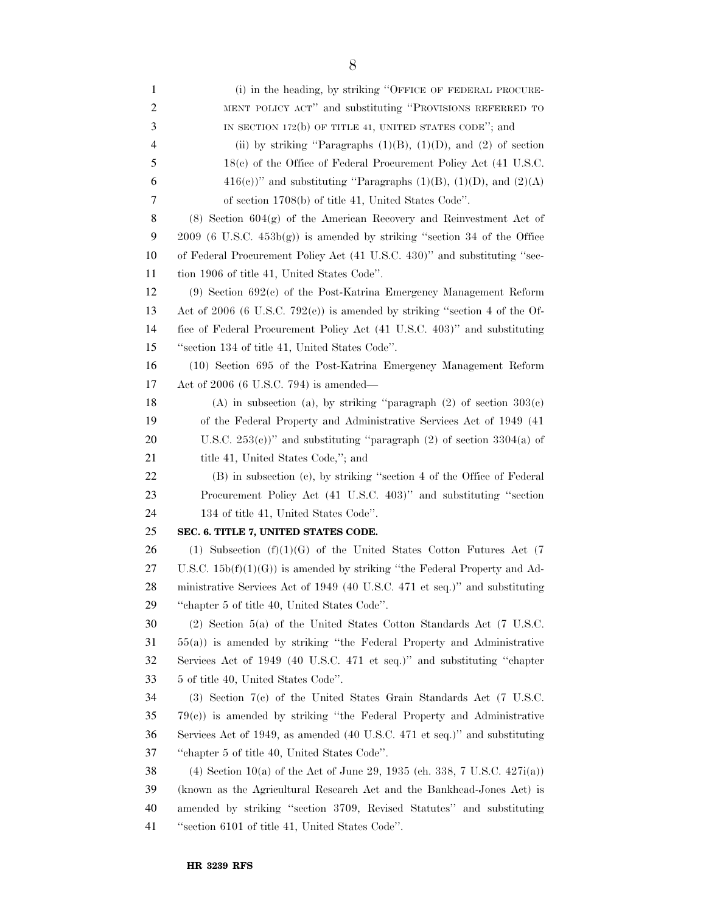| $\mathbf{1}$ | (i) in the heading, by striking "OFFICE OF FEDERAL PROCURE-                        |
|--------------|------------------------------------------------------------------------------------|
| 2            | MENT POLICY ACT" and substituting "PROVISIONS REFERRED TO                          |
| 3            | IN SECTION 172 $(b)$ OF TITLE 41, UNITED STATES CODE"; and                         |
| 4            | (ii) by striking "Paragraphs $(1)(B)$ , $(1)(D)$ , and $(2)$ of section            |
| 5            | 18(c) of the Office of Federal Procurement Policy Act (41 U.S.C.                   |
| 6            | $416(e)$ " and substituting "Paragraphs (1)(B), (1)(D), and (2)(A)                 |
| 7            | of section 1708(b) of title 41, United States Code".                               |
| 8            | $(8)$ Section $604(g)$ of the American Recovery and Reinvestment Act of            |
| 9            | $2009$ (6 U.S.C. $453b(g)$ ) is amended by striking "section 34 of the Office      |
| 10           | of Federal Procurement Policy Act (41 U.S.C. 430)" and substituting "sec-          |
| 11           | tion 1906 of title 41, United States Code".                                        |
| 12           | $(9)$ Section 692 $(c)$ of the Post-Katrina Emergency Management Reform            |
| 13           | Act of 2006 (6 U.S.C. 792 $(c)$ ) is amended by striking "section 4 of the Of-     |
| 14           | fice of Federal Procurement Policy Act (41 U.S.C. 403)" and substituting           |
| 15           | "section 134 of title 41, United States Code".                                     |
| 16           | (10) Section 695 of the Post-Katrina Emergency Management Reform                   |
| 17           | Act of $2006$ (6 U.S.C. 794) is amended—                                           |
| 18           | (A) in subsection (a), by striking "paragraph $(2)$ of section $303(c)$            |
| 19           | of the Federal Property and Administrative Services Act of 1949 (41)               |
| 20           | U.S.C. $253(e)$ " and substituting "paragraph (2) of section $3304(a)$ of          |
| 21           | title 41, United States Code,"; and                                                |
| 22           | (B) in subsection (c), by striking "section 4 of the Office of Federal             |
| 23           | Procurement Policy Act (41 U.S.C. 403)" and substituting "section                  |
| 24           | 134 of title 41, United States Code".                                              |
| 25           | SEC. 6. TITLE 7, UNITED STATES CODE.                                               |
| 26           | (1) Subsection $(f)(1)(G)$ of the United States Cotton Futures Act (7)             |
| 27           | U.S.C. $15b(f)(1)(G)$ is amended by striking "the Federal Property and Ad-         |
| 28           | ministrative Services Act of 1949 (40 U.S.C. 471 et seq.)" and substituting        |
| 29           | "chapter 5 of title 40, United States Code".                                       |
| 30           | $(2)$ Section 5(a) of the United States Cotton Standards Act (7 U.S.C.             |
| 31           | $55(a)$ ) is amended by striking "the Federal Property and Administrative          |
| 32           | Services Act of 1949 (40 U.S.C. 471 et seq.)" and substituting "chapter            |
| 33           | 5 of title 40, United States Code".                                                |
| 34           | $(3)$ Section $7(c)$ of the United States Grain Standards Act $(7 \text{ U.S.C.})$ |
| 35           | $79(c)$ ) is amended by striking "the Federal Property and Administrative          |
| 36           | Services Act of 1949, as amended (40 U.S.C. 471 et seq.)" and substituting         |
| 37           | "chapter 5 of title 40, United States Code".                                       |
| 38           | (4) Section 10(a) of the Act of June 29, 1935 (ch. 338, 7 U.S.C. $427i(a)$ )       |
| 39           | (known as the Agricultural Research Act and the Bankhead-Jones Act) is             |
| 40           | amended by striking "section 3709, Revised Statutes" and substituting              |
| 41           | "section 6101 of title 41, United States Code".                                    |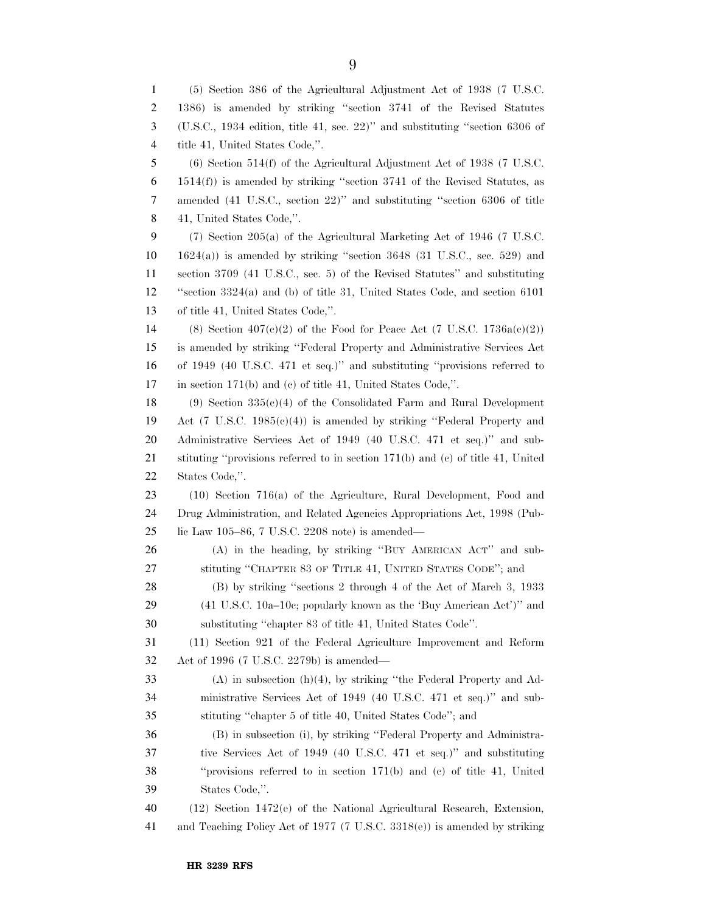(5) Section 386 of the Agricultural Adjustment Act of 1938 (7 U.S.C. 1386) is amended by striking ''section 3741 of the Revised Statutes (U.S.C., 1934 edition, title 41, sec. 22)'' and substituting ''section 6306 of title 41, United States Code,''. (6) Section 514(f) of the Agricultural Adjustment Act of 1938 (7 U.S.C. 1514(f)) is amended by striking ''section 3741 of the Revised Statutes, as amended (41 U.S.C., section 22)'' and substituting ''section 6306 of title 41, United States Code,''. (7) Section 205(a) of the Agricultural Marketing Act of 1946 (7 U.S.C. 1624(a)) is amended by striking ''section 3648 (31 U.S.C., sec. 529) and section 3709 (41 U.S.C., sec. 5) of the Revised Statutes'' and substituting ''section 3324(a) and (b) of title 31, United States Code, and section 6101 of title 41, United States Code,''. 14 (8) Section  $407(c)(2)$  of the Food for Peace Act (7 U.S.C. 1736a(c)(2)) is amended by striking ''Federal Property and Administrative Services Act of 1949 (40 U.S.C. 471 et seq.)'' and substituting ''provisions referred to in section 171(b) and (c) of title 41, United States Code,''. 18 (9) Section  $335(e)(4)$  of the Consolidated Farm and Rural Development Act (7 U.S.C. 1985(c)(4)) is amended by striking ''Federal Property and Administrative Services Act of 1949 (40 U.S.C. 471 et seq.)'' and sub- stituting ''provisions referred to in section 171(b) and (c) of title 41, United States Code,''. (10) Section 716(a) of the Agriculture, Rural Development, Food and Drug Administration, and Related Agencies Appropriations Act, 1998 (Pub- lic Law 105–86, 7 U.S.C. 2208 note) is amended— (A) in the heading, by striking ''BUY AMERICAN ACT'' and sub- stituting ''CHAPTER 83 OF TITLE 41, UNITED STATES CODE''; and (B) by striking ''sections 2 through 4 of the Act of March 3, 1933 (41 U.S.C. 10a–10c; popularly known as the 'Buy American Act')'' and substituting ''chapter 83 of title 41, United States Code''. (11) Section 921 of the Federal Agriculture Improvement and Reform Act of 1996 (7 U.S.C. 2279b) is amended— (A) in subsection (h)(4), by striking ''the Federal Property and Ad- ministrative Services Act of 1949 (40 U.S.C. 471 et seq.)'' and sub- stituting ''chapter 5 of title 40, United States Code''; and (B) in subsection (i), by striking ''Federal Property and Administra- tive Services Act of 1949 (40 U.S.C. 471 et seq.)'' and substituting ''provisions referred to in section 171(b) and (c) of title 41, United States Code,''. (12) Section 1472(e) of the National Agricultural Research, Extension, and Teaching Policy Act of 1977 (7 U.S.C. 3318(e)) is amended by striking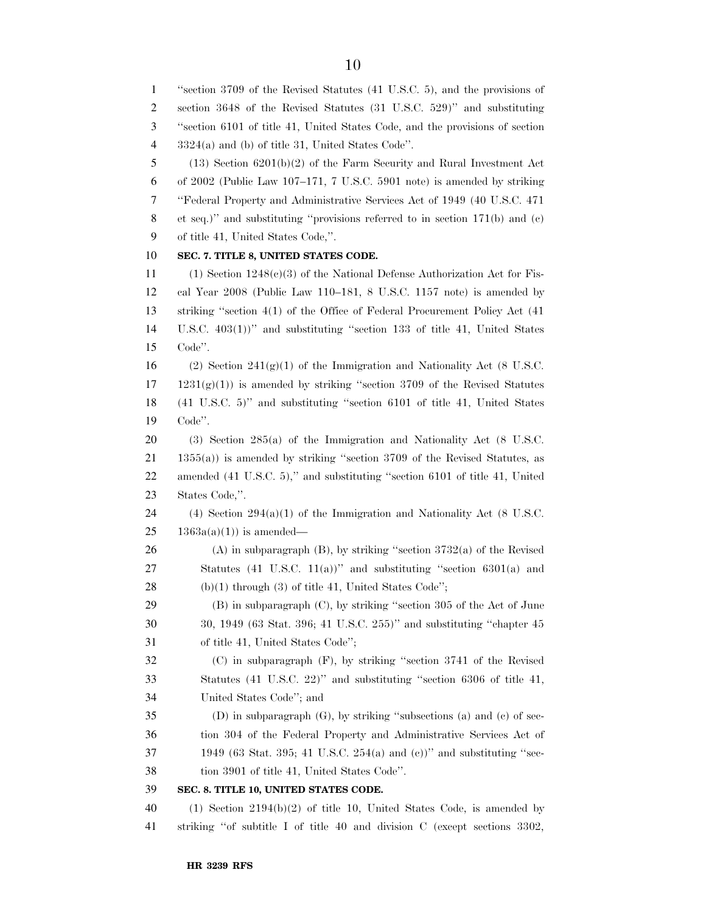''section 3709 of the Revised Statutes (41 U.S.C. 5), and the provisions of section 3648 of the Revised Statutes (31 U.S.C. 529)'' and substituting ''section 6101 of title 41, United States Code, and the provisions of section 3324(a) and (b) of title 31, United States Code''. (13) Section 6201(b)(2) of the Farm Security and Rural Investment Act of 2002 (Public Law 107–171, 7 U.S.C. 5901 note) is amended by striking ''Federal Property and Administrative Services Act of 1949 (40 U.S.C. 471 et seq.)'' and substituting ''provisions referred to in section 171(b) and (c) of title 41, United States Code,''. **SEC. 7. TITLE 8, UNITED STATES CODE.**  (1) Section 1248(c)(3) of the National Defense Authorization Act for Fis- cal Year 2008 (Public Law 110–181, 8 U.S.C. 1157 note) is amended by striking ''section 4(1) of the Office of Federal Procurement Policy Act (41 U.S.C. 403(1))'' and substituting ''section 133 of title 41, United States Code''. 16 (2) Section 241 $(g)(1)$  of the Immigration and Nationality Act (8 U.S.C.  $17 \quad 1231(g)(1)$  is amended by striking "section 3709 of the Revised Statutes (41 U.S.C. 5)'' and substituting ''section 6101 of title 41, United States Code''. (3) Section 285(a) of the Immigration and Nationality Act (8 U.S.C. 1355(a)) is amended by striking ''section 3709 of the Revised Statutes, as amended (41 U.S.C. 5),'' and substituting ''section 6101 of title 41, United States Code,''. 24 (4) Section  $294(a)(1)$  of the Immigration and Nationality Act (8 U.S.C.  $25 \t 1363a(a)(1)$  is amended— 26 (A) in subparagraph (B), by striking "section  $3732(a)$  of the Revised Statutes (41 U.S.C. 11(a))'' and substituting ''section 6301(a) and 28 (b)(1) through (3) of title 41, United States Code"; (B) in subparagraph (C), by striking ''section 305 of the Act of June 30, 1949 (63 Stat. 396; 41 U.S.C. 255)'' and substituting ''chapter 45 of title 41, United States Code''; (C) in subparagraph (F), by striking ''section 3741 of the Revised Statutes (41 U.S.C. 22)'' and substituting ''section 6306 of title 41, United States Code''; and (D) in subparagraph (G), by striking ''subsections (a) and (c) of sec- tion 304 of the Federal Property and Administrative Services Act of 1949 (63 Stat. 395; 41 U.S.C. 254(a) and (c))'' and substituting ''sec- tion 3901 of title 41, United States Code''. **SEC. 8. TITLE 10, UNITED STATES CODE.**  (1) Section 2194(b)(2) of title 10, United States Code, is amended by striking ''of subtitle I of title 40 and division C (except sections 3302,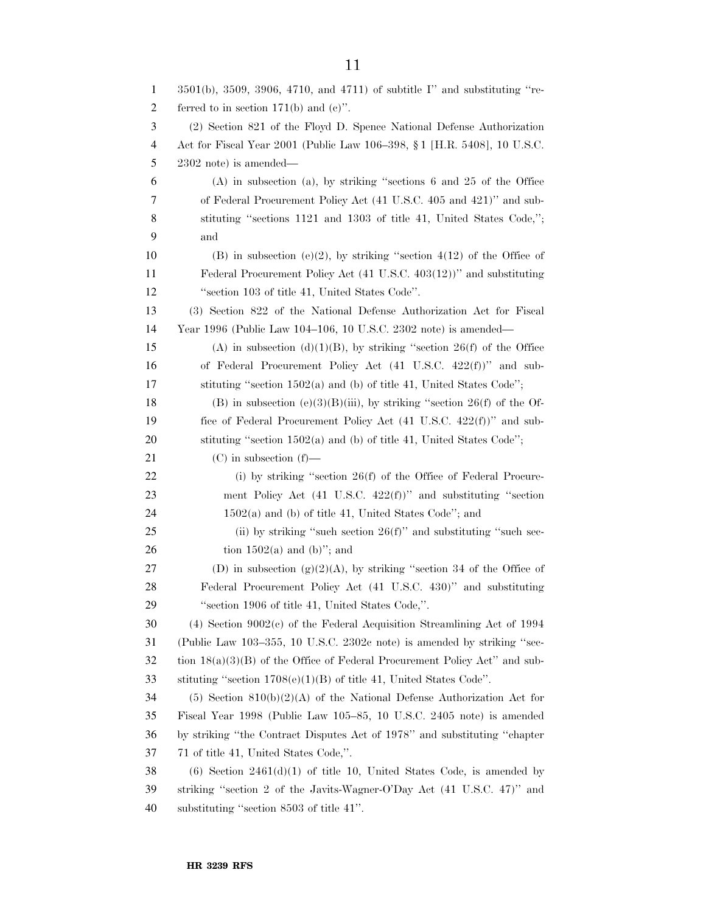| $\mathbf{1}$   | 3501(b), 3509, 3906, 4710, and 4711) of subtitle I" and substituting "re-       |
|----------------|---------------------------------------------------------------------------------|
| $\overline{c}$ | ferred to in section $171(b)$ and $(c)$ ".                                      |
| 3              | (2) Section 821 of the Floyd D. Spence National Defense Authorization           |
| $\overline{4}$ | Act for Fiscal Year 2001 (Public Law 106–398, § 1 [H.R. 5408], 10 U.S.C.        |
| 5              | $2302$ note) is amended—                                                        |
| 6              | $(A)$ in subsection $(a)$ , by striking "sections 6 and 25 of the Office        |
| 7              | of Federal Procurement Policy Act (41 U.S.C. 405 and 421)" and sub-             |
| 8              | stituting "sections 1121 and 1303 of title 41, United States Code,";            |
| 9              | and                                                                             |
| 10             | (B) in subsection (e)(2), by striking "section $4(12)$ of the Office of         |
| 11             | Federal Procurement Policy Act (41 U.S.C. 403(12))" and substituting            |
| 12             | "section 103 of title 41, United States Code".                                  |
| 13             | (3) Section 822 of the National Defense Authorization Act for Fiscal            |
| 14             | Year 1996 (Public Law 104–106, 10 U.S.C. 2302 note) is amended—                 |
| 15             | (A) in subsection (d)(1)(B), by striking "section 26(f) of the Office           |
| 16             | of Federal Procurement Policy Act (41 U.S.C. 422(f))" and sub-                  |
| 17             | stituting "section 1502(a) and (b) of title 41, United States Code";            |
| 18             | (B) in subsection (e)(3)(B)(iii), by striking "section 26(f) of the Of-         |
| 19             | fice of Federal Procurement Policy Act $(41 \text{ U.S.C. } 422(f))$ " and sub- |
| 20             | stituting "section 1502(a) and (b) of title 41, United States Code";            |
| 21             | $(C)$ in subsection $(f)$ —                                                     |
| 22             | (i) by striking "section $26(f)$ of the Office of Federal Procure-              |
| 23             | ment Policy Act (41 U.S.C. 422(f))" and substituting "section                   |
| 24             | $1502(a)$ and (b) of title 41, United States Code"; and                         |
| 25             | (ii) by striking "such section $26(f)$ " and substituting "such sec-            |
| 26             | tion $1502(a)$ and (b)"; and                                                    |
| 27             | (D) in subsection $(g)(2)(A)$ , by striking "section 34 of the Office of        |
| 28             | Federal Procurement Policy Act (41 U.S.C. 430)" and substituting                |
| 29             | "section 1906 of title 41, United States Code,".                                |
| 30             | $(4)$ Section 9002 $(e)$ of the Federal Acquisition Streamlining Act of 1994    |
| 31             | (Public Law 103–355, 10 U.S.C. 2302c note) is amended by striking "sec-         |
| 32             | tion $18(a)(3)(B)$ of the Office of Federal Procurement Policy Act" and sub-    |
| 33             | stituting "section $1708(e)(1)(B)$ of title 41, United States Code".            |
| 34             | $(5)$ Section $810(b)(2)(A)$ of the National Defense Authorization Act for      |
| 35             | Fiscal Year 1998 (Public Law 105–85, 10 U.S.C. 2405 note) is amended            |
| 36             | by striking "the Contract Disputes Act of 1978" and substituting "chapter       |
| 37             | 71 of title 41, United States Code,".                                           |
| 38             | $(6)$ Section 2461 $(d)(1)$ of title 10, United States Code, is amended by      |
| 39             | striking "section 2 of the Javits-Wagner-O'Day Act (41 U.S.C. 47)" and          |
| 40             | substituting "section 8503 of title 41".                                        |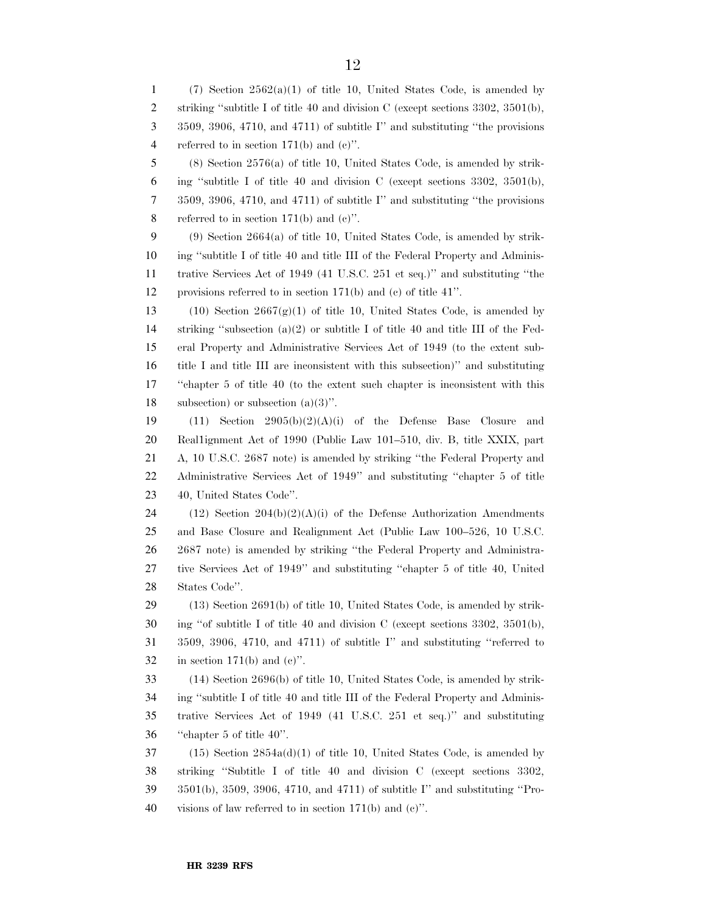1 (7) Section  $2562(a)(1)$  of title 10, United States Code, is amended by 2 striking "subtitle I of title 40 and division C (except sections 3302, 3501(b), 3509, 3906, 4710, and 4711) of subtitle I'' and substituting ''the provisions referred to in section 171(b) and (c)''. (8) Section 2576(a) of title 10, United States Code, is amended by strik-6 ing "subtitle I of title 40 and division C (except sections  $3302, 3501(b)$ , 3509, 3906, 4710, and 4711) of subtitle I'' and substituting ''the provisions 8 referred to in section  $171(b)$  and  $(c)$ ". (9) Section 2664(a) of title 10, United States Code, is amended by strik- ing ''subtitle I of title 40 and title III of the Federal Property and Adminis- trative Services Act of 1949 (41 U.S.C. 251 et seq.)'' and substituting ''the provisions referred to in section 171(b) and (c) of title 41''. 13 (10) Section  $2667(g)(1)$  of title 10, United States Code, is amended by striking ''subsection (a)(2) or subtitle I of title 40 and title III of the Fed- eral Property and Administrative Services Act of 1949 (to the extent sub- title I and title III are inconsistent with this subsection)'' and substituting ''chapter 5 of title 40 (to the extent such chapter is inconsistent with this subsection) or subsection (a)(3)''. 19 (11) Section  $2905(b)(2)(A)(i)$  of the Defense Base Closure and Real1ignment Act of 1990 (Public Law 101–510, div. B, title XXIX, part A, 10 U.S.C. 2687 note) is amended by striking ''the Federal Property and Administrative Services Act of 1949'' and substituting ''chapter 5 of title 40, United States Code''. 24 (12) Section  $204(b)(2)(A)(i)$  of the Defense Authorization Amendments and Base Closure and Realignment Act (Public Law 100–526, 10 U.S.C. 2687 note) is amended by striking ''the Federal Property and Administra- tive Services Act of 1949'' and substituting ''chapter 5 of title 40, United States Code''. (13) Section 2691(b) of title 10, United States Code, is amended by strik- ing "of subtitle I of title 40 and division C (except sections 3302, 3501(b), 3509, 3906, 4710, and 4711) of subtitle I'' and substituting ''referred to 32 in section 171(b) and  $(e)$ ". (14) Section 2696(b) of title 10, United States Code, is amended by strik- ing ''subtitle I of title 40 and title III of the Federal Property and Adminis- trative Services Act of 1949 (41 U.S.C. 251 et seq.)'' and substituting ''chapter 5 of title 40''. (15) Section 2854a(d)(1) of title 10, United States Code, is amended by striking ''Subtitle I of title 40 and division C (except sections 3302, 3501(b), 3509, 3906, 4710, and 4711) of subtitle I'' and substituting ''Pro-visions of law referred to in section 171(b) and (c)''.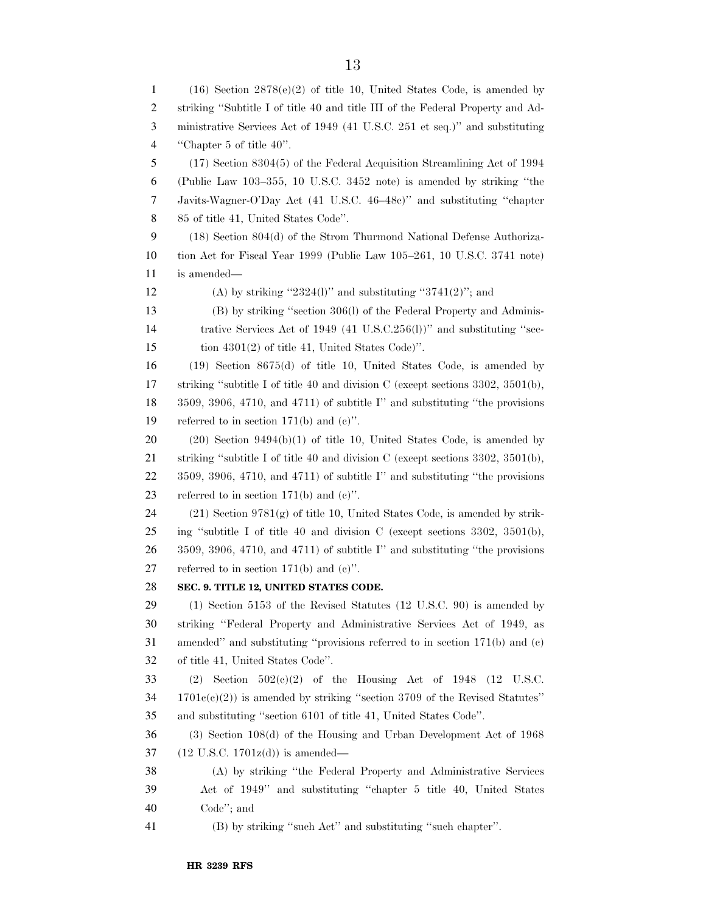(16) Section 2878(e)(2) of title 10, United States Code, is amended by striking ''Subtitle I of title 40 and title III of the Federal Property and Ad- ministrative Services Act of 1949 (41 U.S.C. 251 et seq.)'' and substituting ''Chapter 5 of title 40''. (17) Section 8304(5) of the Federal Acquisition Streamlining Act of 1994 (Public Law 103–355, 10 U.S.C. 3452 note) is amended by striking ''the Javits-Wagner-O'Day Act (41 U.S.C. 46–48c)'' and substituting ''chapter 85 of title 41, United States Code''. (18) Section 804(d) of the Strom Thurmond National Defense Authoriza- tion Act for Fiscal Year 1999 (Public Law 105–261, 10 U.S.C. 3741 note) is amended— 12 (A) by striking " $2324(1)$ " and substituting " $3741(2)$ "; and (B) by striking ''section 306(l) of the Federal Property and Adminis-14 trative Services Act of 1949 (41 U.S.C.256(l))" and substituting "sec- tion 4301(2) of title 41, United States Code)''. (19) Section 8675(d) of title 10, United States Code, is amended by striking ''subtitle I of title 40 and division C (except sections 3302, 3501(b), 3509, 3906, 4710, and 4711) of subtitle I'' and substituting ''the provisions referred to in section 171(b) and (c)''. (20) Section 9494(b)(1) of title 10, United States Code, is amended by striking ''subtitle I of title 40 and division C (except sections 3302, 3501(b), 3509, 3906, 4710, and 4711) of subtitle I'' and substituting ''the provisions 23 referred to in section  $171(b)$  and  $(c)$ ". (21) Section 9781(g) of title 10, United States Code, is amended by strik- ing ''subtitle I of title 40 and division C (except sections 3302, 3501(b), 3509, 3906, 4710, and 4711) of subtitle I'' and substituting ''the provisions 27 referred to in section  $171(b)$  and  $(c)$ ". **SEC. 9. TITLE 12, UNITED STATES CODE.**  (1) Section 5153 of the Revised Statutes (12 U.S.C. 90) is amended by striking ''Federal Property and Administrative Services Act of 1949, as amended'' and substituting ''provisions referred to in section 171(b) and (c) of title 41, United States Code''. 33 (2) Section  $502(e)(2)$  of the Housing Act of 1948 (12 U.S.C. 1701c(c)(2)) is amended by striking ''section 3709 of the Revised Statutes'' and substituting ''section 6101 of title 41, United States Code''. (3) Section 108(d) of the Housing and Urban Development Act of 1968 (12 U.S.C. 1701z(d)) is amended— (A) by striking ''the Federal Property and Administrative Services Act of 1949'' and substituting ''chapter 5 title 40, United States Code''; and (B) by striking ''such Act'' and substituting ''such chapter''.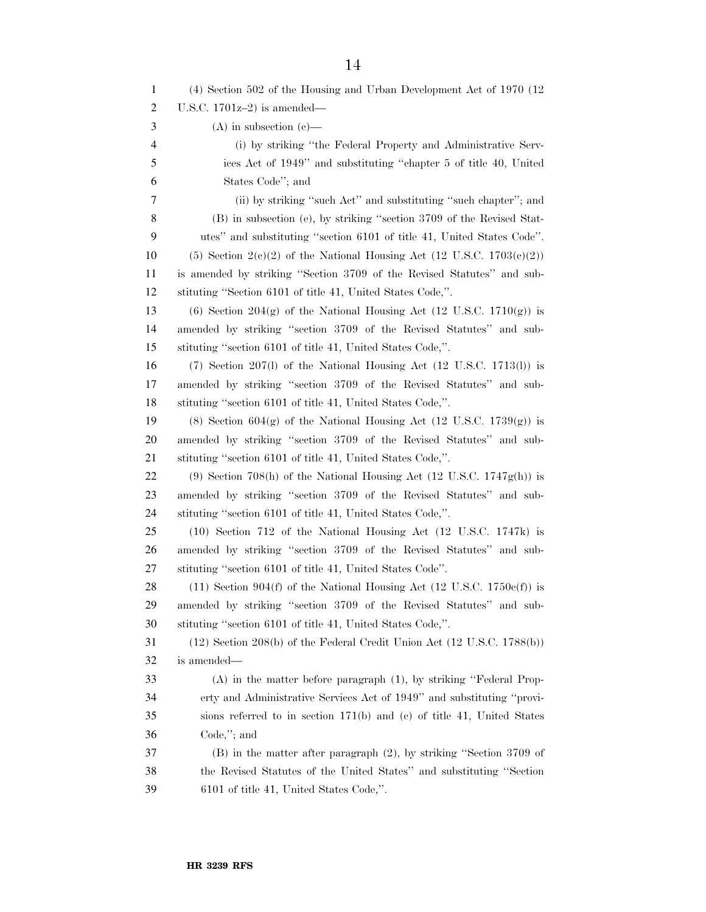| 1              | (4) Section 502 of the Housing and Urban Development Act of 1970 (12)                |
|----------------|--------------------------------------------------------------------------------------|
| $\overline{c}$ | U.S.C. $1701z-2$ ) is amended—                                                       |
| 3              | $(A)$ in subsection $(e)$ —                                                          |
| $\overline{4}$ | (i) by striking "the Federal Property and Administrative Serv-                       |
| 5              | ices Act of 1949" and substituting "chapter 5 of title 40, United                    |
| 6              | States Code"; and                                                                    |
| 7              | (ii) by striking "such Act" and substituting "such chapter"; and                     |
| 8              | (B) in subsection (e), by striking "section 3709 of the Revised Stat-                |
| 9              | utes" and substituting "section 6101 of title 41, United States Code".               |
| 10             | (5) Section 2(c)(2) of the National Housing Act (12 U.S.C. $1703(c)(2)$ )            |
| 11             | is amended by striking "Section 3709 of the Revised Statutes" and sub-               |
| 12             | stituting "Section 6101 of title 41, United States Code,".                           |
| 13             | (6) Section 204(g) of the National Housing Act (12 U.S.C. $1710(g)$ ) is             |
| 14             | amended by striking "section 3709 of the Revised Statutes" and sub-                  |
| 15             | stituting "section 6101 of title 41, United States Code,".                           |
| 16             | $(7)$ Section 207(l) of the National Housing Act $(12 \text{ U.S.C. } 1713(l))$ is   |
| 17             | amended by striking "section 3709 of the Revised Statutes" and sub-                  |
| 18             | stituting "section 6101 of title 41, United States Code,".                           |
| 19             | (8) Section 604(g) of the National Housing Act (12 U.S.C. $1739(g)$ ) is             |
| 20             | amended by striking "section 3709 of the Revised Statutes" and sub-                  |
| 21             | stituting "section 6101 of title 41, United States Code,".                           |
| 22             | (9) Section 708(h) of the National Housing Act $(12 \text{ U.S.C. } 1747g(h))$ is    |
| 23             | amended by striking "section 3709 of the Revised Statutes" and sub-                  |
| 24             | stituting "section 6101 of title 41, United States Code,".                           |
| 25             | (10) Section 712 of the National Housing Act (12 U.S.C. 1747k) is                    |
| 26             | amended by striking "section 3709 of the Revised Statutes" and sub-                  |
| 27             | stituting "section 6101 of title 41, United States Code".                            |
| 28             | $(11)$ Section 904(f) of the National Housing Act (12 U.S.C. 1750 $e(f)$ ) is        |
| 29             | amended by striking "section 3709 of the Revised Statutes" and sub-                  |
| 30             | stituting "section 6101 of title 41, United States Code,".                           |
| 31             | $(12)$ Section 208(b) of the Federal Credit Union Act $(12 \text{ U.S.C. } 1788(b))$ |
| 32             | is amended—                                                                          |
| 33             | (A) in the matter before paragraph (1), by striking "Federal Prop-                   |
| 34             | erty and Administrative Services Act of 1949" and substituting "provi-               |
| 35             | sions referred to in section $171(b)$ and (c) of title 41, United States             |
| 36             | $Code$ ,"; and                                                                       |
| 37             | $(B)$ in the matter after paragraph $(2)$ , by striking "Section 3709 of             |
| 38             | the Revised Statutes of the United States" and substituting "Section                 |
| 39             | 6101 of title 41, United States Code,".                                              |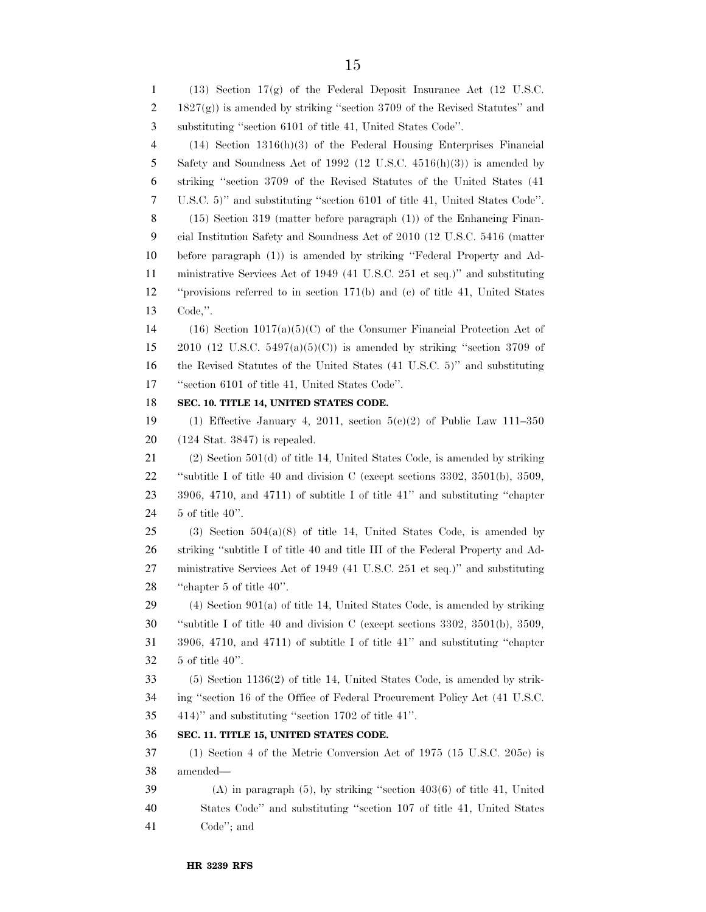(13) Section 17(g) of the Federal Deposit Insurance Act (12 U.S.C.  $2 \qquad 1827(g)$ ) is amended by striking "section 3709 of the Revised Statutes" and substituting ''section 6101 of title 41, United States Code''. (14) Section 1316(h)(3) of the Federal Housing Enterprises Financial Safety and Soundness Act of 1992 (12 U.S.C. 4516(h)(3)) is amended by striking ''section 3709 of the Revised Statutes of the United States (41 U.S.C. 5)'' and substituting ''section 6101 of title 41, United States Code''. (15) Section 319 (matter before paragraph (1)) of the Enhancing Finan- cial Institution Safety and Soundness Act of 2010 (12 U.S.C. 5416 (matter before paragraph (1)) is amended by striking ''Federal Property and Ad- ministrative Services Act of 1949 (41 U.S.C. 251 et seq.)'' and substituting ''provisions referred to in section 171(b) and (c) of title 41, United States Code,''. (16) Section 1017(a)(5)(C) of the Consumer Financial Protection Act of 15 2010 (12 U.S.C. 5497(a)(5)(C)) is amended by striking "section 3709 of the Revised Statutes of the United States (41 U.S.C. 5)'' and substituting ''section 6101 of title 41, United States Code''. **SEC. 10. TITLE 14, UNITED STATES CODE.**  19 (1) Effective January 4, 2011, section  $5(e)(2)$  of Public Law 111–350 (124 Stat. 3847) is repealed. (2) Section 501(d) of title 14, United States Code, is amended by striking ''subtitle I of title 40 and division C (except sections 3302, 3501(b), 3509, 3906, 4710, and 4711) of subtitle I of title 41'' and substituting ''chapter 5 of title 40''. 25 (3) Section  $504(a)(8)$  of title 14, United States Code, is amended by striking ''subtitle I of title 40 and title III of the Federal Property and Ad- ministrative Services Act of 1949 (41 U.S.C. 251 et seq.)'' and substituting ''chapter 5 of title 40''. 29 (4) Section 901(a) of title 14, United States Code, is amended by striking ''subtitle I of title 40 and division C (except sections 3302, 3501(b), 3509, 3906, 4710, and 4711) of subtitle I of title 41'' and substituting ''chapter 5 of title 40''. (5) Section 1136(2) of title 14, United States Code, is amended by strik- ing ''section 16 of the Office of Federal Procurement Policy Act (41 U.S.C. 414)'' and substituting ''section 1702 of title 41''. **SEC. 11. TITLE 15, UNITED STATES CODE.**  (1) Section 4 of the Metric Conversion Act of 1975 (15 U.S.C. 205c) is amended— (A) in paragraph (5), by striking ''section 403(6) of title 41, United States Code'' and substituting ''section 107 of title 41, United States Code''; and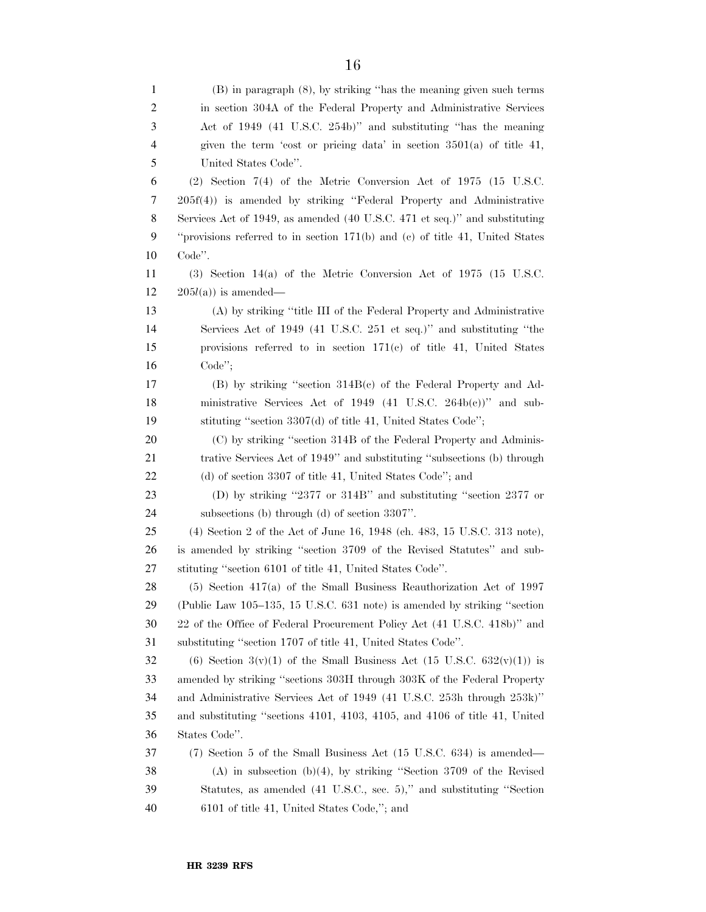| 1              | $(B)$ in paragraph $(8)$ , by striking "has the meaning given such terms     |
|----------------|------------------------------------------------------------------------------|
| $\overline{c}$ | in section 304A of the Federal Property and Administrative Services          |
| 3              | Act of 1949 (41 U.S.C. 254b)" and substituting "has the meaning              |
| $\overline{4}$ | given the term 'cost or pricing data' in section $3501(a)$ of title 41,      |
| 5              | United States Code".                                                         |
| 6              | $(2)$ Section 7(4) of the Metric Conversion Act of 1975 (15 U.S.C.           |
| 7              | 205f(4)) is amended by striking "Federal Property and Administrative         |
| 8              | Services Act of 1949, as amended (40 U.S.C. 471 et seq.)" and substituting   |
| 9              | "provisions referred to in section 171(b) and (c) of title 41, United States |
| 10             | Code".                                                                       |
| 11             | $(3)$ Section 14(a) of the Metric Conversion Act of 1975 (15 U.S.C.          |
| 12             | $205l(a)$ is amended—                                                        |
| 13             | (A) by striking "title III of the Federal Property and Administrative        |
| 14             | Services Act of 1949 (41 U.S.C. 251 et seq.)" and substituting "the          |
| 15             | provisions referred to in section $171(c)$ of title 41, United States        |
| 16             | $Code$ ";                                                                    |
| 17             | $(B)$ by striking "section $314B(c)$ of the Federal Property and Ad-         |
| 18             | ministrative Services Act of 1949 (41 U.S.C. $264b(c)$ )" and sub-           |
| 19             | stituting "section 3307(d) of title 41, United States Code";                 |
| 20             | (C) by striking "section 314B of the Federal Property and Adminis-           |
| 21             | trative Services Act of 1949" and substituting "subsections (b) through      |
| 22             | (d) of section 3307 of title 41, United States Code"; and                    |
| 23             | (D) by striking "2377 or 314B" and substituting "section 2377 or             |
| 24             | subsections (b) through (d) of section $3307$ ".                             |
| 25             | (4) Section 2 of the Act of June 16, 1948 (ch. 483, 15 U.S.C. 313 note),     |
| 26             | is amended by striking "section 3709 of the Revised Statutes" and sub-       |
| 27             | stituting "section 6101 of title 41, United States Code".                    |
| 28             | $(5)$ Section 417(a) of the Small Business Reauthorization Act of 1997       |
| 29             | (Public Law 105–135, 15 U.S.C. 631 note) is amended by striking "section     |
| 30             | 22 of the Office of Federal Procurement Policy Act (41 U.S.C. 418b)" and     |
| 31             | substituting "section 1707 of title 41, United States Code".                 |
| 32             | (6) Section 3(v)(1) of the Small Business Act (15 U.S.C. $632(v)(1)$ ) is    |
| 33             | amended by striking "sections 303H through 303K of the Federal Property      |
| 34             | and Administrative Services Act of 1949 (41 U.S.C. 253h through 253k)"       |
| 35             | and substituting "sections 4101, 4103, 4105, and 4106 of title 41, United    |
| 36             | States Code".                                                                |
| 37             | (7) Section 5 of the Small Business Act (15 U.S.C. 634) is amended—          |
| 38             | $(A)$ in subsection $(b)(4)$ , by striking "Section 3709 of the Revised      |
| 39             | Statutes, as amended (41 U.S.C., sec. 5)," and substituting "Section         |
| 40             | 6101 of title 41, United States Code,"; and                                  |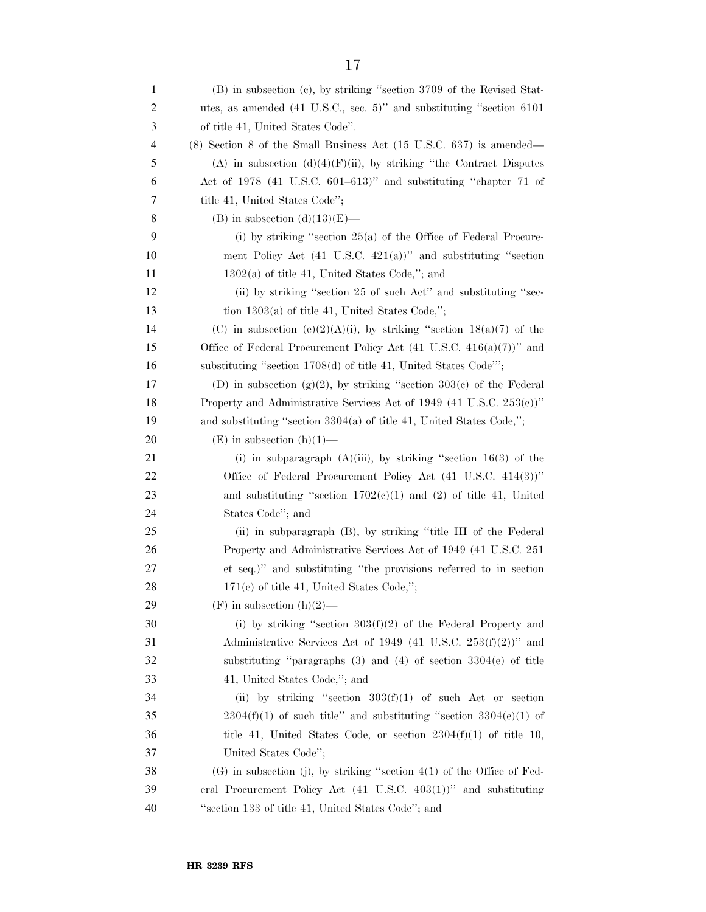| 1  | (B) in subsection (c), by striking "section 3709 of the Revised Stat-                     |
|----|-------------------------------------------------------------------------------------------|
| 2  | utes, as amended $(41 \text{ U.S.C.}, \text{sec. } 5)$ " and substituting "section $6101$ |
| 3  | of title 41, United States Code".                                                         |
| 4  | $(8)$ Section 8 of the Small Business Act $(15 \text{ U.S.C. } 637)$ is amended—          |
| 5  | (A) in subsection $(d)(4)(F)(ii)$ , by striking "the Contract Disputes"                   |
| 6  | Act of 1978 (41 U.S.C. 601–613)" and substituting "chapter 71 of                          |
| 7  | title 41, United States Code";                                                            |
| 8  | $(B)$ in subsection $(d)(13)(E)$ —                                                        |
| 9  | (i) by striking "section $25(a)$ of the Office of Federal Procure-                        |
| 10 | ment Policy Act $(41 \text{ U.S.C. } 421(a))$ " and substituting "section                 |
| 11 | $1302(a)$ of title 41, United States Code,"; and                                          |
| 12 | (ii) by striking "section 25 of such Act" and substituting "sec-                          |
| 13 | tion $1303(a)$ of title 41, United States Code,";                                         |
| 14 | (C) in subsection (e)(2)(A)(i), by striking "section $18(a)(7)$ of the                    |
| 15 | Office of Federal Procurement Policy Act $(41 \text{ U.S.C. } 416(a)(7))$ " and           |
| 16 | substituting "section 1708(d) of title 41, United States Code"';                          |
| 17 | (D) in subsection (g)(2), by striking "section 303(c) of the Federal                      |
| 18 | Property and Administrative Services Act of 1949 (41 U.S.C. 253(c))"                      |
| 19 | and substituting "section $3304(a)$ of title 41, United States Code,";                    |
| 20 | $(E)$ in subsection $(h)(1)$ —                                                            |
| 21 | (i) in subparagraph $(A)(iii)$ , by striking "section 16(3) of the                        |
| 22 | Office of Federal Procurement Policy Act (41 U.S.C. 414(3))"                              |
| 23 | and substituting "section $1702(c)(1)$ and (2) of title 41, United                        |
| 24 | States Code"; and                                                                         |
| 25 | (ii) in subparagraph (B), by striking "title III of the Federal                           |
| 26 | Property and Administrative Services Act of 1949 (41 U.S.C. 251)                          |
| 27 | et seq.)" and substituting "the provisions referred to in section                         |
| 28 | $171(c)$ of title 41, United States Code,";                                               |
| 29 | $(F)$ in subsection $(h)(2)$ —                                                            |
| 30 | (i) by striking "section $303(f)(2)$ of the Federal Property and                          |
| 31 | Administrative Services Act of 1949 (41 U.S.C. $253(f)(2)$ )" and                         |
| 32 | substituting "paragraphs $(3)$ and $(4)$ of section $3304(e)$ of title                    |
| 33 | 41, United States Code,"; and                                                             |
| 34 | (ii) by striking "section $303(f)(1)$ of such Act or section                              |
| 35 | $2304(f)(1)$ of such title" and substituting "section $3304(e)(1)$ of                     |
| 36 | title 41, United States Code, or section $2304(f)(1)$ of title 10,                        |
| 37 | United States Code";                                                                      |
| 38 | $(G)$ in subsection (j), by striking "section 4(1) of the Office of Fed-                  |
| 39 | eral Procurement Policy Act (41 U.S.C. 403(1))" and substituting                          |
| 40 | "section 133 of title 41, United States Code"; and                                        |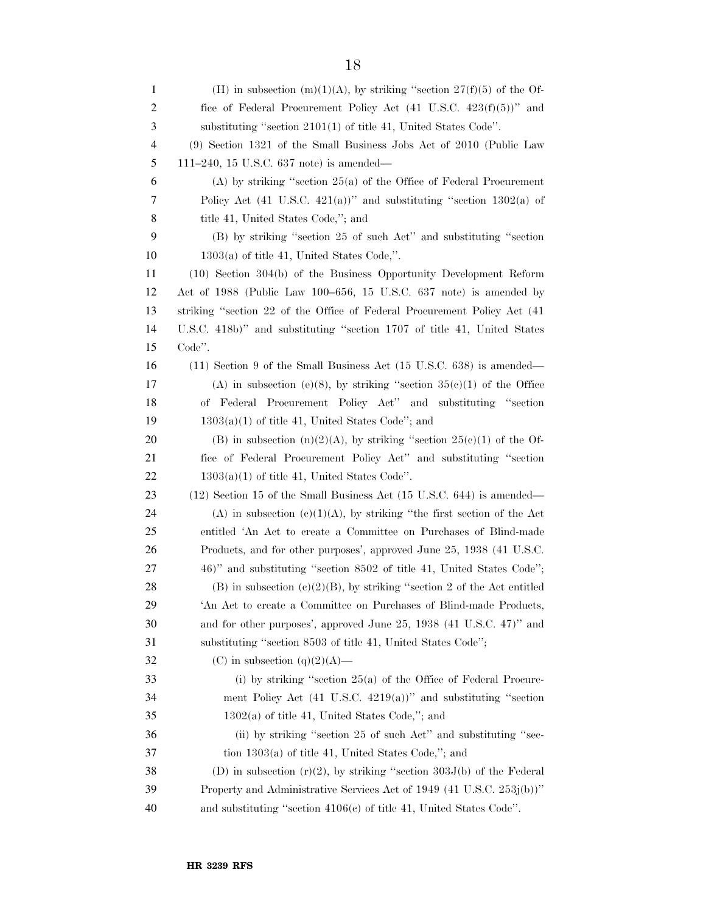| 1              | (H) in subsection $(m)(1)(A)$ , by striking "section $27(f)(5)$ of the Of-        |
|----------------|-----------------------------------------------------------------------------------|
| $\overline{c}$ | fice of Federal Procurement Policy Act $(41 \text{ U.S.C. } 423(f)(5))$ " and     |
| 3              | substituting "section $2101(1)$ of title 41, United States Code".                 |
| $\overline{4}$ | (9) Section 1321 of the Small Business Jobs Act of 2010 (Public Law               |
| 5              | 111–240, 15 U.S.C. 637 note) is amended—                                          |
| 6              | $(A)$ by striking "section 25(a) of the Office of Federal Procurement             |
| 7              | Policy Act $(41 \text{ U.S.C. } 421(a))$ " and substituting "section 1302(a) of   |
| $8\,$          | title 41, United States Code,"; and                                               |
| 9              | (B) by striking "section 25 of such Act" and substituting "section                |
| 10             | $1303(a)$ of title 41, United States Code,".                                      |
| 11             | $(10)$ Section 304(b) of the Business Opportunity Development Reform              |
| 12             | Act of 1988 (Public Law 100–656, 15 U.S.C. 637 note) is amended by                |
| 13             | striking "section 22 of the Office of Federal Procurement Policy Act (41)         |
| 14             | U.S.C. 418b)" and substituting "section 1707 of title 41, United States           |
| 15             | Code".                                                                            |
| 16             | $(11)$ Section 9 of the Small Business Act $(15 \text{ U.S.C. } 638)$ is amended— |
| 17             | (A) in subsection (e)(8), by striking "section $35(e)(1)$ of the Office           |
| 18             | Federal Procurement Policy Act" and substituting "section<br>оf                   |
| 19             | $1303(a)(1)$ of title 41, United States Code"; and                                |
| 20             | (B) in subsection (n)(2)(A), by striking "section $25(c)(1)$ of the Of-           |
| 21             | fice of Federal Procurement Policy Act" and substituting "section                 |
| 22             | $1303(a)(1)$ of title 41, United States Code".                                    |
| 23             | (12) Section 15 of the Small Business Act (15 U.S.C. 644) is amended—             |
| 24             | (A) in subsection (c)(1)(A), by striking "the first section of the Act            |
| 25             | entitled 'An Act to create a Committee on Purchases of Blind-made                 |
| 26             | Products, and for other purposes', approved June 25, 1938 (41 U.S.C.              |
| 27             | 46)" and substituting "section 8502 of title 41, United States Code";             |
| 28             | (B) in subsection (c)(2)(B), by striking "section 2 of the Act entitled           |
| 29             | 'An Act to create a Committee on Purchases of Blind-made Products,                |
| 30             | and for other purposes', approved June 25, 1938 (41 U.S.C. 47)" and               |
| 31             | substituting "section 8503 of title 41, United States Code";                      |
| 32             | (C) in subsection $(q)(2)(A)$ —                                                   |
| 33             | (i) by striking "section $25(a)$ of the Office of Federal Procure-                |
| 34             | ment Policy Act $(41 \text{ U.S.C. } 4219(a))$ " and substituting "section        |
| 35             | $1302(a)$ of title 41, United States Code,"; and                                  |
| 36             | (ii) by striking "section 25 of such Act" and substituting "sec-                  |
| 37             | tion $1303(a)$ of title 41, United States Code,"; and                             |
| 38             | (D) in subsection $(r)(2)$ , by striking "section 303J(b) of the Federal          |
| 39             | Property and Administrative Services Act of 1949 (41 U.S.C. 253j(b))"             |
| 40             | and substituting "section $4106(e)$ of title 41, United States Code".             |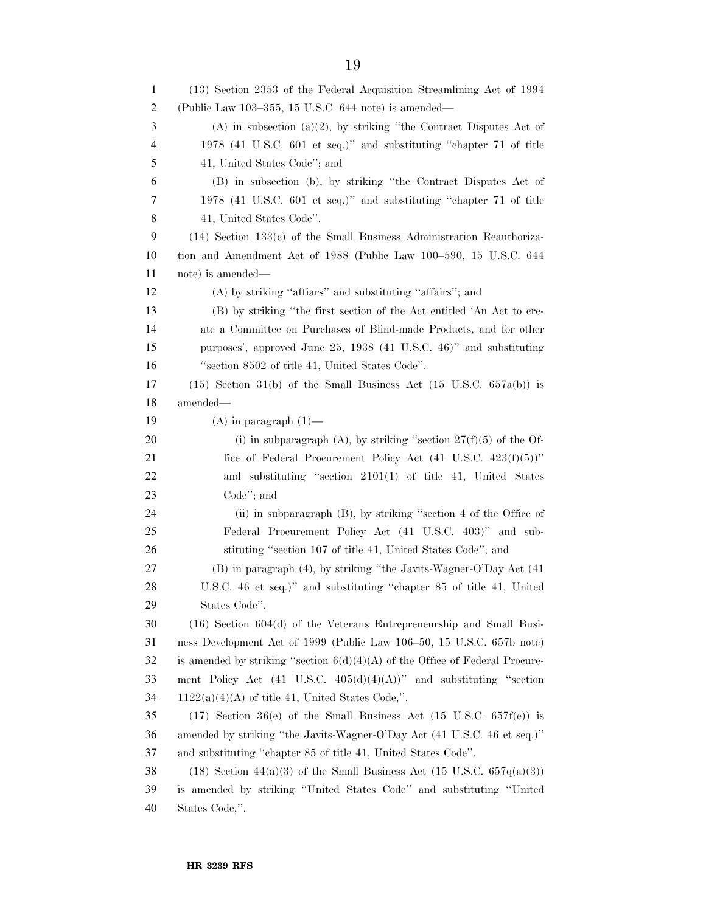(13) Section 2353 of the Federal Acquisition Streamlining Act of 1994 (Public Law 103–355, 15 U.S.C. 644 note) is amended— (A) in subsection (a)(2), by striking ''the Contract Disputes Act of 1978 (41 U.S.C. 601 et seq.)'' and substituting ''chapter 71 of title 41, United States Code''; and (B) in subsection (b), by striking ''the Contract Disputes Act of 1978 (41 U.S.C. 601 et seq.)'' and substituting ''chapter 71 of title 41, United States Code''. (14) Section 133(c) of the Small Business Administration Reauthoriza- tion and Amendment Act of 1988 (Public Law 100–590, 15 U.S.C. 644 note) is amended— (A) by striking ''affiars'' and substituting ''affairs''; and (B) by striking ''the first section of the Act entitled 'An Act to cre- ate a Committee on Purchases of Blind-made Products, and for other purposes', approved June 25, 1938 (41 U.S.C. 46)'' and substituting ''section 8502 of title 41, United States Code''. 17 (15) Section 31(b) of the Small Business Act (15 U.S.C.  $657a(b)$ ) is amended—  $(A)$  in paragraph  $(1)$ — 20 (i) in subparagraph (A), by striking "section  $27(f)(5)$  of the Of-21 fice of Federal Procurement Policy Act (41 U.S.C. 423(f)(5))'' and substituting ''section 2101(1) of title 41, United States Code''; and (ii) in subparagraph (B), by striking ''section 4 of the Office of Federal Procurement Policy Act (41 U.S.C. 403)'' and sub- stituting ''section 107 of title 41, United States Code''; and (B) in paragraph (4), by striking ''the Javits-Wagner-O'Day Act (41 U.S.C. 46 et seq.)'' and substituting ''chapter 85 of title 41, United States Code''. (16) Section 604(d) of the Veterans Entrepreneurship and Small Busi- ness Development Act of 1999 (Public Law 106–50, 15 U.S.C. 657b note) 32 is amended by striking "section  $6(d)(4)(A)$  of the Office of Federal Procure- ment Policy Act (41 U.S.C. 405(d)(4)(A))'' and substituting ''section 1122(a)(4)(A) of title 41, United States Code,". 35 (17) Section  $36(e)$  of the Small Business Act (15 U.S.C. 657f(e)) is amended by striking ''the Javits-Wagner-O'Day Act (41 U.S.C. 46 et seq.)'' and substituting ''chapter 85 of title 41, United States Code''. 38 (18) Section 44(a)(3) of the Small Business Act (15 U.S.C.  $657q(a)(3)$ ) is amended by striking ''United States Code'' and substituting ''United States Code,''.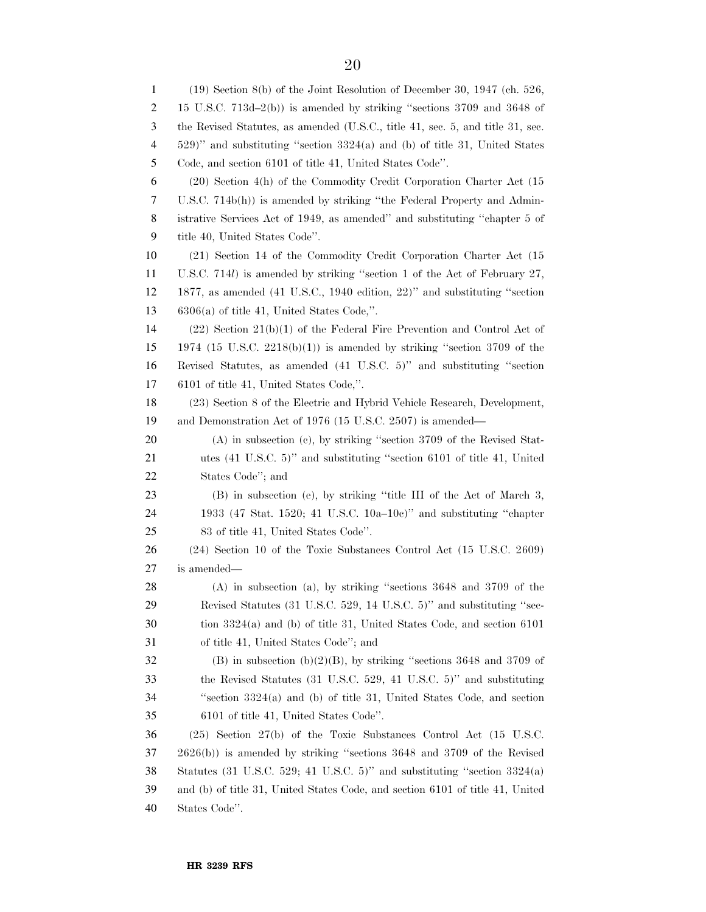(19) Section 8(b) of the Joint Resolution of December 30, 1947 (ch. 526, 15 U.S.C. 713d–2(b)) is amended by striking ''sections 3709 and 3648 of the Revised Statutes, as amended (U.S.C., title 41, sec. 5, and title 31, sec. 529)'' and substituting ''section 3324(a) and (b) of title 31, United States Code, and section 6101 of title 41, United States Code''. (20) Section 4(h) of the Commodity Credit Corporation Charter Act (15 U.S.C. 714b(h)) is amended by striking ''the Federal Property and Admin- istrative Services Act of 1949, as amended'' and substituting ''chapter 5 of title 40, United States Code''. (21) Section 14 of the Commodity Credit Corporation Charter Act (15 U.S.C. 714*l*) is amended by striking ''section 1 of the Act of February 27, 1877, as amended (41 U.S.C., 1940 edition, 22)'' and substituting ''section 6306(a) of title 41, United States Code,''. (22) Section 21(b)(1) of the Federal Fire Prevention and Control Act of 1974 (15 U.S.C. 2218(b)(1)) is amended by striking ''section 3709 of the Revised Statutes, as amended (41 U.S.C. 5)'' and substituting ''section 6101 of title 41, United States Code,''. (23) Section 8 of the Electric and Hybrid Vehicle Research, Development, and Demonstration Act of 1976 (15 U.S.C. 2507) is amended— (A) in subsection (c), by striking ''section 3709 of the Revised Stat- utes (41 U.S.C. 5)'' and substituting ''section 6101 of title 41, United States Code''; and (B) in subsection (e), by striking ''title III of the Act of March 3, 1933 (47 Stat. 1520; 41 U.S.C. 10a–10c)'' and substituting ''chapter 83 of title 41, United States Code''. (24) Section 10 of the Toxic Substances Control Act (15 U.S.C. 2609) is amended— (A) in subsection (a), by striking ''sections 3648 and 3709 of the Revised Statutes (31 U.S.C. 529, 14 U.S.C. 5)'' and substituting ''sec- tion 3324(a) and (b) of title 31, United States Code, and section 6101 of title 41, United States Code''; and (B) in subsection (b)(2)(B), by striking ''sections 3648 and 3709 of the Revised Statutes (31 U.S.C. 529, 41 U.S.C. 5)'' and substituting ''section 3324(a) and (b) of title 31, United States Code, and section 6101 of title 41, United States Code''. (25) Section 27(b) of the Toxic Substances Control Act (15 U.S.C. 2626(b)) is amended by striking ''sections 3648 and 3709 of the Revised Statutes (31 U.S.C. 529; 41 U.S.C. 5)'' and substituting ''section 3324(a) and (b) of title 31, United States Code, and section 6101 of title 41, United States Code''.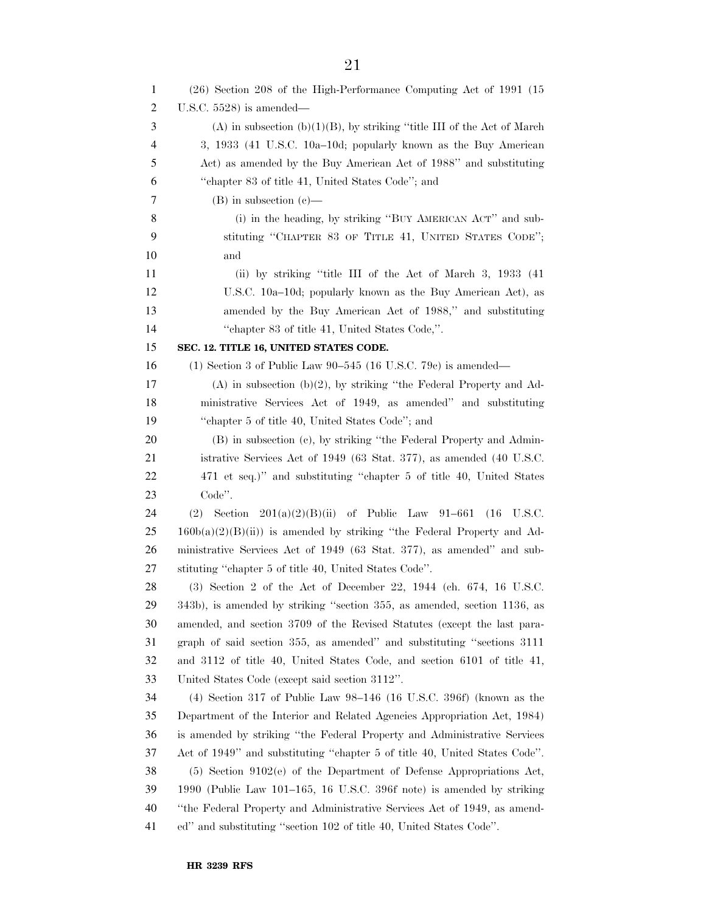| 1  | (26) Section 208 of the High-Performance Computing Act of 1991 (15            |
|----|-------------------------------------------------------------------------------|
| 2  | U.S.C. $5528$ ) is amended—                                                   |
| 3  | $(A)$ in subsection $(b)(1)(B)$ , by striking "title III of the Act of March" |
| 4  | 3, 1933 (41 U.S.C. 10a–10d; popularly known as the Buy American               |
| 5  | Act) as amended by the Buy American Act of 1988" and substituting             |
| 6  | "chapter 83 of title 41, United States Code"; and                             |
| 7  | $(B)$ in subsection $(e)$ —                                                   |
| 8  | (i) in the heading, by striking "BUY AMERICAN ACT" and sub-                   |
| 9  | stituting "CHAPTER 83 OF TITLE 41, UNITED STATES CODE";                       |
| 10 | and                                                                           |
| 11 | (ii) by striking "title III of the Act of March 3, 1933 (41)                  |
| 12 | U.S.C. 10a-10d; popularly known as the Buy American Act), as                  |
| 13 | amended by the Buy American Act of 1988," and substituting                    |
| 14 | "chapter 83 of title 41, United States Code,".                                |
| 15 | SEC. 12. TITLE 16, UNITED STATES CODE.                                        |
| 16 | (1) Section 3 of Public Law $90-545$ (16 U.S.C. 79c) is amended—              |
| 17 | $(A)$ in subsection $(b)(2)$ , by striking "the Federal Property and Ad-      |
| 18 | ministrative Services Act of 1949, as amended" and substituting               |
| 19 | "chapter 5 of title 40, United States Code"; and                              |
| 20 | (B) in subsection (c), by striking "the Federal Property and Admin-           |
| 21 | istrative Services Act of 1949 (63 Stat. 377), as amended (40 U.S.C.          |
| 22 | 471 et seq.)" and substituting "chapter 5 of title 40, United States          |
| 23 | Code".                                                                        |
| 24 | (2)<br>Section $201(a)(2)(B)(ii)$ of Public Law 91-661<br>(16)<br>U.S.C.      |
| 25 | $160b(a)(2)(B(ii))$ is amended by striking "the Federal Property and Ad-      |
| 26 | ministrative Services Act of 1949 (63 Stat. 377), as amended" and sub-        |
| 27 | stituting "chapter 5 of title 40, United States Code".                        |
| 28 | (3) Section 2 of the Act of December 22, 1944 (ch. 674, 16 U.S.C.             |
| 29 | 343b), is amended by striking "section 355, as amended, section 1136, as      |
| 30 | amended, and section 3709 of the Revised Statutes (except the last para-      |
| 31 | graph of said section 355, as amended" and substituting "sections 3111        |
| 32 | and 3112 of title 40, United States Code, and section 6101 of title 41,       |
| 33 | United States Code (except said section 3112".                                |
| 34 | $(4)$ Section 317 of Public Law 98-146 (16 U.S.C. 396f) (known as the         |
| 35 | Department of the Interior and Related Agencies Appropriation Act, 1984)      |
| 36 | is amended by striking "the Federal Property and Administrative Services      |
| 37 | Act of 1949" and substituting "chapter 5 of title 40, United States Code".    |
| 38 | (5) Section 9102(e) of the Department of Defense Appropriations Act,          |
| 39 | 1990 (Public Law 101–165, 16 U.S.C. 396f note) is amended by striking         |
| 40 | "the Federal Property and Administrative Services Act of 1949, as amend-      |
| 41 | ed" and substituting "section 102 of title 40, United States Code".           |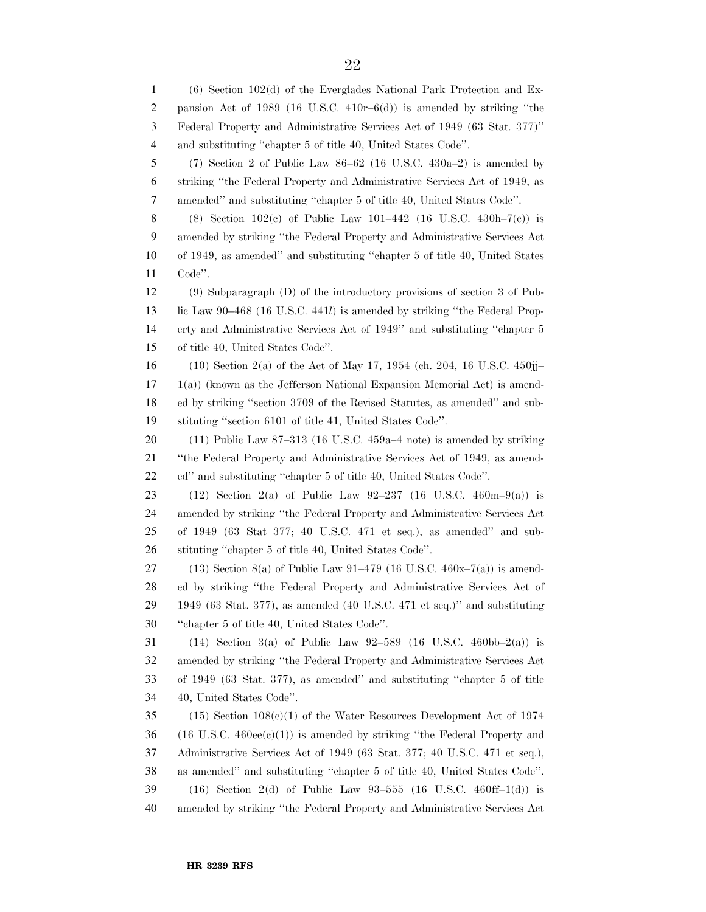(6) Section 102(d) of the Everglades National Park Protection and Ex- pansion Act of 1989 (16 U.S.C. 410r–6(d)) is amended by striking ''the Federal Property and Administrative Services Act of 1949 (63 Stat. 377)'' and substituting ''chapter 5 of title 40, United States Code''. (7) Section 2 of Public Law 86–62 (16 U.S.C. 430a–2) is amended by striking ''the Federal Property and Administrative Services Act of 1949, as amended'' and substituting ''chapter 5 of title 40, United States Code''. (8) Section 102(c) of Public Law 101–442 (16 U.S.C. 430h–7(c)) is amended by striking ''the Federal Property and Administrative Services Act of 1949, as amended'' and substituting ''chapter 5 of title 40, United States Code''. (9) Subparagraph (D) of the introductory provisions of section 3 of Pub- lic Law 90–468 (16 U.S.C. 441*l*) is amended by striking ''the Federal Prop- erty and Administrative Services Act of 1949'' and substituting ''chapter 5 of title 40, United States Code''. (10) Section 2(a) of the Act of May 17, 1954 (ch. 204, 16 U.S.C. 450jj–  $17 \quad 1(a)$ ) (known as the Jefferson National Expansion Memorial Act) is amend- ed by striking ''section 3709 of the Revised Statutes, as amended'' and sub- stituting ''section 6101 of title 41, United States Code''. (11) Public Law 87–313 (16 U.S.C. 459a–4 note) is amended by striking ''the Federal Property and Administrative Services Act of 1949, as amend- ed'' and substituting ''chapter 5 of title 40, United States Code''. (12) Section 2(a) of Public Law 92–237 (16 U.S.C. 460m–9(a)) is amended by striking ''the Federal Property and Administrative Services Act of 1949 (63 Stat 377; 40 U.S.C. 471 et seq.), as amended'' and sub- stituting ''chapter 5 of title 40, United States Code''. 27 (13) Section 8(a) of Public Law 91-479 (16 U.S.C.  $460x-7(a)$ ) is amend- ed by striking ''the Federal Property and Administrative Services Act of 1949 (63 Stat. 377), as amended (40 U.S.C. 471 et seq.)'' and substituting ''chapter 5 of title 40, United States Code''. 31 (14) Section 3(a) of Public Law  $92-589$  (16 U.S.C. 460bb–2(a)) is amended by striking ''the Federal Property and Administrative Services Act of 1949 (63 Stat. 377), as amended'' and substituting ''chapter 5 of title 40, United States Code''. 35 (15) Section  $108(c)(1)$  of the Water Resources Development Act of 1974 (16 U.S.C.  $460\text{ee}(c)(1)$ ) is amended by striking "the Federal Property and Administrative Services Act of 1949 (63 Stat. 377; 40 U.S.C. 471 et seq.), as amended'' and substituting ''chapter 5 of title 40, United States Code''. (16) Section 2(d) of Public Law 93–555 (16 U.S.C. 460ff–1(d)) is amended by striking ''the Federal Property and Administrative Services Act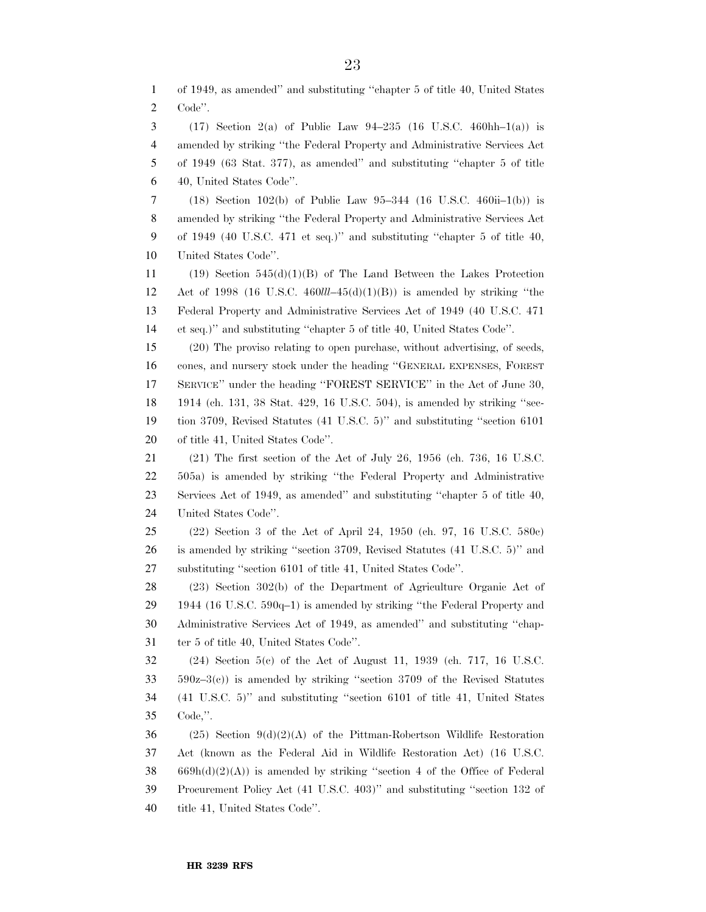of 1949, as amended'' and substituting ''chapter 5 of title 40, United States Code''. (17) Section 2(a) of Public Law 94–235 (16 U.S.C. 460hh–1(a)) is amended by striking ''the Federal Property and Administrative Services Act of 1949 (63 Stat. 377), as amended'' and substituting ''chapter 5 of title 40, United States Code''. (18) Section 102(b) of Public Law 95–344 (16 U.S.C. 460ii–1(b)) is amended by striking ''the Federal Property and Administrative Services Act of 1949 (40 U.S.C. 471 et seq.)'' and substituting ''chapter 5 of title 40, United States Code''. (19) Section 545(d)(1)(B) of The Land Between the Lakes Protection Act of 1998 (16 U.S.C. 460*lll*–45(d)(1)(B)) is amended by striking ''the Federal Property and Administrative Services Act of 1949 (40 U.S.C. 471 et seq.)'' and substituting ''chapter 5 of title 40, United States Code''. (20) The proviso relating to open purchase, without advertising, of seeds, cones, and nursery stock under the heading ''GENERAL EXPENSES, FOREST SERVICE'' under the heading ''FOREST SERVICE'' in the Act of June 30, 1914 (ch. 131, 38 Stat. 429, 16 U.S.C. 504), is amended by striking ''sec- tion 3709, Revised Statutes (41 U.S.C. 5)'' and substituting ''section 6101 of title 41, United States Code''. (21) The first section of the Act of July 26, 1956 (ch. 736, 16 U.S.C. 505a) is amended by striking ''the Federal Property and Administrative Services Act of 1949, as amended'' and substituting ''chapter 5 of title 40, United States Code''. (22) Section 3 of the Act of April 24, 1950 (ch. 97, 16 U.S.C. 580c) is amended by striking ''section 3709, Revised Statutes (41 U.S.C. 5)'' and substituting ''section 6101 of title 41, United States Code''. (23) Section 302(b) of the Department of Agriculture Organic Act of 1944 (16 U.S.C. 590q–1) is amended by striking ''the Federal Property and Administrative Services Act of 1949, as amended'' and substituting ''chap- ter 5 of title 40, United States Code''. (24) Section 5(c) of the Act of August 11, 1939 (ch. 717, 16 U.S.C. 590z–3(c)) is amended by striking ''section 3709 of the Revised Statutes (41 U.S.C. 5)'' and substituting ''section 6101 of title 41, United States Code,''.  $(25)$  Section  $9(d)(2)(A)$  of the Pittman-Robertson Wildlife Restoration Act (known as the Federal Aid in Wildlife Restoration Act) (16 U.S.C. 669h(d)(2)(A)) is amended by striking "section 4 of the Office of Federal Procurement Policy Act (41 U.S.C. 403)'' and substituting ''section 132 of title 41, United States Code''.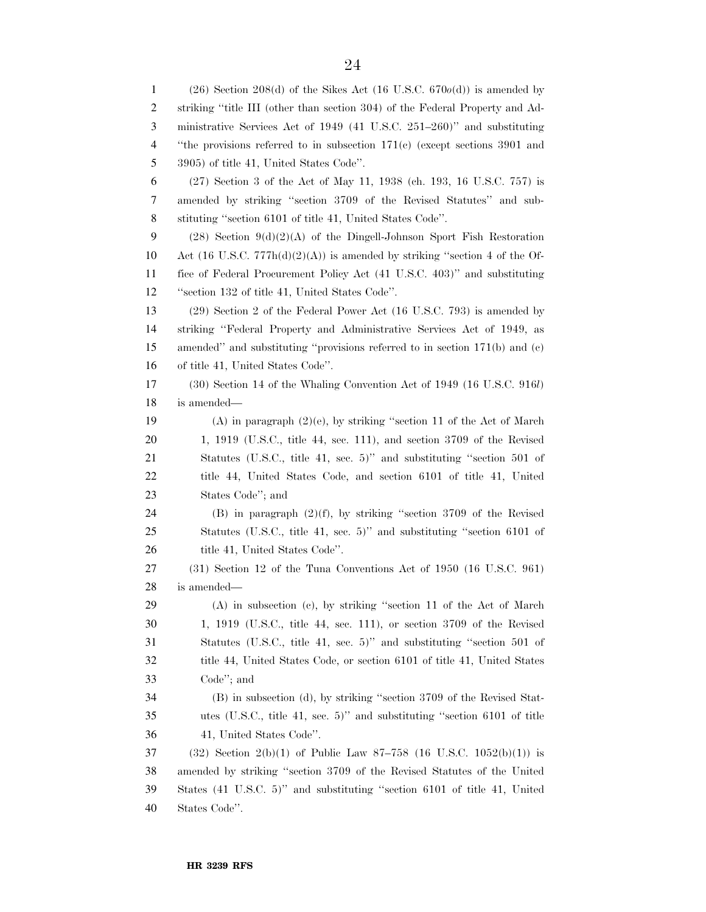(26) Section 208(d) of the Sikes Act (16 U.S.C. 670*o*(d)) is amended by striking ''title III (other than section 304) of the Federal Property and Ad- ministrative Services Act of 1949 (41 U.S.C. 251–260)'' and substituting ''the provisions referred to in subsection 171(c) (except sections 3901 and 3905) of title 41, United States Code''. (27) Section 3 of the Act of May 11, 1938 (ch. 193, 16 U.S.C. 757) is amended by striking ''section 3709 of the Revised Statutes'' and sub- stituting ''section 6101 of title 41, United States Code''. 9 (28) Section  $9(d)(2)(A)$  of the Dingell-Johnson Sport Fish Restoration 10 Act  $(16 \text{ U.S.C. } 777h(d)(2)(A))$  is amended by striking "section 4 of the Of- fice of Federal Procurement Policy Act (41 U.S.C. 403)'' and substituting ''section 132 of title 41, United States Code''. (29) Section 2 of the Federal Power Act (16 U.S.C. 793) is amended by striking ''Federal Property and Administrative Services Act of 1949, as amended'' and substituting ''provisions referred to in section 171(b) and (c) of title 41, United States Code''. (30) Section 14 of the Whaling Convention Act of 1949 (16 U.S.C. 916*l*) is amended— (A) in paragraph (2)(e), by striking ''section 11 of the Act of March 1, 1919 (U.S.C., title 44, sec. 111), and section 3709 of the Revised Statutes (U.S.C., title 41, sec. 5)'' and substituting ''section 501 of title 44, United States Code, and section 6101 of title 41, United States Code''; and (B) in paragraph (2)(f), by striking ''section 3709 of the Revised Statutes (U.S.C., title 41, sec. 5)'' and substituting ''section 6101 of 26 title 41, United States Code". (31) Section 12 of the Tuna Conventions Act of 1950 (16 U.S.C. 961) is amended— (A) in subsection (c), by striking ''section 11 of the Act of March 1, 1919 (U.S.C., title 44, sec. 111), or section 3709 of the Revised Statutes (U.S.C., title 41, sec. 5)'' and substituting ''section 501 of title 44, United States Code, or section 6101 of title 41, United States Code''; and (B) in subsection (d), by striking ''section 3709 of the Revised Stat- utes (U.S.C., title 41, sec. 5)'' and substituting ''section 6101 of title 41, United States Code''. (32) Section 2(b)(1) of Public Law 87–758 (16 U.S.C. 1052(b)(1)) is amended by striking ''section 3709 of the Revised Statutes of the United States (41 U.S.C. 5)'' and substituting ''section 6101 of title 41, United States Code''.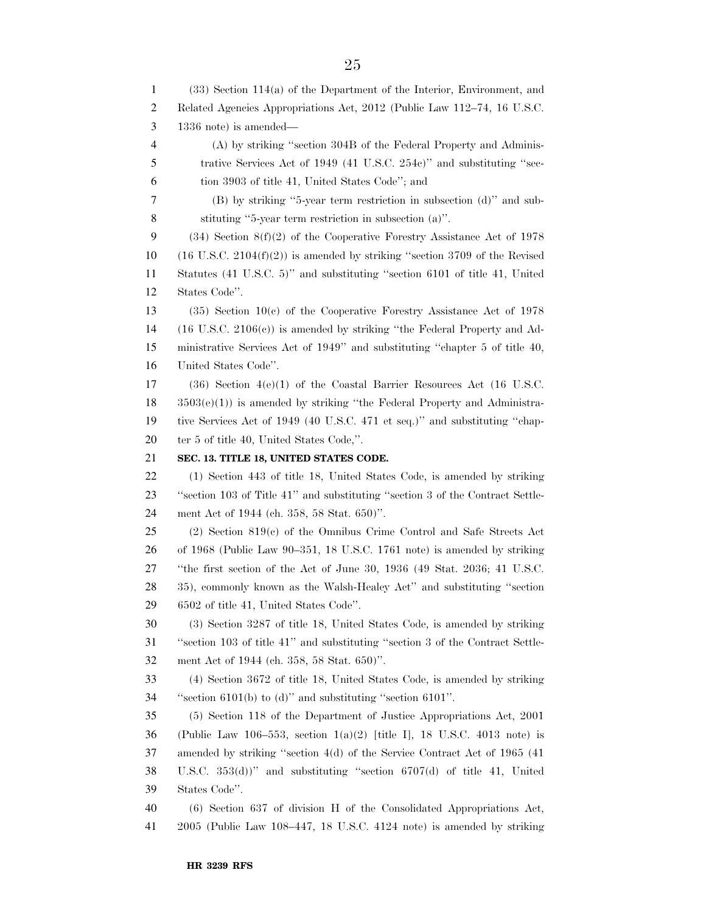(33) Section 114(a) of the Department of the Interior, Environment, and Related Agencies Appropriations Act, 2012 (Public Law 112–74, 16 U.S.C. 1336 note) is amended— (A) by striking ''section 304B of the Federal Property and Adminis- trative Services Act of 1949 (41 U.S.C. 254c)'' and substituting ''sec- tion 3903 of title 41, United States Code''; and (B) by striking ''5-year term restriction in subsection (d)'' and sub- stituting ''5-year term restriction in subsection (a)''. (34) Section 8(f)(2) of the Cooperative Forestry Assistance Act of 1978 10 (16 U.S.C. 2104 $(f(2))$ ) is amended by striking "section 3709 of the Revised Statutes (41 U.S.C. 5)'' and substituting ''section 6101 of title 41, United States Code''. (35) Section 10(c) of the Cooperative Forestry Assistance Act of 1978 (16 U.S.C. 2106(c)) is amended by striking ''the Federal Property and Ad- ministrative Services Act of 1949'' and substituting ''chapter 5 of title 40, United States Code''. (36) Section 4(e)(1) of the Coastal Barrier Resources Act (16 U.S.C. 3503(e)(1)) is amended by striking ''the Federal Property and Administra- tive Services Act of 1949 (40 U.S.C. 471 et seq.)'' and substituting ''chap-20 ter 5 of title 40, United States Code,". **SEC. 13. TITLE 18, UNITED STATES CODE.**  (1) Section 443 of title 18, United States Code, is amended by striking ''section 103 of Title 41'' and substituting ''section 3 of the Contract Settle- ment Act of 1944 (ch. 358, 58 Stat. 650)''. (2) Section 819(c) of the Omnibus Crime Control and Safe Streets Act of 1968 (Public Law 90–351, 18 U.S.C. 1761 note) is amended by striking ''the first section of the Act of June 30, 1936 (49 Stat. 2036; 41 U.S.C. 35), commonly known as the Walsh-Healey Act'' and substituting ''section 6502 of title 41, United States Code''. (3) Section 3287 of title 18, United States Code, is amended by striking ''section 103 of title 41'' and substituting ''section 3 of the Contract Settle- ment Act of 1944 (ch. 358, 58 Stat. 650)''. (4) Section 3672 of title 18, United States Code, is amended by striking ''section 6101(b) to (d)'' and substituting ''section 6101''. (5) Section 118 of the Department of Justice Appropriations Act, 2001 (Public Law 106–553, section 1(a)(2) [title I], 18 U.S.C. 4013 note) is amended by striking ''section 4(d) of the Service Contract Act of 1965 (41 U.S.C. 353(d))'' and substituting ''section 6707(d) of title 41, United States Code''. (6) Section 637 of division H of the Consolidated Appropriations Act, 2005 (Public Law 108–447, 18 U.S.C. 4124 note) is amended by striking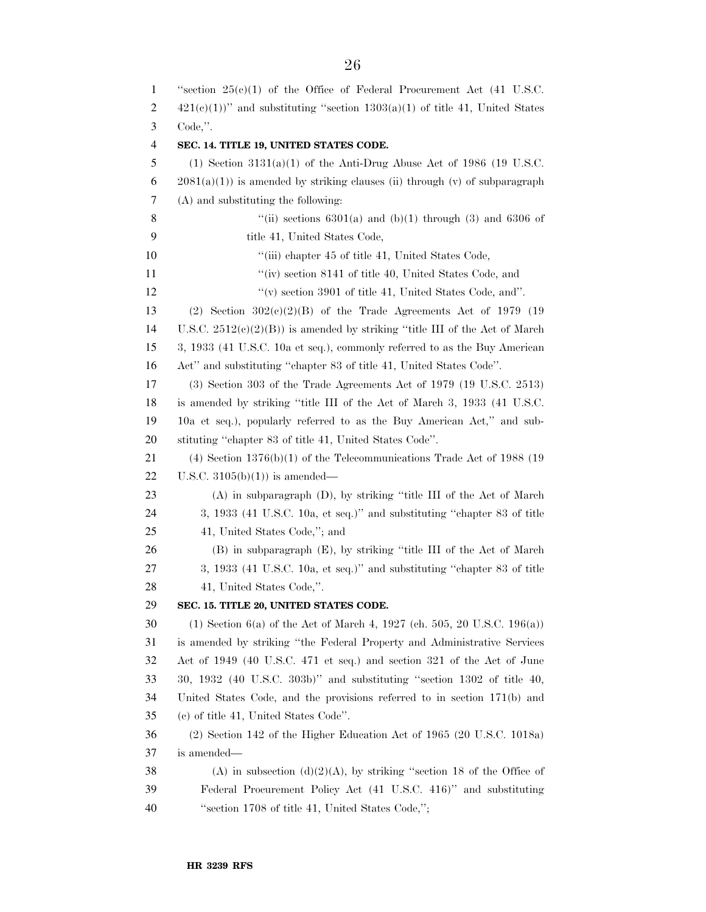| 1  | "section $25(c)(1)$ of the Office of Federal Procurement Act (41 U.S.C.         |
|----|---------------------------------------------------------------------------------|
| 2  | $421(c)(1)$ " and substituting "section $1303(a)(1)$ of title 41, United States |
| 3  | $Code,$ ".                                                                      |
| 4  | SEC. 14. TITLE 19, UNITED STATES CODE.                                          |
| 5  | (1) Section $3131(a)(1)$ of the Anti-Drug Abuse Act of 1986 (19 U.S.C.          |
| 6  | $2081(a)(1)$ is amended by striking clauses (ii) through (v) of subparagraph    |
| 7  | (A) and substituting the following:                                             |
| 8  | "(ii) sections $6301(a)$ and $(b)(1)$ through (3) and $6306$ of                 |
| 9  | title 41, United States Code,                                                   |
| 10 | "(iii) chapter 45 of title 41, United States Code,                              |
| 11 | "(iv) section 8141 of title 40, United States Code, and                         |
| 12 | "(v) section 3901 of title 41, United States Code, and".                        |
| 13 | (2) Section $302(c)(2)(B)$ of the Trade Agreements Act of 1979 (19)             |
| 14 | U.S.C. $2512(e)(2)(B)$ is amended by striking "title III of the Act of March"   |
| 15 | 3, 1933 (41 U.S.C. 10a et seq.), commonly referred to as the Buy American       |
| 16 | Act" and substituting "chapter 83 of title 41, United States Code".             |
| 17 | (3) Section 303 of the Trade Agreements Act of 1979 (19 U.S.C. 2513)            |
| 18 | is amended by striking "title III of the Act of March 3, 1933 (41 U.S.C.        |
| 19 | 10a et seq.), popularly referred to as the Buy American Act," and sub-          |
| 20 | stituting "chapter 83 of title 41, United States Code".                         |
| 21 | $(4)$ Section 1376(b)(1) of the Telecommunications Trade Act of 1988 (19        |
| 22 | U.S.C. $3105(b)(1)$ is amended—                                                 |
| 23 | $(A)$ in subparagraph $(D)$ , by striking "title III of the Act of March"       |
| 24 | 3, 1933 (41 U.S.C. 10a, et seq.)" and substituting "chapter 83 of title         |
| 25 | 41, United States Code,"; and                                                   |
| 26 | (B) in subparagraph (E), by striking "title III of the Act of March             |
| 27 | 3, 1933 (41 U.S.C. 10a, et seq.)" and substituting "chapter 83 of title         |
| 28 | 41, United States Code,".                                                       |
| 29 | SEC. 15. TITLE 20, UNITED STATES CODE.                                          |
| 30 | (1) Section 6(a) of the Act of March 4, 1927 (ch. 505, 20 U.S.C. 196(a))        |
| 31 | is amended by striking "the Federal Property and Administrative Services        |
| 32 | Act of 1949 (40 U.S.C. 471 et seq.) and section 321 of the Act of June          |
| 33 | 30, 1932 (40 U.S.C. 303b)" and substituting "section 1302 of title 40,          |
| 34 | United States Code, and the provisions referred to in section 171(b) and        |
| 35 | (c) of title 41, United States Code".                                           |
| 36 | $(2)$ Section 142 of the Higher Education Act of 1965 (20 U.S.C. 1018a)         |
| 37 | is amended—                                                                     |
| 38 | (A) in subsection (d)(2)(A), by striking "section 18 of the Office of           |
| 39 | Federal Procurement Policy Act (41 U.S.C. 416)" and substituting                |
| 40 | "section 1708 of title 41, United States Code,";                                |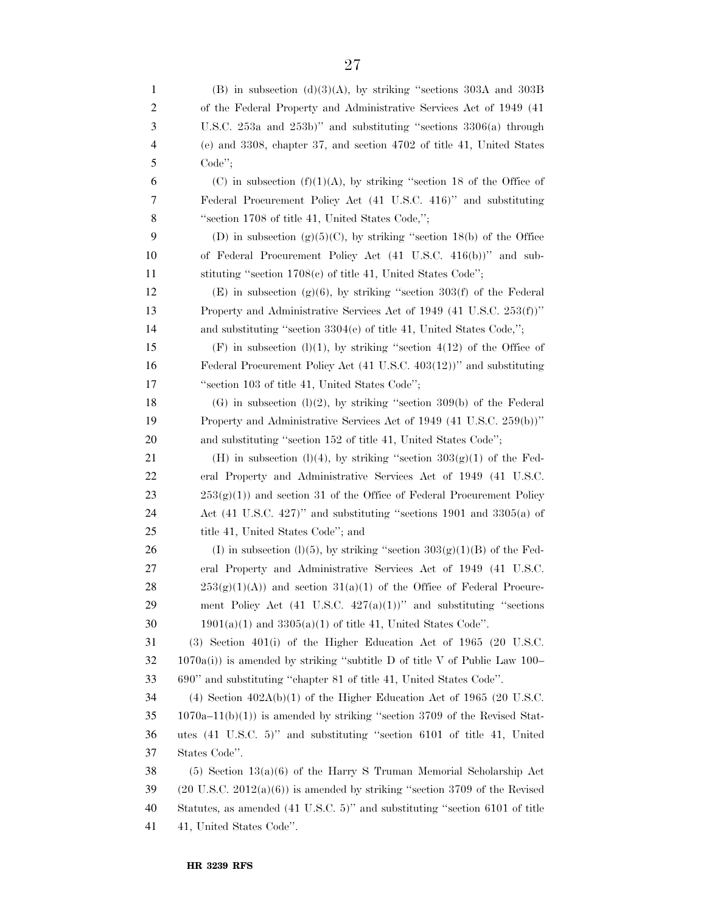| 1  | (B) in subsection (d)(3)(A), by striking "sections 303A and 303B                      |
|----|---------------------------------------------------------------------------------------|
| 2  | of the Federal Property and Administrative Services Act of 1949 (41)                  |
| 3  | U.S.C. $253a$ and $253b$ )" and substituting "sections $3306(a)$ through              |
| 4  | (e) and 3308, chapter 37, and section 4702 of title 41, United States                 |
| 5  | Code";                                                                                |
| 6  | (C) in subsection $(f)(1)(A)$ , by striking "section 18 of the Office of              |
| 7  | Federal Procurement Policy Act (41 U.S.C. 416)" and substituting                      |
| 8  | "section 1708 of title 41, United States Code,";                                      |
| 9  | (D) in subsection $(g)(5)(C)$ , by striking "section 18(b) of the Office              |
| 10 | of Federal Procurement Policy Act (41 U.S.C. 416(b))" and sub-                        |
| 11 | stituting "section 1708(c) of title 41, United States Code";                          |
| 12 | (E) in subsection (g)(6), by striking "section 303(f) of the Federal                  |
| 13 | Property and Administrative Services Act of 1949 (41 U.S.C. 253(f))"                  |
| 14 | and substituting "section $3304(e)$ of title 41, United States Code,";                |
| 15 | $(F)$ in subsection $(l)(1)$ , by striking "section 4(12) of the Office of            |
| 16 | Federal Procurement Policy Act (41 U.S.C. 403(12))" and substituting                  |
| 17 | "section 103 of title 41, United States Code";                                        |
| 18 | $(G)$ in subsection $(l)(2)$ , by striking "section 309(b) of the Federal             |
| 19 | Property and Administrative Services Act of 1949 (41 U.S.C. 259(b))"                  |
| 20 | and substituting "section 152 of title 41, United States Code";                       |
| 21 | (H) in subsection (l)(4), by striking "section $303(g)(1)$ of the Fed-                |
| 22 | eral Property and Administrative Services Act of 1949 (41 U.S.C.                      |
| 23 | $253(g(1))$ and section 31 of the Office of Federal Procurement Policy                |
| 24 | Act $(41 \text{ U.S.C. } 427)$ " and substituting "sections 1901 and 3305 $(a)$ of    |
| 25 | title 41, United States Code"; and                                                    |
| 26 | (I) in subsection (l)(5), by striking "section $303(g)(1)(B)$ of the Fed-             |
| 27 | eral Property and Administrative Services Act of 1949 (41 U.S.C.                      |
| 28 | $253(g)(1)(A)$ and section $31(a)(1)$ of the Office of Federal Procure-               |
| 29 | ment Policy Act (41 U.S.C. $427(a)(1)$ )" and substituting "sections                  |
| 30 | $1901(a)(1)$ and $3305(a)(1)$ of title 41, United States Code".                       |
| 31 | $(3)$ Section 401(i) of the Higher Education Act of 1965 (20 U.S.C.                   |
| 32 | $1070a(i)$ is amended by striking "subtitle D of title V of Public Law 100–           |
| 33 | 690" and substituting "chapter 81 of title 41, United States Code".                   |
| 34 | (4) Section $402A(b)(1)$ of the Higher Education Act of 1965 (20 U.S.C.               |
| 35 | $1070a-11(b)(1)$ is amended by striking "section 3709 of the Revised Stat-            |
| 36 | utes (41 U.S.C. 5)" and substituting "section 6101 of title 41, United                |
| 37 | States Code".                                                                         |
| 38 | $(5)$ Section 13(a)(6) of the Harry S Truman Memorial Scholarship Act                 |
| 39 | $(20 \text{ U.S.C. } 2012(a)(6))$ is amended by striking "section 3709 of the Revised |
| 40 | Statutes, as amended (41 U.S.C. 5)" and substituting "section 6101 of title           |
| 41 | 41, United States Code".                                                              |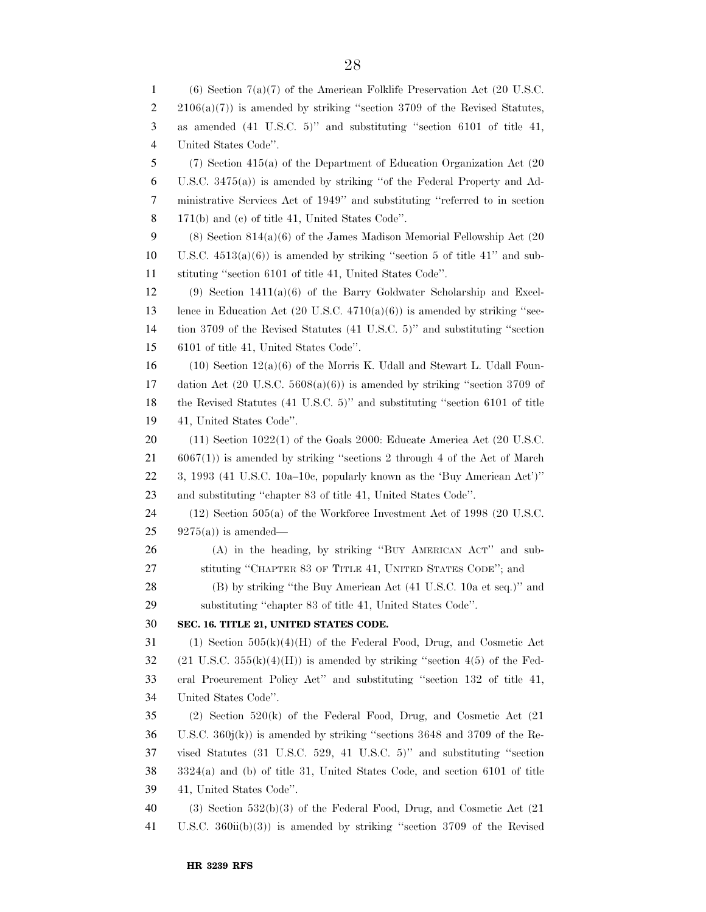(6) Section 7(a)(7) of the American Folklife Preservation Act (20 U.S.C.  $2 \quad 2106(a)(7)$  is amended by striking "section 3709 of the Revised Statutes, as amended (41 U.S.C. 5)'' and substituting ''section 6101 of title 41, United States Code''. (7) Section 415(a) of the Department of Education Organization Act (20 U.S.C. 3475(a)) is amended by striking ''of the Federal Property and Ad- ministrative Services Act of 1949'' and substituting ''referred to in section 171(b) and (c) of title 41, United States Code''. (8) Section 814(a)(6) of the James Madison Memorial Fellowship Act (20 10 U.S.C.  $4513(a)(6)$  is amended by striking "section 5 of title 41" and sub- stituting ''section 6101 of title 41, United States Code''. (9) Section 1411(a)(6) of the Barry Goldwater Scholarship and Excel-13 lence in Education Act  $(20 \text{ U.S.C. } 4710(a)(6))$  is amended by striking "sec- tion 3709 of the Revised Statutes (41 U.S.C. 5)'' and substituting ''section 6101 of title 41, United States Code''. 16 (10) Section  $12(a)(6)$  of the Morris K. Udall and Stewart L. Udall Foun- dation Act (20 U.S.C. 5608(a)(6)) is amended by striking ''section 3709 of the Revised Statutes (41 U.S.C. 5)'' and substituting ''section 6101 of title 41, United States Code''. 20 (11) Section 1022(1) of the Goals 2000: Educate America Act (20 U.S.C. 6067(1)) is amended by striking ''sections 2 through 4 of the Act of March 3, 1993 (41 U.S.C. 10a–10c, popularly known as the 'Buy American Act')'' and substituting ''chapter 83 of title 41, United States Code''. (12) Section 505(a) of the Workforce Investment Act of 1998 (20 U.S.C.  $25 \qquad 9275(a)$  is amended— (A) in the heading, by striking ''BUY AMERICAN ACT'' and sub- stituting ''CHAPTER 83 OF TITLE 41, UNITED STATES CODE''; and (B) by striking ''the Buy American Act (41 U.S.C. 10a et seq.)'' and substituting ''chapter 83 of title 41, United States Code''. **SEC. 16. TITLE 21, UNITED STATES CODE.**  (1) Section 505(k)(4)(H) of the Federal Food, Drug, and Cosmetic Act 32 (21 U.S.C. 355(k)(4)(H)) is amended by striking "section 4(5) of the Fed- eral Procurement Policy Act'' and substituting ''section 132 of title 41, United States Code''. (2) Section 520(k) of the Federal Food, Drug, and Cosmetic Act (21 U.S.C. 360j(k)) is amended by striking ''sections 3648 and 3709 of the Re- vised Statutes (31 U.S.C. 529, 41 U.S.C. 5)'' and substituting ''section 3324(a) and (b) of title 31, United States Code, and section 6101 of title 41, United States Code''. (3) Section 532(b)(3) of the Federal Food, Drug, and Cosmetic Act (21 U.S.C. 360ii(b)(3)) is amended by striking ''section 3709 of the Revised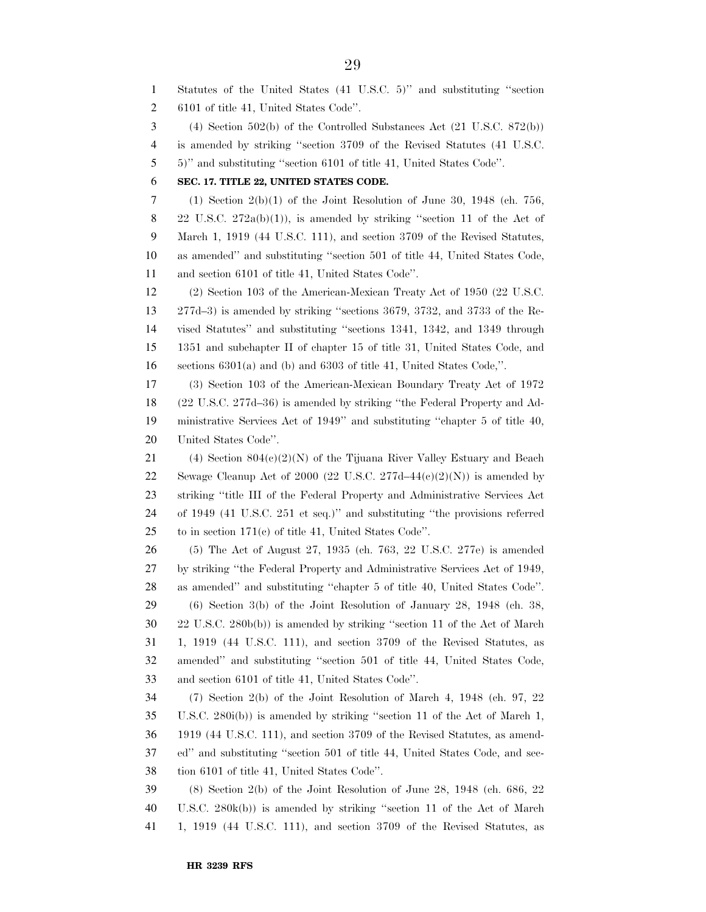Statutes of the United States (41 U.S.C. 5)'' and substituting ''section 6101 of title 41, United States Code''. (4) Section 502(b) of the Controlled Substances Act (21 U.S.C. 872(b)) is amended by striking ''section 3709 of the Revised Statutes (41 U.S.C. 5)'' and substituting ''section 6101 of title 41, United States Code''. **SEC. 17. TITLE 22, UNITED STATES CODE.**  7 (1) Section  $2(b)(1)$  of the Joint Resolution of June 30, 1948 (ch. 756, 8 22 U.S.C.  $272a(b)(1)$ , is amended by striking "section 11 of the Act of March 1, 1919 (44 U.S.C. 111), and section 3709 of the Revised Statutes, as amended'' and substituting ''section 501 of title 44, United States Code, and section 6101 of title 41, United States Code''. (2) Section 103 of the American-Mexican Treaty Act of 1950 (22 U.S.C. 277d–3) is amended by striking ''sections 3679, 3732, and 3733 of the Re- vised Statutes'' and substituting ''sections 1341, 1342, and 1349 through 1351 and subchapter II of chapter 15 of title 31, United States Code, and sections 6301(a) and (b) and 6303 of title 41, United States Code,''. (3) Section 103 of the American-Mexican Boundary Treaty Act of 1972 (22 U.S.C. 277d–36) is amended by striking ''the Federal Property and Ad- ministrative Services Act of 1949'' and substituting ''chapter 5 of title 40, United States Code''. 21 (4) Section  $804(e)(2)(N)$  of the Tijuana River Valley Estuary and Beach 22 Sewage Cleanup Act of 2000 (22 U.S.C. 277d–44 $(e)(2)(N)$ ) is amended by striking ''title III of the Federal Property and Administrative Services Act of 1949 (41 U.S.C. 251 et seq.)'' and substituting ''the provisions referred to in section 171(c) of title 41, United States Code''. (5) The Act of August 27, 1935 (ch. 763, 22 U.S.C. 277e) is amended by striking ''the Federal Property and Administrative Services Act of 1949, as amended'' and substituting ''chapter 5 of title 40, United States Code''. (6) Section 3(b) of the Joint Resolution of January 28, 1948 (ch. 38, 22 U.S.C. 280b(b)) is amended by striking ''section 11 of the Act of March 1, 1919 (44 U.S.C. 111), and section 3709 of the Revised Statutes, as amended'' and substituting ''section 501 of title 44, United States Code, and section 6101 of title 41, United States Code''. (7) Section 2(b) of the Joint Resolution of March 4, 1948 (ch. 97, 22 U.S.C. 280i(b)) is amended by striking ''section 11 of the Act of March 1, 1919 (44 U.S.C. 111), and section 3709 of the Revised Statutes, as amend- ed'' and substituting ''section 501 of title 44, United States Code, and sec- tion 6101 of title 41, United States Code''. (8) Section 2(b) of the Joint Resolution of June 28, 1948 (ch. 686, 22 U.S.C. 280k(b)) is amended by striking ''section 11 of the Act of March 1, 1919 (44 U.S.C. 111), and section 3709 of the Revised Statutes, as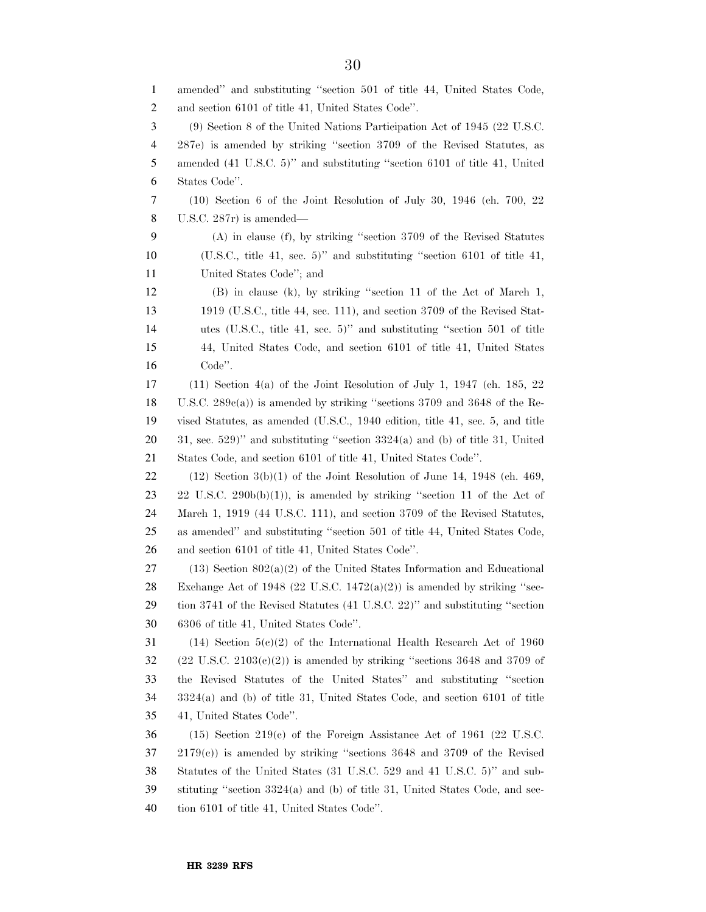amended'' and substituting ''section 501 of title 44, United States Code, and section 6101 of title 41, United States Code''. (9) Section 8 of the United Nations Participation Act of 1945 (22 U.S.C. 287e) is amended by striking ''section 3709 of the Revised Statutes, as amended (41 U.S.C. 5)'' and substituting ''section 6101 of title 41, United States Code''. (10) Section 6 of the Joint Resolution of July 30, 1946 (ch. 700, 22 U.S.C. 287r) is amended— (A) in clause (f), by striking ''section 3709 of the Revised Statutes (U.S.C., title 41, sec. 5)'' and substituting ''section 6101 of title 41, United States Code''; and (B) in clause (k), by striking ''section 11 of the Act of March 1, 1919 (U.S.C., title 44, sec. 111), and section 3709 of the Revised Stat- utes (U.S.C., title 41, sec. 5)'' and substituting ''section 501 of title 44, United States Code, and section 6101 of title 41, United States Code''. (11) Section 4(a) of the Joint Resolution of July 1, 1947 (ch. 185, 22 U.S.C. 289c(a)) is amended by striking ''sections 3709 and 3648 of the Re- vised Statutes, as amended (U.S.C., 1940 edition, title 41, sec. 5, and title , sec. 529)'' and substituting "section  $3324(a)$  and (b) of title 31, United States Code, and section 6101 of title 41, United States Code''. 22 (12) Section  $3(b)(1)$  of the Joint Resolution of June 14, 1948 (ch. 469, 23 22 U.S.C. 290 $b(b)(1)$ , is amended by striking "section 11 of the Act of March 1, 1919 (44 U.S.C. 111), and section 3709 of the Revised Statutes, as amended'' and substituting ''section 501 of title 44, United States Code, and section 6101 of title 41, United States Code''. 27 (13) Section  $802(a)(2)$  of the United States Information and Educational 28 Exchange Act of 1948 (22 U.S.C.  $1472(a)(2)$ ) is amended by striking "sec- tion 3741 of the Revised Statutes (41 U.S.C. 22)'' and substituting ''section 6306 of title 41, United States Code''. (14) Section 5(c)(2) of the International Health Research Act of 1960 (22 U.S.C. 2103(e)(2)) is amended by striking "sections 3648 and 3709 of the Revised Statutes of the United States'' and substituting ''section 3324(a) and (b) of title 31, United States Code, and section 6101 of title 41, United States Code''. (15) Section 219(c) of the Foreign Assistance Act of 1961 (22 U.S.C. 2179(c)) is amended by striking ''sections 3648 and 3709 of the Revised Statutes of the United States (31 U.S.C. 529 and 41 U.S.C. 5)'' and sub- stituting ''section 3324(a) and (b) of title 31, United States Code, and sec-tion 6101 of title 41, United States Code''.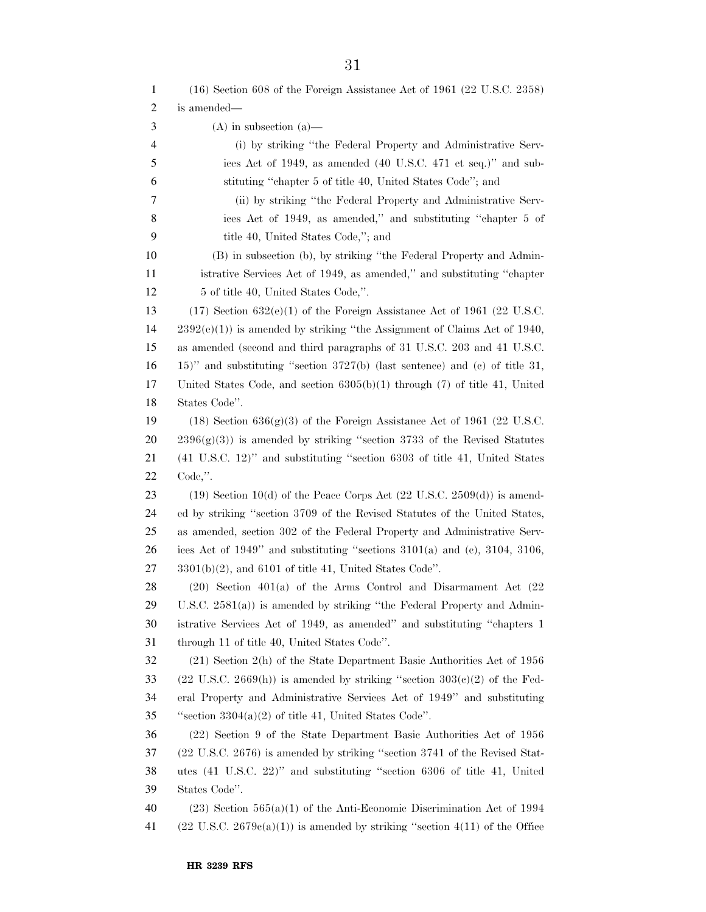| 1  | (16) Section 608 of the Foreign Assistance Act of 1961 (22 U.S.C. 2358)                              |
|----|------------------------------------------------------------------------------------------------------|
| 2  | is amended—                                                                                          |
| 3  | $(A)$ in subsection $(a)$ —                                                                          |
| 4  | (i) by striking "the Federal Property and Administrative Serv-                                       |
| 5  | ices Act of 1949, as amended (40 U.S.C. 471 et seq.)" and sub-                                       |
| 6  | stituting "chapter 5 of title 40, United States Code"; and                                           |
| 7  | (ii) by striking "the Federal Property and Administrative Serv-                                      |
| 8  | ices Act of 1949, as amended," and substituting "chapter 5 of                                        |
| 9  | title 40, United States Code,"; and                                                                  |
| 10 | (B) in subsection (b), by striking "the Federal Property and Admin-                                  |
| 11 | istrative Services Act of 1949, as amended," and substituting "chapter                               |
| 12 | 5 of title 40, United States Code,".                                                                 |
| 13 | $(17)$ Section 632(e)(1) of the Foreign Assistance Act of 1961 (22 U.S.C.                            |
| 14 | $2392(e)(1)$ is amended by striking "the Assignment of Claims Act of 1940,                           |
| 15 | as amended (second and third paragraphs of 31 U.S.C. 203 and 41 U.S.C.                               |
| 16 | $15$ )" and substituting "section $3727(b)$ (last sentence) and (c) of title 31,                     |
| 17 | United States Code, and section $6305(b)(1)$ through (7) of title 41, United                         |
| 18 | States Code".                                                                                        |
| 19 | $(18)$ Section 636(g)(3) of the Foreign Assistance Act of 1961 (22 U.S.C.                            |
| 20 | $2396(g)(3)$ is amended by striking "section 3733 of the Revised Statutes                            |
| 21 | $(41 \t{U.S.C.} 12)"$ and substituting "section 6303 of title 41, United States                      |
| 22 | $Code,$ ".                                                                                           |
| 23 | $(19)$ Section 10(d) of the Peace Corps Act $(22 \text{ U.S.C. } 2509(d))$ is amend-                 |
| 24 | ed by striking "section 3709 of the Revised Statutes of the United States,                           |
| 25 | as amended, section 302 of the Federal Property and Administrative Serv-                             |
| 26 | ices Act of $1949$ " and substituting "sections $3101(a)$ and (c), $3104$ , $3106$ ,                 |
| 27 | $3301(b)(2)$ , and 6101 of title 41, United States Code".                                            |
| 28 | $(20)$ Section $401(a)$ of the Arms Control and Disarmament Act $(22)$                               |
| 29 | U.S.C. $2581(a)$ is amended by striking "the Federal Property and Admin-                             |
| 30 | istrative Services Act of 1949, as amended" and substituting "chapters 1                             |
| 31 | through 11 of title 40, United States Code".                                                         |
| 32 | $(21)$ Section $2(h)$ of the State Department Basic Authorities Act of 1956                          |
| 33 | $(22 \text{ U.S.C. } 2669(\text{h}))$ is amended by striking "section $303(\text{e})(2)$ of the Fed- |
| 34 | eral Property and Administrative Services Act of 1949" and substituting                              |
| 35 | "section $3304(a)(2)$ of title 41, United States Code".                                              |
| 36 | (22) Section 9 of the State Department Basic Authorities Act of 1956                                 |
| 37 | (22 U.S.C. 2676) is amended by striking "section 3741 of the Revised Stat-                           |
| 38 | utes (41 U.S.C. 22)" and substituting "section 6306 of title 41, United                              |
| 39 | States Code".                                                                                        |
| 40 | $(23)$ Section 565(a)(1) of the Anti-Economic Discrimination Act of 1994                             |
| 41 | $(22 \text{ U.S.C. } 2679e(a)(1))$ is amended by striking "section 4(11) of the Office               |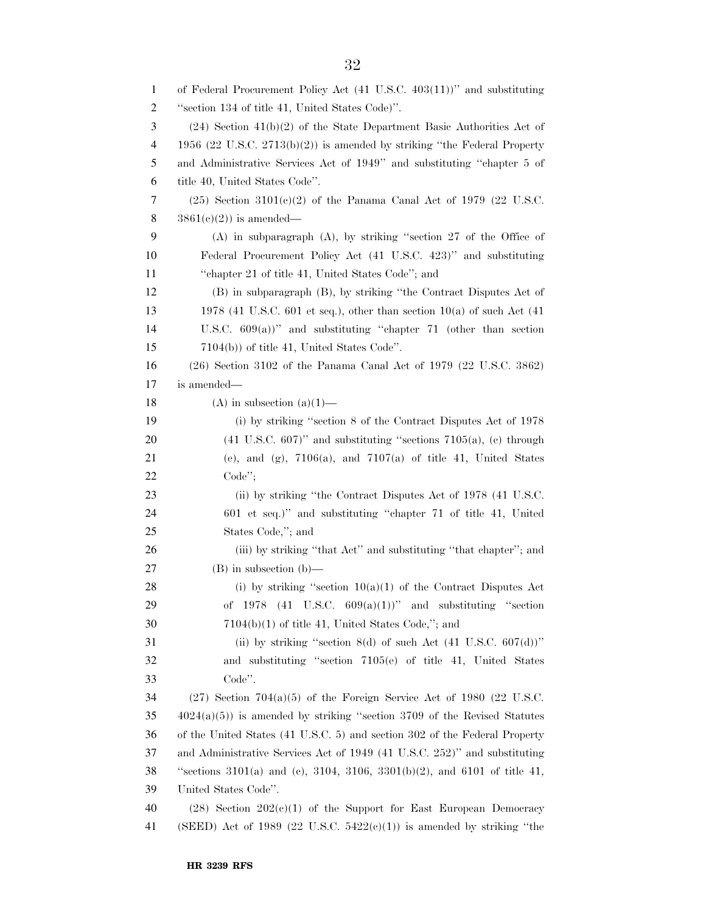| $\mathbf{1}$   | of Federal Procurement Policy Act (41 U.S.C. 403(11))" and substituting         |
|----------------|---------------------------------------------------------------------------------|
| $\overline{c}$ | "section 134 of title 41, United States Code)".                                 |
| 3              | $(24)$ Section $41(b)(2)$ of the State Department Basic Authorities Act of      |
| $\overline{4}$ | 1956 (22 U.S.C. $2713(b)(2)$ ) is amended by striking "the Federal Property     |
| 5              | and Administrative Services Act of 1949" and substituting "chapter 5 of         |
| 6              | title 40, United States Code".                                                  |
| 7              | $(25)$ Section 3101(c)(2) of the Panama Canal Act of 1979 (22 U.S.C.            |
| 8              | $3861(e)(2)$ is amended—                                                        |
| 9              | $(A)$ in subparagraph $(A)$ , by striking "section 27 of the Office of          |
| 10             | Federal Procurement Policy Act (41 U.S.C. 423)" and substituting                |
| 11             | "chapter 21 of title 41, United States Code"; and                               |
| 12             | (B) in subparagraph (B), by striking "the Contract Disputes Act of              |
| 13             | 1978 (41 U.S.C. 601 et seq.), other than section $10(a)$ of such Act (41        |
| 14             | U.S.C. $609(a)$ " and substituting "chapter 71 (other than section              |
| 15             | $7104(b)$ of title 41, United States Code".                                     |
| 16             | $(26)$ Section 3102 of the Panama Canal Act of 1979 $(22 \text{ U.S.C. } 3862)$ |
| 17             | is amended—                                                                     |
| 18             | (A) in subsection $(a)(1)$ —                                                    |
| 19             | (i) by striking "section 8 of the Contract Disputes Act of 1978                 |
| 20             | $(41 \text{ U.S.C. } 607)$ " and substituting "sections 7105(a), (c) through    |
| 21             | (e), and (g), $7106(a)$ , and $7107(a)$ of title 41, United States              |
| 22             | $Code$ <sup>"</sup> ;                                                           |
| 23             | (ii) by striking "the Contract Disputes Act of 1978 (41 U.S.C.                  |
| 24             | 601 et seq.)" and substituting "chapter 71 of title 41, United                  |
| 25             | States Code,"; and                                                              |
| 26             | (iii) by striking "that Act" and substituting "that chapter"; and               |
| 27             | $(B)$ in subsection $(b)$ —                                                     |
| 28             | (i) by striking "section $10(a)(1)$ of the Contract Disputes Act                |
| 29             | of 1978 (41 U.S.C. $609(a)(1)$ )" and substituting "section                     |
| 30             | $7104(b)(1)$ of title 41, United States Code,"; and                             |
| 31             | (ii) by striking "section 8(d) of such Act $(41 \text{ U.S.C. } 607(d))$ "      |
| 32             | and substituting "section 7105(e) of title 41, United States                    |
| 33             | Code".                                                                          |
| 34             | $(27)$ Section 704(a)(5) of the Foreign Service Act of 1980 (22 U.S.C.          |
| 35             | $4024(a)(5)$ ) is amended by striking "section 3709 of the Revised Statutes     |
| 36             | of the United States (41 U.S.C. 5) and section 302 of the Federal Property      |
| 37             | and Administrative Services Act of 1949 (41 U.S.C. 252)" and substituting       |
| 38             | "sections 3101(a) and (c), 3104, 3106, 3301(b)(2), and 6101 of title 41,        |
| 39             | United States Code".                                                            |
| 40             | $(28)$ Section $202(c)(1)$ of the Support for East European Democracy           |
| 41             | (SEED) Act of 1989 (22 U.S.C. $5422(e)(1)$ ) is amended by striking "the        |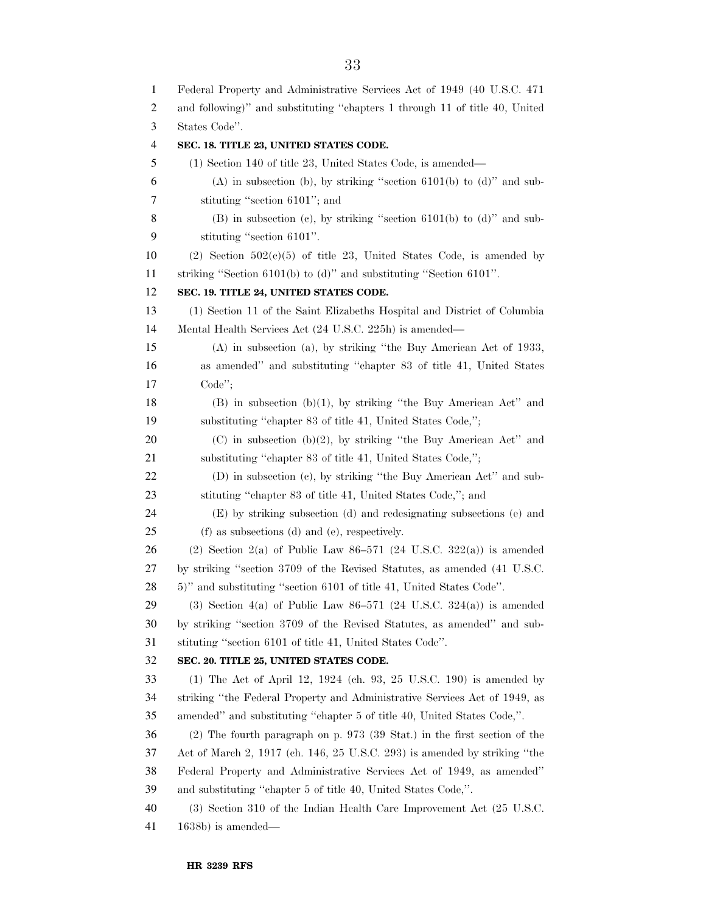Federal Property and Administrative Services Act of 1949 (40 U.S.C. 471 and following)'' and substituting ''chapters 1 through 11 of title 40, United States Code''. **SEC. 18. TITLE 23, UNITED STATES CODE.**  (1) Section 140 of title 23, United States Code, is amended— 6 (A) in subsection (b), by striking "section 6101(b) to (d)" and sub- stituting ''section 6101''; and (B) in subsection (c), by striking ''section 6101(b) to (d)'' and sub- stituting ''section 6101''. 10 (2) Section  $502(e)(5)$  of title 23, United States Code, is amended by striking ''Section 6101(b) to (d)'' and substituting ''Section 6101''. **SEC. 19. TITLE 24, UNITED STATES CODE.**  (1) Section 11 of the Saint Elizabeths Hospital and District of Columbia Mental Health Services Act (24 U.S.C. 225h) is amended— (A) in subsection (a), by striking ''the Buy American Act of 1933, as amended'' and substituting ''chapter 83 of title 41, United States Code''; 18 (B) in subsection (b)(1), by striking "the Buy American Act" and substituting ''chapter 83 of title 41, United States Code,''; 20 (C) in subsection (b)(2), by striking "the Buy American Act" and 21 substituting "chapter 83 of title 41, United States Code,"; (D) in subsection (c), by striking ''the Buy American Act'' and sub- stituting ''chapter 83 of title 41, United States Code,''; and (E) by striking subsection (d) and redesignating subsections (e) and (f) as subsections (d) and (e), respectively. 26 (2) Section 2(a) of Public Law  $86-571$  (24 U.S.C. 322(a)) is amended by striking ''section 3709 of the Revised Statutes, as amended (41 U.S.C. 5)'' and substituting ''section 6101 of title 41, United States Code''. 29 (3) Section 4(a) of Public Law  $86-571$  (24 U.S.C. 324(a)) is amended by striking ''section 3709 of the Revised Statutes, as amended'' and sub- stituting ''section 6101 of title 41, United States Code''. **SEC. 20. TITLE 25, UNITED STATES CODE.**  (1) The Act of April 12, 1924 (ch. 93, 25 U.S.C. 190) is amended by striking ''the Federal Property and Administrative Services Act of 1949, as amended'' and substituting ''chapter 5 of title 40, United States Code,''. (2) The fourth paragraph on p. 973 (39 Stat.) in the first section of the Act of March 2, 1917 (ch. 146, 25 U.S.C. 293) is amended by striking ''the Federal Property and Administrative Services Act of 1949, as amended'' and substituting ''chapter 5 of title 40, United States Code,''. (3) Section 310 of the Indian Health Care Improvement Act (25 U.S.C. 1638b) is amended—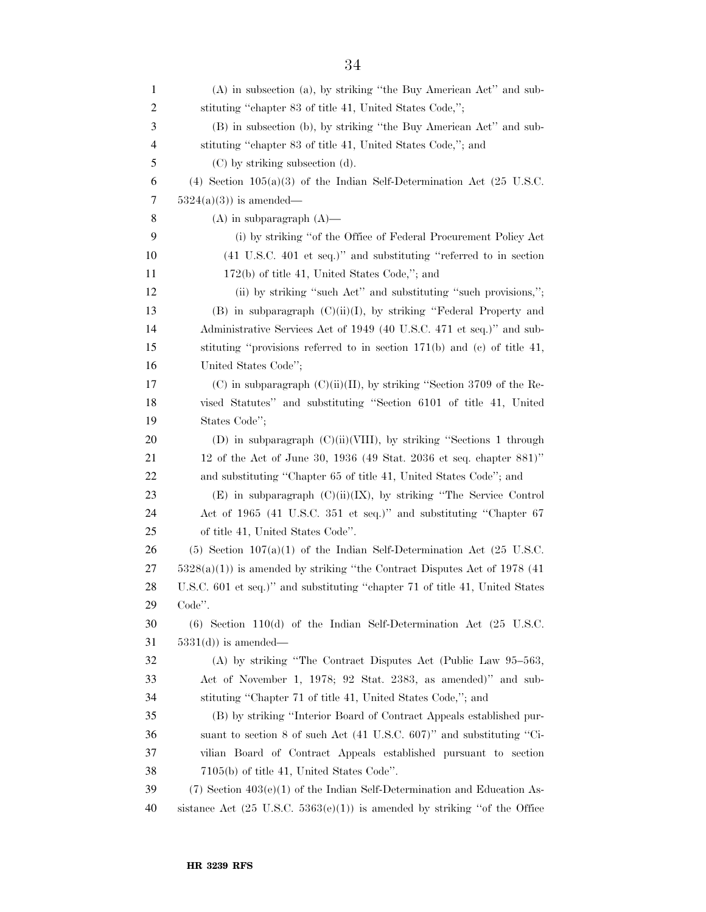| $\mathbf{1}$ | (A) in subsection (a), by striking "the Buy American Act" and sub-                   |
|--------------|--------------------------------------------------------------------------------------|
| 2            | stituting "chapter 83 of title 41, United States Code,";                             |
| 3            | (B) in subsection (b), by striking "the Buy American Act" and sub-                   |
| 4            | stituting "chapter 83 of title 41, United States Code,"; and                         |
| 5            | $(C)$ by striking subsection $(d)$ .                                                 |
| 6            | (4) Section $105(a)(3)$ of the Indian Self-Determination Act (25 U.S.C.              |
| 7            | $5324(a)(3)$ is amended—                                                             |
| 8            | $(A)$ in subparagraph $(A)$ —                                                        |
| 9            | (i) by striking "of the Office of Federal Procurement Policy Act                     |
| 10           | (41 U.S.C. 401 et seq.)" and substituting "referred to in section                    |
| 11           | $172(b)$ of title 41, United States Code,"; and                                      |
| 12           | (ii) by striking "such Act" and substituting "such provisions,";                     |
| 13           | (B) in subparagraph $(C)(ii)(I)$ , by striking "Federal Property and                 |
| 14           | Administrative Services Act of 1949 (40 U.S.C. 471 et seq.)" and sub-                |
| 15           | stituting "provisions referred to in section $171(b)$ and (c) of title 41,           |
| 16           | United States Code";                                                                 |
| 17           | (C) in subparagraph $(C)(ii)(II)$ , by striking "Section 3709 of the Re-             |
| 18           | vised Statutes" and substituting "Section 6101 of title 41, United                   |
| 19           | States Code";                                                                        |
| 20           | (D) in subparagraph $(C)(ii)(VIII)$ , by striking "Sections 1 through                |
| 21           | 12 of the Act of June 30, 1936 (49 Stat. 2036 et seq. chapter 881)"                  |
| 22           | and substituting "Chapter 65 of title 41, United States Code"; and                   |
| 23           | $(E)$ in subparagraph $(C)(ii)(IX)$ , by striking "The Service Control               |
| 24           | Act of 1965 (41 U.S.C. 351 et seq.)" and substituting "Chapter 67                    |
| 25           | of title 41, United States Code".                                                    |
| 26           | $(5)$ Section 107(a)(1) of the Indian Self-Determination Act (25 U.S.C.              |
| 27           | $5328(a)(1)$ is amended by striking "the Contract Disputes Act of 1978 (41)          |
| 28           | U.S.C. 601 et seq.)" and substituting "chapter 71 of title 41, United States         |
| 29           | Code".                                                                               |
| 30           | $(6)$ Section 110 $(d)$ of the Indian Self-Determination Act $(25 \text{ U.S.C.})$   |
| 31           | $5331(d)$ is amended—                                                                |
| 32           | (A) by striking "The Contract Disputes Act (Public Law 95-563,                       |
| 33           | Act of November 1, 1978; 92 Stat. 2383, as amended)" and sub-                        |
| 34           | stituting "Chapter 71 of title 41, United States Code,"; and                         |
| 35           | (B) by striking "Interior Board of Contract Appeals established pur-                 |
| 36           | suant to section 8 of such Act (41 U.S.C. 607)" and substituting "Ci-                |
| 37           | vilian Board of Contract Appeals established pursuant to section                     |
| 38           | $7105(b)$ of title 41, United States Code".                                          |
| 39           | $(7)$ Section $403(e)(1)$ of the Indian Self-Determination and Education As-         |
| 40           | sistance Act $(25 \text{ U.S.C. } 5363(e)(1))$ is amended by striking "of the Office |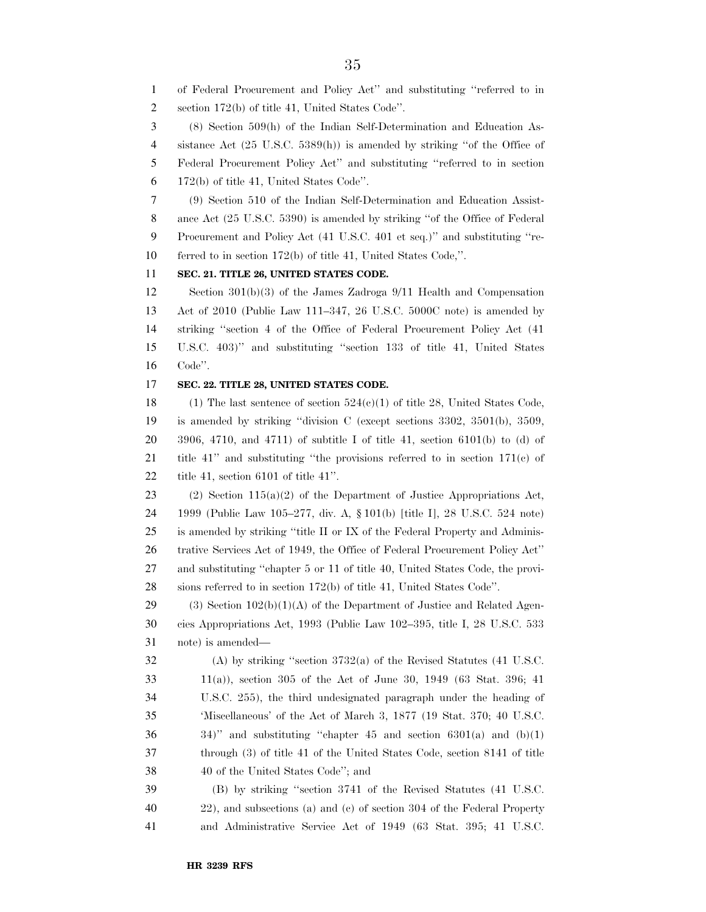of Federal Procurement and Policy Act'' and substituting ''referred to in

section 172(b) of title 41, United States Code''.

(8) Section 509(h) of the Indian Self-Determination and Education As-

sistance Act (25 U.S.C. 5389(h)) is amended by striking ''of the Office of

Federal Procurement Policy Act'' and substituting ''referred to in section

172(b) of title 41, United States Code''.

 (9) Section 510 of the Indian Self-Determination and Education Assist- ance Act (25 U.S.C. 5390) is amended by striking ''of the Office of Federal Procurement and Policy Act (41 U.S.C. 401 et seq.)'' and substituting ''re-ferred to in section 172(b) of title 41, United States Code,''.

**SEC. 21. TITLE 26, UNITED STATES CODE.** 

 Section 301(b)(3) of the James Zadroga 9/11 Health and Compensation Act of 2010 (Public Law 111–347, 26 U.S.C. 5000C note) is amended by striking ''section 4 of the Office of Federal Procurement Policy Act (41 U.S.C. 403)'' and substituting ''section 133 of title 41, United States Code''.

### **SEC. 22. TITLE 28, UNITED STATES CODE.**

18 (1) The last sentence of section  $524(e)(1)$  of title 28, United States Code, is amended by striking ''division C (except sections 3302, 3501(b), 3509, 3906, 4710, and 4711) of subtitle I of title 41, section 6101(b) to (d) of title 41'' and substituting ''the provisions referred to in section 171(c) of title 41, section 6101 of title 41''.

23 (2) Section  $115(a)(2)$  of the Department of Justice Appropriations Act, 1999 (Public Law 105–277, div. A, § 101(b) [title I], 28 U.S.C. 524 note) is amended by striking ''title II or IX of the Federal Property and Adminis- trative Services Act of 1949, the Office of Federal Procurement Policy Act'' and substituting ''chapter 5 or 11 of title 40, United States Code, the provi-sions referred to in section 172(b) of title 41, United States Code''.

29 (3) Section  $102(b)(1)(A)$  of the Department of Justice and Related Agen- cies Appropriations Act, 1993 (Public Law 102–395, title I, 28 U.S.C. 533 note) is amended—

 (A) by striking ''section 3732(a) of the Revised Statutes (41 U.S.C. 11(a)), section 305 of the Act of June 30, 1949 (63 Stat. 396; 41 U.S.C. 255), the third undesignated paragraph under the heading of 'Miscellaneous' of the Act of March 3, 1877 (19 Stat. 370; 40 U.S.C.  $34$ )" and substituting "chapter  $45$  and section  $6301(a)$  and  $(b)(1)$  through (3) of title 41 of the United States Code, section 8141 of title 40 of the United States Code''; and

 (B) by striking ''section 3741 of the Revised Statutes (41 U.S.C. 22), and subsections (a) and (c) of section 304 of the Federal Property and Administrative Service Act of 1949 (63 Stat. 395; 41 U.S.C.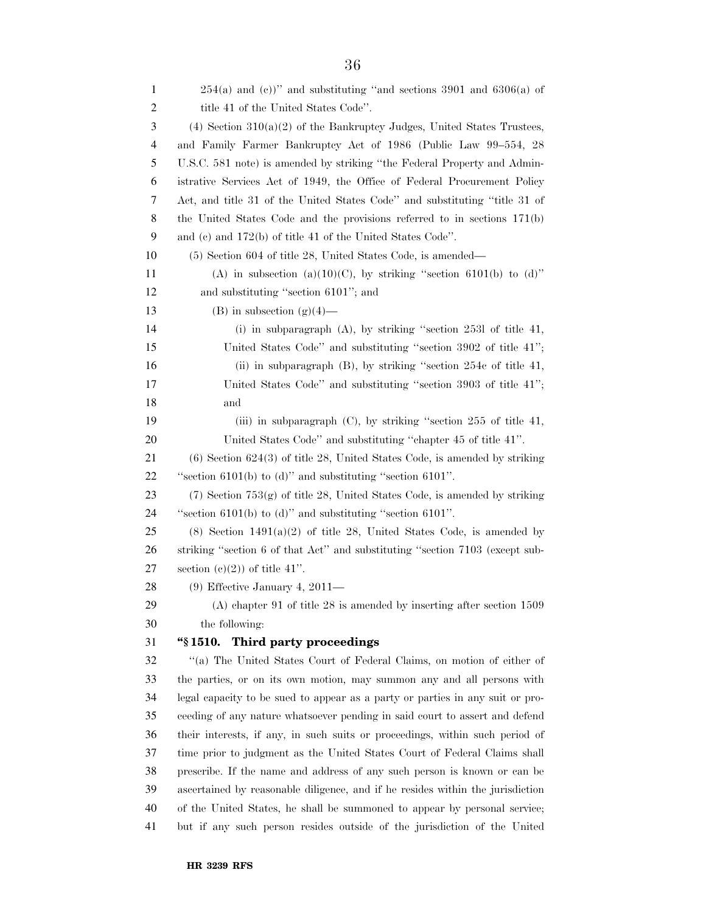| 1  | $254(a)$ and (c))" and substituting "and sections 3901 and 6306(a) of           |
|----|---------------------------------------------------------------------------------|
| 2  | title 41 of the United States Code".                                            |
| 3  | $(4)$ Section 310(a)(2) of the Bankruptcy Judges, United States Trustees,       |
| 4  | and Family Farmer Bankruptcy Act of 1986 (Public Law 99-554, 28                 |
| 5  | U.S.C. 581 note) is amended by striking "the Federal Property and Admin-        |
| 6  | istrative Services Act of 1949, the Office of Federal Procurement Policy        |
| 7  | Act, and title 31 of the United States Code" and substituting "title 31 of      |
| 8  | the United States Code and the provisions referred to in sections 171(b)        |
| 9  | and (c) and $172(b)$ of title 41 of the United States Code".                    |
| 10 | (5) Section 604 of title 28, United States Code, is amended—                    |
| 11 | (A) in subsection (a)(10)(C), by striking "section 6101(b) to (d)"              |
| 12 | and substituting "section 6101"; and                                            |
| 13 | $(B)$ in subsection $(g)(4)$ —                                                  |
| 14 | (i) in subparagraph $(A)$ , by striking "section 2531 of title 41,              |
| 15 | United States Code" and substituting "section 3902 of title 41";                |
| 16 | (ii) in subparagraph $(B)$ , by striking "section 254 $c$ of title 41,          |
| 17 | United States Code" and substituting "section 3903 of title 41";                |
| 18 | and                                                                             |
| 19 | (iii) in subparagraph $(C)$ , by striking "section 255 of title 41,             |
| 20 | United States Code" and substituting "chapter 45 of title 41".                  |
| 21 | $(6)$ Section 624 $(3)$ of title 28, United States Code, is amended by striking |
| 22 | "section $6101(b)$ to (d)" and substituting "section $6101$ ".                  |
| 23 | $(7)$ Section $753(g)$ of title 28, United States Code, is amended by striking  |
| 24 | "section $6101(b)$ to (d)" and substituting "section $6101$ ".                  |
| 25 | $(8)$ Section 1491 $(a)(2)$ of title 28, United States Code, is amended by      |
| 26 | striking "section 6 of that Act" and substituting "section 7103 (except sub-    |
| 27 | section $(c)(2)$ of title 41".                                                  |
| 28 | $(9)$ Effective January 4, 2011—                                                |
| 29 | $(A)$ chapter 91 of title 28 is amended by inserting after section 1509         |
| 30 | the following:                                                                  |
| 31 | "\\$1510. Third party proceedings                                               |
| 32 | "(a) The United States Court of Federal Claims, on motion of either of          |
| 33 | the parties, or on its own motion, may summon any and all persons with          |
| 34 | legal capacity to be sued to appear as a party or parties in any suit or pro-   |
| 35 | ceeding of any nature whatsoever pending in said court to assert and defend     |
| 36 | their interests, if any, in such suits or proceedings, within such period of    |
| 37 | time prior to judgment as the United States Court of Federal Claims shall       |
| 38 | prescribe. If the name and address of any such person is known or can be        |
| 39 | ascertained by reasonable diligence, and if he resides within the jurisdiction  |
| 40 | of the United States, he shall be summoned to appear by personal service;       |
| 41 | but if any such person resides outside of the jurisdiction of the United        |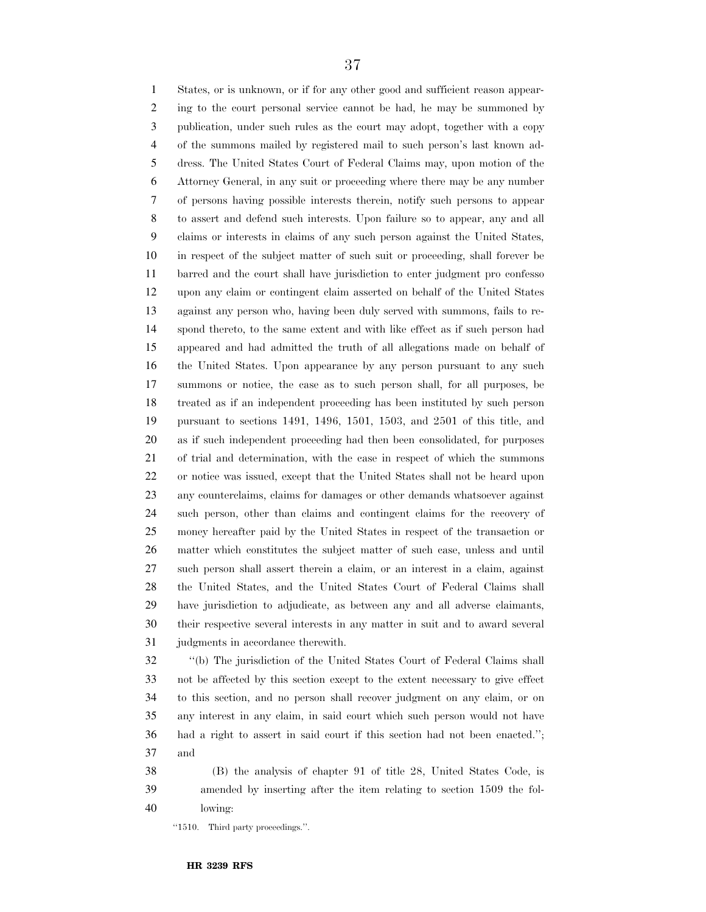States, or is unknown, or if for any other good and sufficient reason appear- ing to the court personal service cannot be had, he may be summoned by publication, under such rules as the court may adopt, together with a copy of the summons mailed by registered mail to such person's last known ad- dress. The United States Court of Federal Claims may, upon motion of the Attorney General, in any suit or proceeding where there may be any number of persons having possible interests therein, notify such persons to appear to assert and defend such interests. Upon failure so to appear, any and all claims or interests in claims of any such person against the United States, in respect of the subject matter of such suit or proceeding, shall forever be barred and the court shall have jurisdiction to enter judgment pro confesso upon any claim or contingent claim asserted on behalf of the United States against any person who, having been duly served with summons, fails to re- spond thereto, to the same extent and with like effect as if such person had appeared and had admitted the truth of all allegations made on behalf of the United States. Upon appearance by any person pursuant to any such summons or notice, the case as to such person shall, for all purposes, be treated as if an independent proceeding has been instituted by such person pursuant to sections 1491, 1496, 1501, 1503, and 2501 of this title, and as if such independent proceeding had then been consolidated, for purposes of trial and determination, with the case in respect of which the summons or notice was issued, except that the United States shall not be heard upon any counterclaims, claims for damages or other demands whatsoever against such person, other than claims and contingent claims for the recovery of money hereafter paid by the United States in respect of the transaction or matter which constitutes the subject matter of such case, unless and until such person shall assert therein a claim, or an interest in a claim, against the United States, and the United States Court of Federal Claims shall have jurisdiction to adjudicate, as between any and all adverse claimants, their respective several interests in any matter in suit and to award several judgments in accordance therewith.

 ''(b) The jurisdiction of the United States Court of Federal Claims shall not be affected by this section except to the extent necessary to give effect to this section, and no person shall recover judgment on any claim, or on any interest in any claim, in said court which such person would not have had a right to assert in said court if this section had not been enacted.''; and

 (B) the analysis of chapter 91 of title 28, United States Code, is amended by inserting after the item relating to section 1509 the fol-lowing:

''1510. Third party proceedings.''.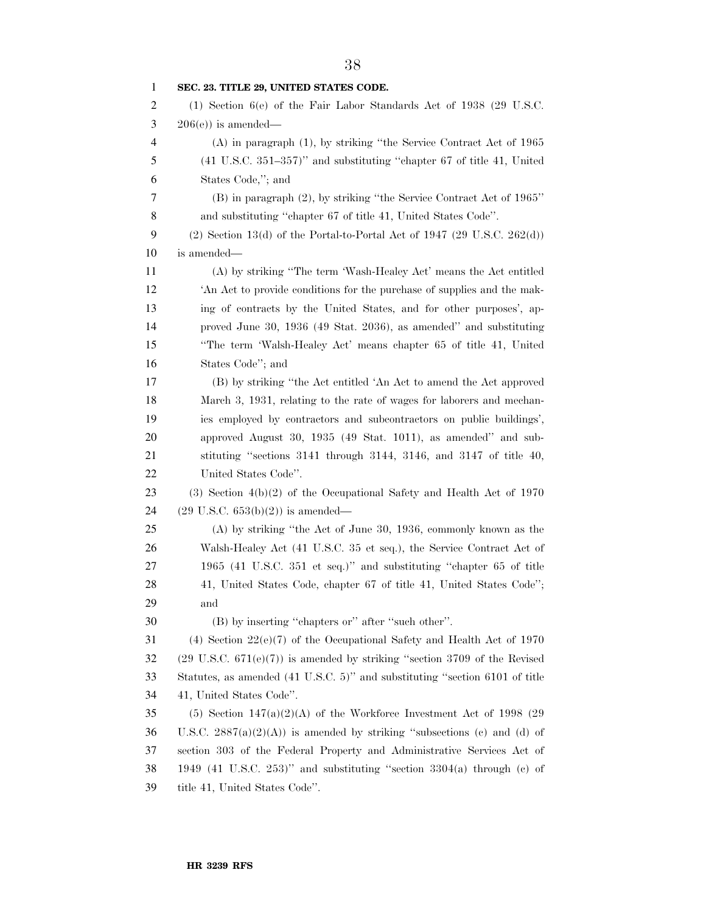| 1              | SEC. 23. TITLE 29, UNITED STATES CODE.                                               |
|----------------|--------------------------------------------------------------------------------------|
| 2              | (1) Section $6(e)$ of the Fair Labor Standards Act of 1938 (29 U.S.C.                |
| 3              | $206(e)$ is amended—                                                                 |
| $\overline{4}$ | $(A)$ in paragraph $(1)$ , by striking "the Service Contract Act of 1965             |
| 5              | $(41 \text{ U.S.C. } 351-357)$ " and substituting "chapter 67 of title 41, United    |
| 6              | States Code,"; and                                                                   |
| 7              | (B) in paragraph (2), by striking "the Service Contract Act of 1965"                 |
| 8              | and substituting "chapter 67 of title 41, United States Code".                       |
| 9              | $(2)$ Section 13(d) of the Portal-to-Portal Act of 1947 (29 U.S.C. 262(d))           |
| 10             | is amended—                                                                          |
| 11             | (A) by striking "The term 'Wash-Healey Act' means the Act entitled                   |
| 12             | An Act to provide conditions for the purchase of supplies and the mak-               |
| 13             | ing of contracts by the United States, and for other purposes', ap-                  |
| 14             | proved June 30, 1936 (49 Stat. 2036), as amended" and substituting                   |
| 15             | "The term 'Walsh-Healey Act' means chapter 65 of title 41, United                    |
| 16             | States Code"; and                                                                    |
| 17             | (B) by striking "the Act entitled 'An Act to amend the Act approved                  |
| 18             | March 3, 1931, relating to the rate of wages for laborers and mechan-                |
| 19             | ics employed by contractors and subcontractors on public buildings',                 |
| 20             | approved August 30, 1935 (49 Stat. 1011), as amended" and sub-                       |
| 21             | stituting "sections 3141 through 3144, 3146, and 3147 of title 40,                   |
| 22             | United States Code".                                                                 |
| 23             | $(3)$ Section $4(b)(2)$ of the Occupational Safety and Health Act of 1970            |
| 24             | $(29 \text{ U.S.C. } 653(b)(2))$ is amended—                                         |
| 25             | (A) by striking "the Act of June 30, 1936, commonly known as the                     |
| 26             | Walsh-Healey Act (41 U.S.C. 35 et seq.), the Service Contract Act of                 |
| 27             | 1965 (41 U.S.C. 351 et seq.)" and substituting "chapter 65 of title                  |
| 28             | 41, United States Code, chapter 67 of title 41, United States Code";                 |
| 29             | and                                                                                  |
| 30             | (B) by inserting "chapters or" after "such other".                                   |
| 31             | (4) Section $22(e)(7)$ of the Occupational Safety and Health Act of 1970             |
| 32             | $(29 \text{ U.S.C. } 671(e)(7))$ is amended by striking "section 3709 of the Revised |
| 33             | Statutes, as amended (41 U.S.C. 5)" and substituting "section 6101 of title          |
| 34             | 41, United States Code".                                                             |
| 35             | (5) Section $147(a)(2)(A)$ of the Workforce Investment Act of 1998 (29)              |
| 36             | U.S.C. $2887(a)(2)(A)$ is amended by striking "subsections (c) and (d) of            |
| 37             | section 303 of the Federal Property and Administrative Services Act of               |
| 38             | 1949 (41 U.S.C. 253)" and substituting "section $3304(a)$ through (c) of             |
| 39             | title 41, United States Code".                                                       |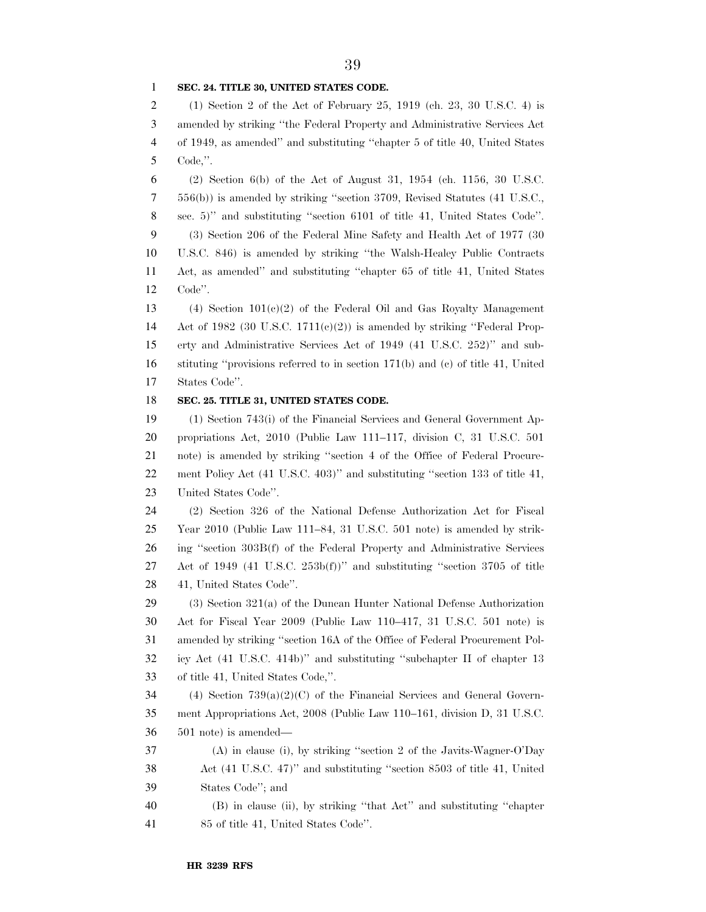#### **SEC. 24. TITLE 30, UNITED STATES CODE.**

 (1) Section 2 of the Act of February 25, 1919 (ch. 23, 30 U.S.C. 4) is amended by striking ''the Federal Property and Administrative Services Act of 1949, as amended'' and substituting ''chapter 5 of title 40, United States Code,''.

6 (2) Section 6(b) of the Act of August 31, 1954 (ch. 1156, 30 U.S.C. 556(b)) is amended by striking ''section 3709, Revised Statutes (41 U.S.C., sec. 5)'' and substituting ''section 6101 of title 41, United States Code''. (3) Section 206 of the Federal Mine Safety and Health Act of 1977 (30 U.S.C. 846) is amended by striking ''the Walsh-Healey Public Contracts Act, as amended'' and substituting ''chapter 65 of title 41, United States Code''.

 (4) Section 101(c)(2) of the Federal Oil and Gas Royalty Management 14 Act of 1982 (30 U.S.C. 1711(e)(2)) is amended by striking "Federal Prop- erty and Administrative Services Act of 1949 (41 U.S.C. 252)'' and sub- stituting ''provisions referred to in section 171(b) and (c) of title 41, United States Code''.

#### **SEC. 25. TITLE 31, UNITED STATES CODE.**

 (1) Section 743(i) of the Financial Services and General Government Ap- propriations Act, 2010 (Public Law 111–117, division C, 31 U.S.C. 501 note) is amended by striking ''section 4 of the Office of Federal Procure- ment Policy Act (41 U.S.C. 403)'' and substituting ''section 133 of title 41, United States Code''.

 (2) Section 326 of the National Defense Authorization Act for Fiscal Year 2010 (Public Law 111–84, 31 U.S.C. 501 note) is amended by strik- ing ''section 303B(f) of the Federal Property and Administrative Services Act of 1949 (41 U.S.C. 253b(f))'' and substituting ''section 3705 of title 41, United States Code''.

 (3) Section 321(a) of the Duncan Hunter National Defense Authorization Act for Fiscal Year 2009 (Public Law 110–417, 31 U.S.C. 501 note) is amended by striking ''section 16A of the Office of Federal Procurement Pol- icy Act (41 U.S.C. 414b)'' and substituting ''subchapter II of chapter 13 of title 41, United States Code,''.

 (4) Section 739(a)(2)(C) of the Financial Services and General Govern- ment Appropriations Act, 2008 (Public Law 110–161, division D, 31 U.S.C. 501 note) is amended—

 (A) in clause (i), by striking ''section 2 of the Javits-Wagner-O'Day Act (41 U.S.C. 47)'' and substituting ''section 8503 of title 41, United States Code''; and

 (B) in clause (ii), by striking ''that Act'' and substituting ''chapter 85 of title 41, United States Code''.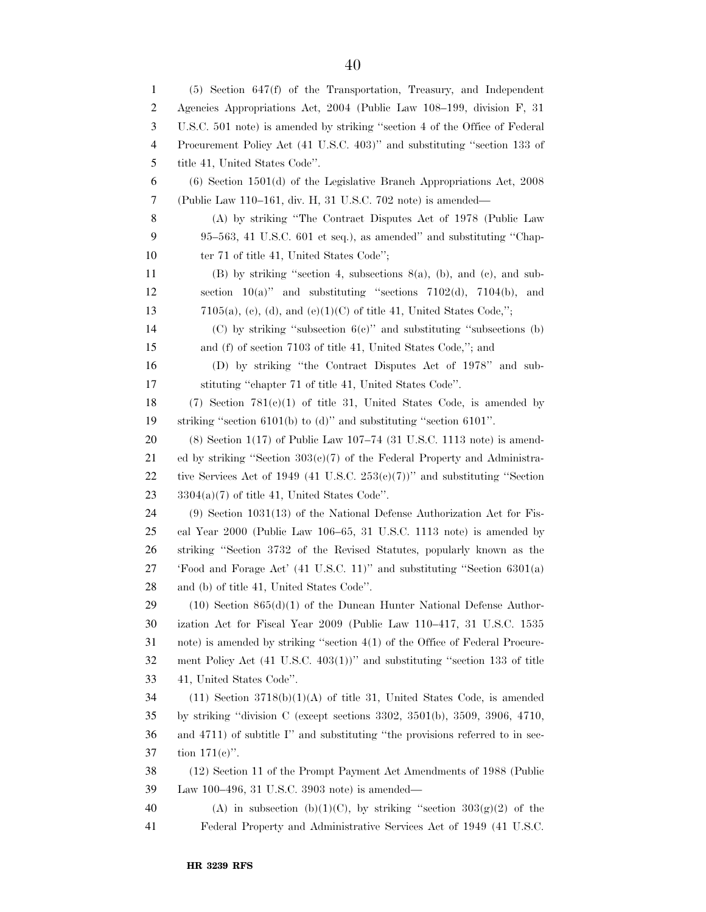(5) Section 647(f) of the Transportation, Treasury, and Independent Agencies Appropriations Act, 2004 (Public Law 108–199, division F, 31 U.S.C. 501 note) is amended by striking ''section 4 of the Office of Federal Procurement Policy Act (41 U.S.C. 403)'' and substituting ''section 133 of title 41, United States Code''. (6) Section 1501(d) of the Legislative Branch Appropriations Act, 2008 (Public Law 110–161, div. H, 31 U.S.C. 702 note) is amended— (A) by striking ''The Contract Disputes Act of 1978 (Public Law 95–563, 41 U.S.C. 601 et seq.), as amended'' and substituting ''Chap-10 ter 71 of title 41, United States Code"; (B) by striking ''section 4, subsections 8(a), (b), and (c), and sub-12 section  $10(a)$ " and substituting "sections  $7102(d)$ ,  $7104(b)$ , and 13 7105(a), (c), (d), and (e)(1)(C) of title 41, United States Code,"; (C) by striking ''subsection 6(c)'' and substituting ''subsections (b) and (f) of section 7103 of title 41, United States Code,''; and (D) by striking ''the Contract Disputes Act of 1978'' and sub- stituting ''chapter 71 of title 41, United States Code''. 18 (7) Section  $781(e)(1)$  of title 31, United States Code, is amended by striking ''section 6101(b) to (d)'' and substituting ''section 6101''. (8) Section 1(17) of Public Law 107–74 (31 U.S.C. 1113 note) is amend-21 ed by striking "Section  $303(e)/7$  of the Federal Property and Administra-22 tive Services Act of 1949 (41 U.S.C. 253 $(e)(7)$ )" and substituting "Section  $23 \qquad 3304(a)(7)$  of title 41, United States Code". (9) Section 1031(13) of the National Defense Authorization Act for Fis- cal Year 2000 (Public Law 106–65, 31 U.S.C. 1113 note) is amended by striking ''Section 3732 of the Revised Statutes, popularly known as the 'Food and Forage Act' (41 U.S.C. 11)'' and substituting ''Section 6301(a) and (b) of title 41, United States Code''. (10) Section 865(d)(1) of the Duncan Hunter National Defense Author- ization Act for Fiscal Year 2009 (Public Law 110–417, 31 U.S.C. 1535 note) is amended by striking ''section 4(1) of the Office of Federal Procure- ment Policy Act (41 U.S.C. 403(1))'' and substituting ''section 133 of title 41, United States Code''. (11) Section 3718(b)(1)(A) of title 31, United States Code, is amended by striking ''division C (except sections 3302, 3501(b), 3509, 3906, 4710, and 4711) of subtitle I'' and substituting ''the provisions referred to in sec- tion 171(c)''. (12) Section 11 of the Prompt Payment Act Amendments of 1988 (Public Law 100–496, 31 U.S.C. 3903 note) is amended— 40 (A) in subsection (b)(1)(C), by striking "section  $303(g)(2)$  of the Federal Property and Administrative Services Act of 1949 (41 U.S.C.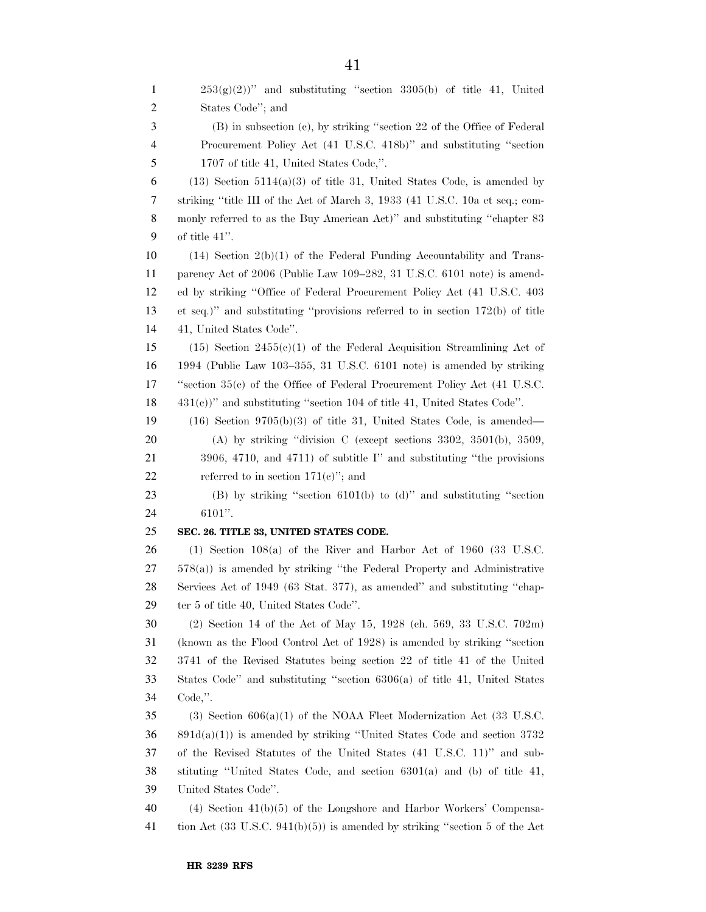$253(g)(2)$ " and substituting "section 3305(b) of title 41, United States Code''; and (B) in subsection (c), by striking ''section 22 of the Office of Federal Procurement Policy Act (41 U.S.C. 418b)'' and substituting ''section 1707 of title 41, United States Code,''. 6 (13) Section 5114(a)(3) of title 31, United States Code, is amended by striking ''title III of the Act of March 3, 1933 (41 U.S.C. 10a et seq.; com- monly referred to as the Buy American Act)'' and substituting ''chapter 83 of title 41''. (14) Section 2(b)(1) of the Federal Funding Accountability and Trans- parency Act of 2006 (Public Law 109–282, 31 U.S.C. 6101 note) is amend- ed by striking ''Office of Federal Procurement Policy Act (41 U.S.C. 403 et seq.)'' and substituting ''provisions referred to in section 172(b) of title 41, United States Code''. (15) Section 2455(c)(1) of the Federal Acquisition Streamlining Act of 1994 (Public Law 103–355, 31 U.S.C. 6101 note) is amended by striking ''section 35(c) of the Office of Federal Procurement Policy Act (41 U.S.C. 431(c))'' and substituting ''section 104 of title 41, United States Code''. (16) Section 9705(b)(3) of title 31, United States Code, is amended— (A) by striking ''division C (except sections 3302, 3501(b), 3509, 21 3906, 4710, and 4711) of subtitle I'' and substituting "the provisions" 22 referred to in section  $171(e)$ <sup>"</sup>; and (B) by striking ''section 6101(b) to (d)'' and substituting ''section 6101''. **SEC. 26. TITLE 33, UNITED STATES CODE.**  (1) Section 108(a) of the River and Harbor Act of 1960 (33 U.S.C. 578(a)) is amended by striking ''the Federal Property and Administrative Services Act of 1949 (63 Stat. 377), as amended'' and substituting ''chap- ter 5 of title 40, United States Code''. (2) Section 14 of the Act of May 15, 1928 (ch. 569, 33 U.S.C. 702m) (known as the Flood Control Act of 1928) is amended by striking ''section 3741 of the Revised Statutes being section 22 of title 41 of the United States Code'' and substituting ''section 6306(a) of title 41, United States Code,''. (3) Section 606(a)(1) of the NOAA Fleet Modernization Act (33 U.S.C. 891d(a)(1)) is amended by striking ''United States Code and section 3732 of the Revised Statutes of the United States (41 U.S.C. 11)'' and sub- stituting ''United States Code, and section 6301(a) and (b) of title 41, United States Code''. (4) Section 41(b)(5) of the Longshore and Harbor Workers' Compensa-tion Act (33 U.S.C. 941(b)(5)) is amended by striking ''section 5 of the Act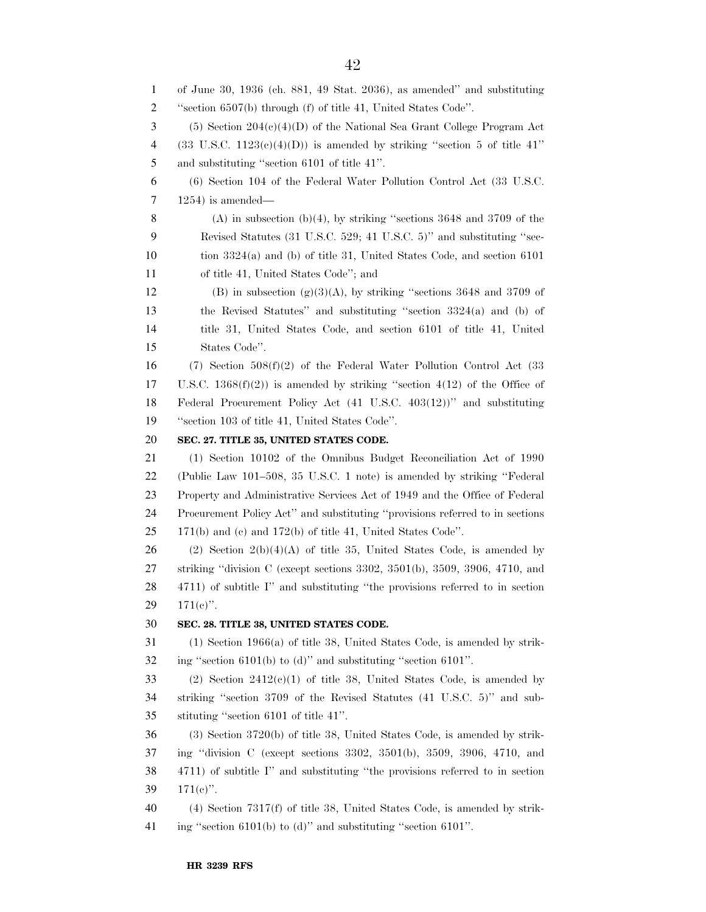of June 30, 1936 (ch. 881, 49 Stat. 2036), as amended'' and substituting ''section 6507(b) through (f) of title 41, United States Code''. (5) Section 204(c)(4)(D) of the National Sea Grant College Program Act 4 (33 U.S.C.  $1123(e)(4)(D)$ ) is amended by striking "section 5 of title 41" and substituting ''section 6101 of title 41''. (6) Section 104 of the Federal Water Pollution Control Act (33 U.S.C. 1254) is amended— 8 (A) in subsection (b)(4), by striking "sections and  $3709$  of the Revised Statutes (31 U.S.C. 529; 41 U.S.C. 5)'' and substituting ''sec- tion 3324(a) and (b) of title 31, United States Code, and section 6101 of title 41, United States Code''; and 12 (B) in subsection  $(g)(3)(A)$ , by striking "sections 3648 and 3709 of the Revised Statutes'' and substituting ''section 3324(a) and (b) of title 31, United States Code, and section 6101 of title 41, United States Code''. (7) Section 508(f)(2) of the Federal Water Pollution Control Act (33 17 U.S.C.  $1368(f)(2)$  is amended by striking "section 4(12) of the Office of Federal Procurement Policy Act (41 U.S.C. 403(12))'' and substituting ''section 103 of title 41, United States Code''. **SEC. 27. TITLE 35, UNITED STATES CODE.**  (1) Section 10102 of the Omnibus Budget Reconciliation Act of 1990 (Public Law 101–508, 35 U.S.C. 1 note) is amended by striking ''Federal Property and Administrative Services Act of 1949 and the Office of Federal Procurement Policy Act'' and substituting ''provisions referred to in sections 171(b) and (c) and 172(b) of title 41, United States Code''. 26 (2) Section  $2(b)(4)(A)$  of title 35, United States Code, is amended by striking ''division C (except sections 3302, 3501(b), 3509, 3906, 4710, and 4711) of subtitle I'' and substituting ''the provisions referred to in section  $29 \t 171(e)$ ". **SEC. 28. TITLE 38, UNITED STATES CODE.**  (1) Section 1966(a) of title 38, United States Code, is amended by strik- ing ''section 6101(b) to (d)'' and substituting ''section 6101''. 33 (2) Section  $2412(c)(1)$  of title 38, United States Code, is amended by striking ''section 3709 of the Revised Statutes (41 U.S.C. 5)'' and sub- stituting ''section 6101 of title 41''. (3) Section 3720(b) of title 38, United States Code, is amended by strik- ing ''division C (except sections 3302, 3501(b), 3509, 3906, 4710, and 4711) of subtitle I'' and substituting ''the provisions referred to in section 39  $171(e)$ ". (4) Section 7317(f) of title 38, United States Code, is amended by strik-ing ''section 6101(b) to (d)'' and substituting ''section 6101''.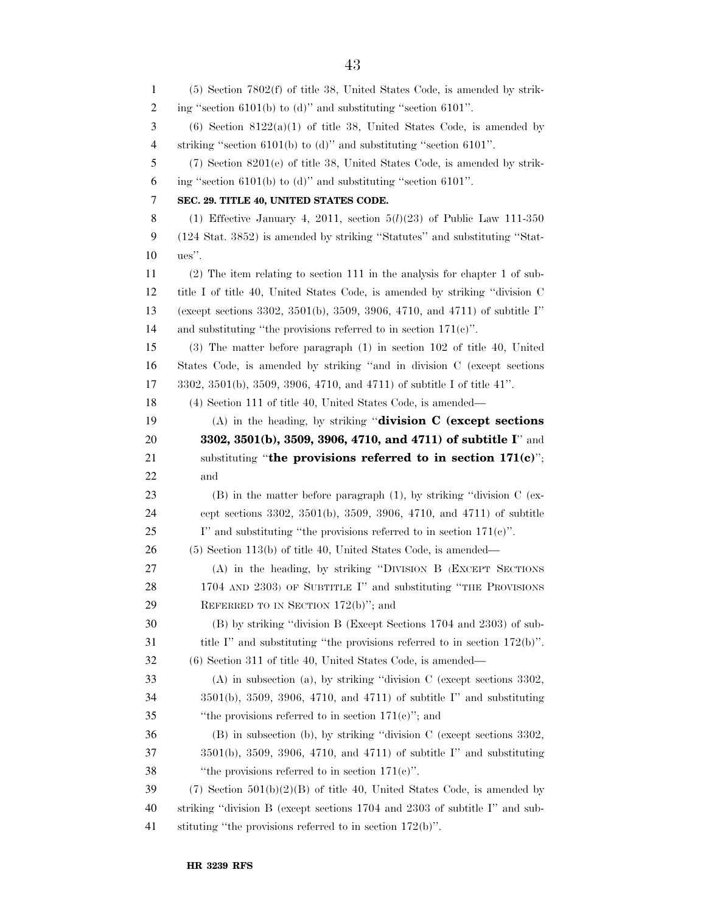| 1  | $(5)$ Section 7802 $(f)$ of title 38, United States Code, is amended by strik-         |
|----|----------------------------------------------------------------------------------------|
| 2  | ing "section $6101(b)$ to (d)" and substituting "section $6101$ ".                     |
| 3  | $(6)$ Section 8122(a)(1) of title 38, United States Code, is amended by                |
| 4  | striking "section $6101(b)$ to (d)" and substituting "section $6101$ ".                |
| 5  | $(7)$ Section $8201(e)$ of title 38, United States Code, is amended by strik-          |
| 6  | ing "section $6101(b)$ to (d)" and substituting "section $6101$ ".                     |
| 7  | SEC. 29. TITLE 40, UNITED STATES CODE.                                                 |
| 8  | (1) Effective January 4, 2011, section $5(l)(23)$ of Public Law 111-350                |
| 9  | (124 Stat. 3852) is amended by striking "Statutes" and substituting "Stat-             |
| 10 | ues".                                                                                  |
| 11 | $(2)$ The item relating to section 111 in the analysis for chapter 1 of sub-           |
| 12 | title I of title 40, United States Code, is amended by striking "division C            |
| 13 | (except sections 3302, 3501(b), 3509, 3906, 4710, and 4711) of subtitle I"             |
| 14 | and substituting "the provisions referred to in section $171(e)$ ".                    |
| 15 | $(3)$ The matter before paragraph $(1)$ in section 102 of title 40, United             |
| 16 | States Code, is amended by striking "and in division C (except sections                |
| 17 | 3302, 3501(b), 3509, 3906, 4710, and 4711) of subtitle I of title 41".                 |
| 18 | (4) Section 111 of title 40, United States Code, is amended—                           |
| 19 | (A) in the heading, by striking "division $C$ (except sections                         |
| 20 | 3302, 3501(b), 3509, 3906, 4710, and 4711) of subtitle I" and                          |
| 21 | substituting "the provisions referred to in section $171(c)$ ";                        |
| 22 | and                                                                                    |
| 23 | $(B)$ in the matter before paragraph $(1)$ , by striking "division $C$ (ex-            |
| 24 | cept sections $3302$ , $3501(b)$ , $3509$ , $3906$ , $4710$ , and $4711$ ) of subtitle |
| 25 | I" and substituting "the provisions referred to in section $171(e)$ ".                 |
| 26 | $(5)$ Section 113(b) of title 40, United States Code, is amended—                      |
| 27 | (A) in the heading, by striking "DIVISION B (EXCEPT SECTIONS                           |
| 28 | 1704 AND 2303) OF SUBTITLE I" and substituting "THE PROVISIONS                         |
| 29 | REFERRED TO IN SECTION $172(b)$ "; and                                                 |
| 30 | (B) by striking "division B (Except Sections 1704 and 2303) of sub-                    |
| 31 | title I" and substituting "the provisions referred to in section $172(b)$ ".           |
| 32 |                                                                                        |
| 33 | (6) Section 311 of title 40, United States Code, is amended—                           |
|    | $(A)$ in subsection $(a)$ , by striking "division C (except sections 3302,             |
| 34 | $3501(b)$ , $3509$ , $3906$ , $4710$ , and $4711$ ) of subtitle I" and substituting    |
| 35 | "the provisions referred to in section $171(e)$ "; and                                 |
| 36 | (B) in subsection (b), by striking "division C (except sections 3302,                  |
| 37 | $3501(b)$ , $3509$ , $3906$ , $4710$ , and $4711$ ) of subtitle I" and substituting    |
| 38 | "the provisions referred to in section $171(e)$ ".                                     |
| 39 | $(7)$ Section $501(b)(2)(B)$ of title 40, United States Code, is amended by            |
| 40 | striking "division B (except sections 1704 and 2303 of subtitle I" and sub-            |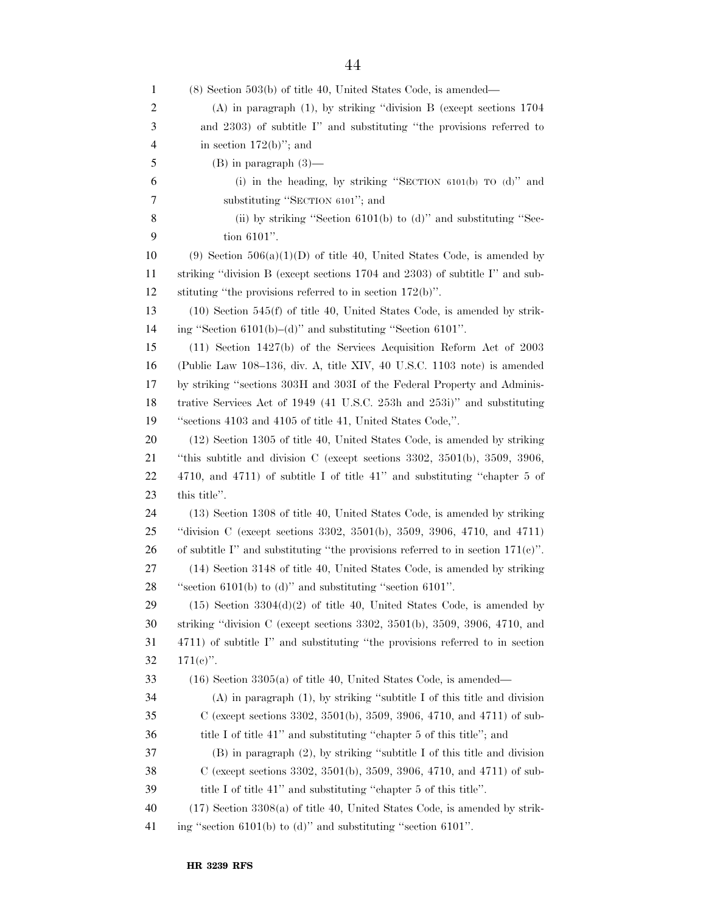| $\mathbf{1}$   | $(8)$ Section 503(b) of title 40, United States Code, is amended—                         |
|----------------|-------------------------------------------------------------------------------------------|
| 2              | $(A)$ in paragraph $(1)$ , by striking "division B (except sections 1704)                 |
| 3              | and 2303) of subtitle I" and substituting "the provisions referred to                     |
| $\overline{4}$ | in section $172(b)$ "; and                                                                |
| 5              | $(B)$ in paragraph $(3)$ —                                                                |
| 6              | (i) in the heading, by striking "SECTION $6101(b)$ TO $(d)$ " and                         |
| 7              | substituting "SECTION 6101"; and                                                          |
| 8              | (ii) by striking "Section $6101(b)$ to (d)" and substituting "Sec-                        |
| 9              | tion 6101".                                                                               |
| 10             | (9) Section $506(a)(1)(D)$ of title 40, United States Code, is amended by                 |
| 11             | striking "division B (except sections 1704 and 2303) of subtitle I" and sub-              |
| 12             | stituting "the provisions referred to in section $172(b)$ ".                              |
| 13             | $(10)$ Section 545(f) of title 40, United States Code, is amended by strik-               |
| 14             | ing "Section $6101(b) - (d)$ " and substituting "Section $6101$ ".                        |
| 15             | $(11)$ Section 1427(b) of the Services Acquisition Reform Act of 2003                     |
| 16             | (Public Law 108–136, div. A, title XIV, 40 U.S.C. 1103 note) is amended                   |
| 17             | by striking "sections 303H and 303I of the Federal Property and Adminis-                  |
| 18             | trative Services Act of 1949 (41 U.S.C. 253h and 253i)" and substituting                  |
| 19             | "sections 4103 and 4105 of title 41, United States Code,".                                |
| 20             | (12) Section 1305 of title 40, United States Code, is amended by striking                 |
| 21             | "this subtitle and division C (except sections $3302, 3501(b), 3509, 3906,$               |
| 22             | 4710, and 4711) of subtitle I of title 41" and substituting "chapter 5 of                 |
| 23             | this title".                                                                              |
| 24             | (13) Section 1308 of title 40, United States Code, is amended by striking                 |
| 25             | "division C (except sections 3302, 3501(b), 3509, 3906, 4710, and 4711)                   |
| 26             | of subtitle I" and substituting "the provisions referred to in section $171(e)$ ".        |
| 27             | (14) Section 3148 of title 40, United States Code, is amended by striking                 |
| 28             | "section $6101(b)$ to (d)" and substituting "section $6101$ ".                            |
| 29             | $(15)$ Section 3304 $(d)(2)$ of title 40, United States Code, is amended by               |
| 30             | striking "division C (except sections $3302$ , $3501(b)$ , $3509$ , $3906$ , $4710$ , and |
| 31             | 4711) of subtitle I" and substituting "the provisions referred to in section              |
| 32             | $171(e)$ .                                                                                |
| 33             | $(16)$ Section 3305(a) of title 40, United States Code, is amended—                       |
| 34             | $(A)$ in paragraph $(1)$ , by striking "subtitle I of this title and division             |
| 35             | C (except sections 3302, 3501(b), 3509, 3906, 4710, and 4711) of sub-                     |
| 36             | title I of title 41" and substituting "chapter 5 of this title"; and                      |
| 37             | $(B)$ in paragraph $(2)$ , by striking "subtitle I of this title and division             |
| 38             | C (except sections 3302, 3501(b), 3509, 3906, 4710, and 4711) of sub-                     |
| 39             | title I of title 41" and substituting "chapter 5 of this title".                          |
| 40             | $(17)$ Section 3308(a) of title 40, United States Code, is amended by strik-              |
| 41             | ing "section $6101(b)$ to (d)" and substituting "section $6101$ ".                        |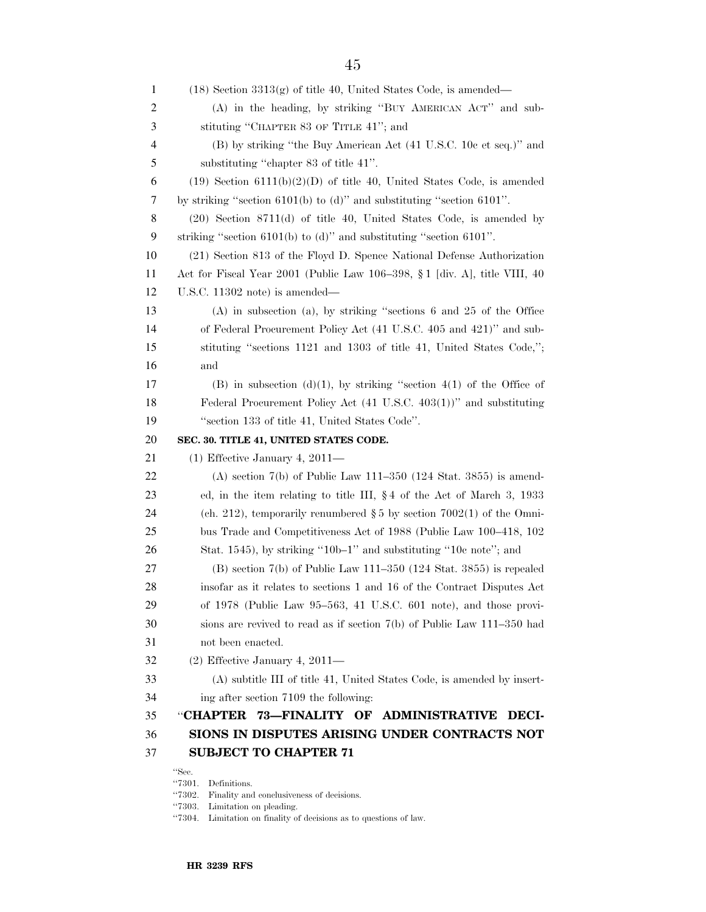| 1              | $(18)$ Section $3313(g)$ of title 40, United States Code, is amended—      |
|----------------|----------------------------------------------------------------------------|
| $\overline{c}$ | (A) in the heading, by striking "BUY AMERICAN ACT" and sub-                |
| 3              | stituting "CHAPTER 83 OF TITLE 41"; and                                    |
| 4              | (B) by striking "the Buy American Act (41 U.S.C. 10c et seq.)" and         |
| 5              | substituting "chapter 83 of title 41".                                     |
| 6              | $(19)$ Section $6111(b)(2)(D)$ of title 40, United States Code, is amended |
| 7              | by striking "section $6101(b)$ to (d)" and substituting "section $6101$ ". |
| 8              | $(20)$ Section 8711 $(d)$ of title 40, United States Code, is amended by   |
| 9              | striking "section $6101(b)$ to (d)" and substituting "section $6101$ ".    |
| 10             | (21) Section 813 of the Floyd D. Spence National Defense Authorization     |
| 11             | Act for Fiscal Year 2001 (Public Law 106–398, § 1 [div. A], title VIII, 40 |
| 12             | U.S.C. $11302$ note) is amended—                                           |
| 13             | $(A)$ in subsection $(a)$ , by striking "sections 6 and 25 of the Office   |
| 14             | of Federal Procurement Policy Act (41 U.S.C. 405 and 421)" and sub-        |
| 15             | stituting "sections 1121 and 1303 of title 41, United States Code,";       |
| 16             | and                                                                        |
| 17             | (B) in subsection (d)(1), by striking "section 4(1) of the Office of       |
| 18             | Federal Procurement Policy Act (41 U.S.C. 403(1))" and substituting        |
| 19             | "section 133 of title 41, United States Code".                             |
|                |                                                                            |
| 20             | SEC. 30. TITLE 41, UNITED STATES CODE.                                     |
| 21             | $(1)$ Effective January 4, 2011—                                           |
| 22             | (A) section $7(b)$ of Public Law 111–350 (124 Stat. 3855) is amend-        |
| 23             | ed, in the item relating to title III, $\S 4$ of the Act of March 3, 1933  |
| 24             | (ch. 212), temporarily renumbered $\S 5$ by section 7002(1) of the Omni-   |
| 25             | bus Trade and Competitiveness Act of 1988 (Public Law 100–418, 102         |
| 26             | Stat. 1545), by striking "10b-1" and substituting "10 $e$ note"; and       |
| 27             | $(B)$ section 7(b) of Public Law 111–350 (124 Stat. 3855) is repealed      |
| 28             | insofar as it relates to sections 1 and 16 of the Contract Disputes Act    |
| 29             | of 1978 (Public Law 95-563, 41 U.S.C. 601 note), and those provi-          |
| 30             | sions are revived to read as if section $7(b)$ of Public Law 111–350 had   |
| 31             | not been enacted.                                                          |
| 32             | $(2)$ Effective January 4, 2011—                                           |
| 33             | (A) subtitle III of title 41, United States Code, is amended by insert-    |
| 34             | ing after section 7109 the following:                                      |
| 35             | "CHAPTER<br>73-FINALITY OF ADMINISTRATIVE<br>DECI-                         |
| 36             | SIONS IN DISPUTES ARISING UNDER CONTRACTS NOT                              |
| 37             | <b>SUBJECT TO CHAPTER 71</b><br>"Sec.                                      |

 $\lq$  7301. Definitions.

''7302. Finality and conclusiveness of decisions.

''7303. Limitation on pleading.

 $\lq$  7304. Limitation on finality of decisions as to questions of law.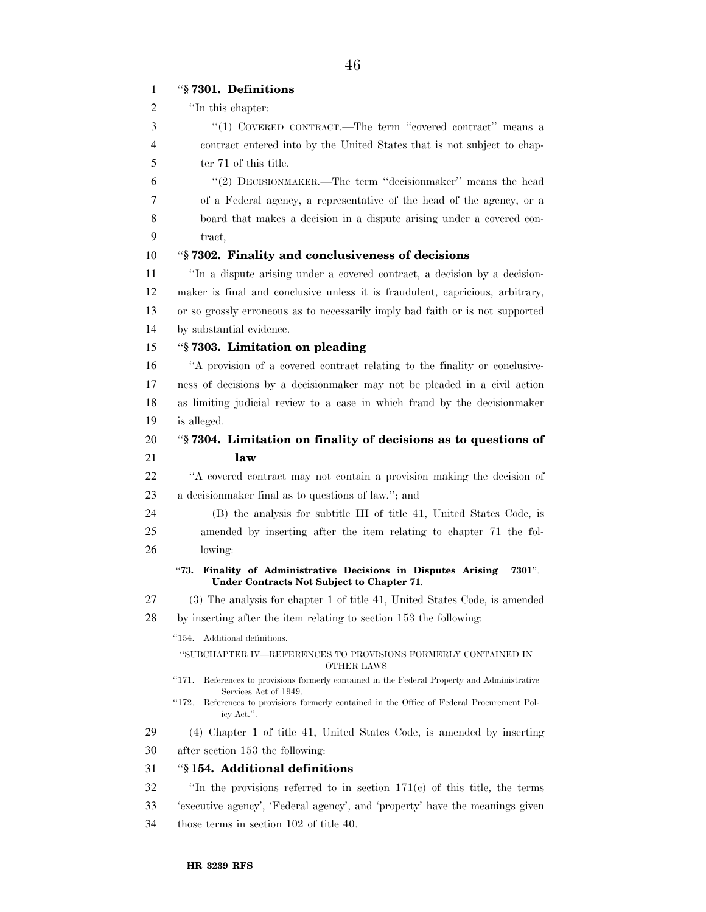# ''**§ 7301. Definitions**  ''In this chapter: ''(1) COVERED CONTRACT.—The term ''covered contract'' means a contract entered into by the United States that is not subject to chap- ter 71 of this title. ''(2) DECISIONMAKER.—The term ''decisionmaker'' means the head of a Federal agency, a representative of the head of the agency, or a board that makes a decision in a dispute arising under a covered con- tract, ''**§ 7302. Finality and conclusiveness of decisions**  ''In a dispute arising under a covered contract, a decision by a decision- maker is final and conclusive unless it is fraudulent, capricious, arbitrary, or so grossly erroneous as to necessarily imply bad faith or is not supported by substantial evidence. ''**§ 7303. Limitation on pleading**  ''A provision of a covered contract relating to the finality or conclusive- ness of decisions by a decisionmaker may not be pleaded in a civil action as limiting judicial review to a case in which fraud by the decisionmaker is alleged. ''**§ 7304. Limitation on finality of decisions as to questions of law**  ''A covered contract may not contain a provision making the decision of a decisionmaker final as to questions of law.''; and (B) the analysis for subtitle III of title 41, United States Code, is amended by inserting after the item relating to chapter 71 the fol- lowing: ''**73. Finality of Administrative Decisions in Disputes Arising 7301**''. **Under Contracts Not Subject to Chapter 71**.

## (3) The analysis for chapter 1 of title 41, United States Code, is amended

by inserting after the item relating to section 153 the following:

#### ''154. Additional definitions.

''SUBCHAPTER IV—REFERENCES TO PROVISIONS FORMERLY CONTAINED IN OTHER LAWS

''171. References to provisions formerly contained in the Federal Property and Administrative Services Act of 1949.

''172. References to provisions formerly contained in the Office of Federal Procurement Policy Act.''.

(4) Chapter 1 of title 41, United States Code, is amended by inserting

after section 153 the following:

#### ''**§ 154. Additional definitions**

''In the provisions referred to in section 171(c) of this title, the terms

- 'executive agency', 'Federal agency', and 'property' have the meanings given
- those terms in section 102 of title 40.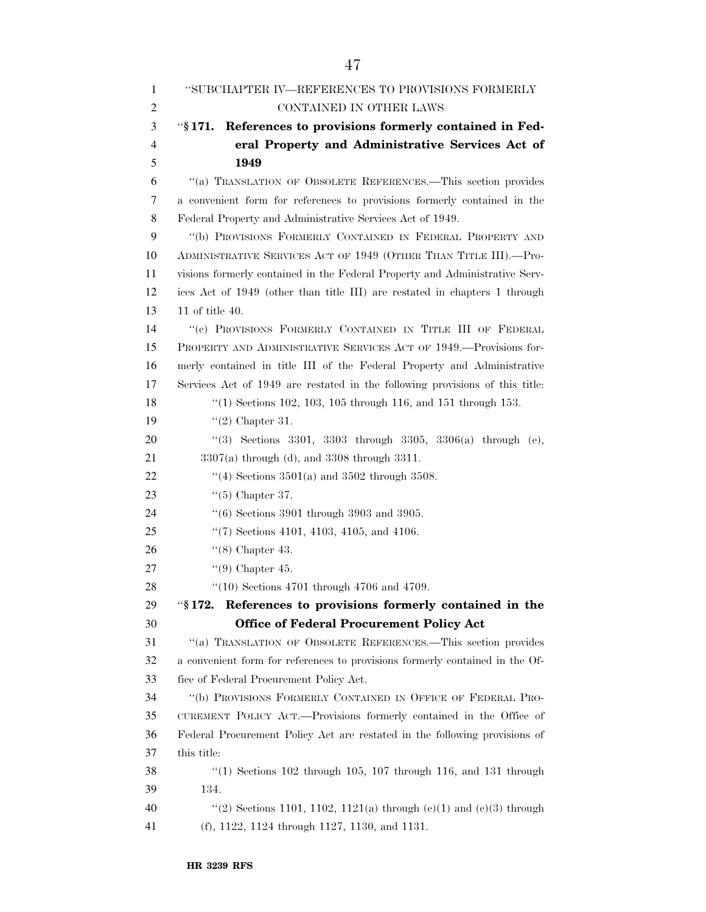| 1              | "SUBCHAPTER IV—REFERENCES TO PROVISIONS FORMERLY                             |
|----------------|------------------------------------------------------------------------------|
| 2              | CONTAINED IN OTHER LAWS                                                      |
| 3              | References to provisions formerly contained in Fed-<br>$``\S~171.$           |
| $\overline{4}$ | eral Property and Administrative Services Act of                             |
| 5              | 1949                                                                         |
| 6              | "(a) TRANSLATION OF OBSOLETE REFERENCES.—This section provides               |
| 7              | a convenient form for references to provisions formerly contained in the     |
| 8              | Federal Property and Administrative Services Act of 1949.                    |
| 9              | "(b) PROVISIONS FORMERLY CONTAINED IN FEDERAL PROPERTY AND                   |
| 10             | ADMINISTRATIVE SERVICES ACT OF 1949 (OTHER THAN TITLE III).--Pro-            |
| 11             | visions formerly contained in the Federal Property and Administrative Serv-  |
| 12             | ices Act of 1949 (other than title III) are restated in chapters 1 through   |
| 13             | $11$ of title $40.$                                                          |
| 14             | "(e) PROVISIONS FORMERLY CONTAINED IN TITLE III OF FEDERAL                   |
| 15             | PROPERTY AND ADMINISTRATIVE SERVICES ACT OF 1949.—Provisions for-            |
| 16             | merly contained in title III of the Federal Property and Administrative      |
| 17             | Services Act of 1949 are restated in the following provisions of this title: |
| 18             | "(1) Sections 102, 103, 105 through 116, and 151 through 153.                |
| 19             | " $(2)$ Chapter 31.                                                          |
| 20             | "(3) Sections 3301, 3303 through 3305, 3306(a) through (e),                  |
| 21             | $3307(a)$ through (d), and $3308$ through $3311$ .                           |
| 22             | "(4) Sections $3501(a)$ and $3502$ through $3508$ .                          |
| 23             | $\lq(5)$ Chapter 37.                                                         |
| 24             | $(6)$ Sections 3901 through 3903 and 3905.                                   |
| 25             | $\lq(7)$ Sections 4101, 4103, 4105, and 4106.                                |
| 26             | $\lq(8)$ Chapter 43.                                                         |
| 27             | $\lq(9)$ Chapter 45.                                                         |
| 28             | $(10)$ Sections 4701 through 4706 and 4709.                                  |
| 29             | References to provisions formerly contained in the<br>$``\$ 172.             |
| 30             | <b>Office of Federal Procurement Policy Act</b>                              |
| 31             | "(a) TRANSLATION OF OBSOLETE REFERENCES.—This section provides               |
| 32             | a convenient form for references to provisions formerly contained in the Of- |
| 33             | fice of Federal Procurement Policy Act.                                      |
| 34             | "(b) PROVISIONS FORMERLY CONTAINED IN OFFICE OF FEDERAL PRO-                 |
| 35             | CUREMENT POLICY ACT.—Provisions formerly contained in the Office of          |
| 36             | Federal Procurement Policy Act are restated in the following provisions of   |
| 37             | this title:                                                                  |
| 38             | $(1)$ Sections 102 through 105, 107 through 116, and 131 through             |
| 39             | 134.                                                                         |
| 40             | "(2) Sections 1101, 1102, 1121(a) through $(e)(1)$ and $(e)(3)$ through      |
| 41             | (f), $1122$ , $1124$ through $1127$ , $1130$ , and $1131$ .                  |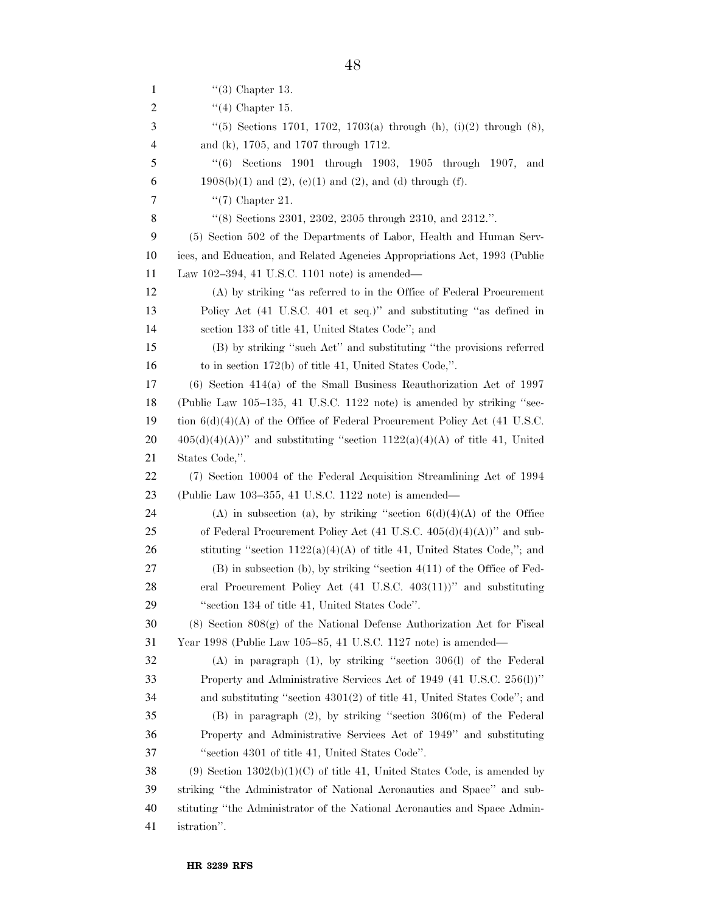| 1  | " $(3)$ Chapter 13.                                                              |
|----|----------------------------------------------------------------------------------|
| 2  | " $(4)$ Chapter 15.                                                              |
| 3  | "(5) Sections 1701, 1702, 1703(a) through (h), $(i)(2)$ through $(8)$ ,          |
| 4  | and (k), 1705, and 1707 through 1712.                                            |
| 5  | Sections 1901 through 1903, 1905 through 1907,<br>(6)<br>and                     |
| 6  | $1908(b)(1)$ and $(2)$ , $(e)(1)$ and $(2)$ , and $(d)$ through $(f)$ .          |
| 7  | " $(7)$ Chapter 21.                                                              |
| 8  | "(8) Sections 2301, 2302, 2305 through 2310, and 2312.".                         |
| 9  | (5) Section 502 of the Departments of Labor, Health and Human Serv-              |
| 10 | ices, and Education, and Related Agencies Appropriations Act, 1993 (Public       |
| 11 | Law 102-394, 41 U.S.C. 1101 note) is amended—                                    |
| 12 | (A) by striking "as referred to in the Office of Federal Procurement             |
| 13 | Policy Act (41 U.S.C. 401 et seq.)" and substituting "as defined in              |
| 14 | section 133 of title 41, United States Code"; and                                |
| 15 | (B) by striking "such Act" and substituting "the provisions referred             |
| 16 | to in section $172(b)$ of title 41, United States Code,".                        |
| 17 | $(6)$ Section 414(a) of the Small Business Reauthorization Act of 1997           |
| 18 | (Public Law 105–135, 41 U.S.C. 1122 note) is amended by striking "sec-           |
| 19 | tion $6(d)(4)(A)$ of the Office of Federal Procurement Policy Act (41 U.S.C.     |
| 20 | $405(d)(4)(A))$ " and substituting "section $1122(a)(4)(A)$ of title 41, United  |
| 21 | States Code,".                                                                   |
| 22 | (7) Section 10004 of the Federal Acquisition Streamlining Act of 1994            |
| 23 | (Public Law 103-355, 41 U.S.C. 1122 note) is amended—                            |
| 24 | (A) in subsection (a), by striking "section $6(d)(4)(A)$ of the Office           |
| 25 | of Federal Procurement Policy Act $(41 \text{ U.S.C. } 405(d)(4)(A))$ " and sub- |
| 26 | stituting "section $1122(a)(4)(A)$ of title 41, United States Code,"; and        |
| 27 | $(B)$ in subsection (b), by striking "section $4(11)$ of the Office of Fed-      |
| 28 | eral Procurement Policy Act $(41 \text{ U.S.C. } 403(11))$ " and substituting    |
| 29 | "section 134 of title 41, United States Code".                                   |
| 30 | $(8)$ Section $808(g)$ of the National Defense Authorization Act for Fiscal      |
| 31 | Year 1998 (Public Law 105–85, 41 U.S.C. 1127 note) is amended—                   |
| 32 | $(A)$ in paragraph $(1)$ , by striking "section 306 $(I)$ of the Federal         |
| 33 | Property and Administrative Services Act of 1949 (41 U.S.C. 256(l))"             |
| 34 | and substituting "section 4301(2) of title 41, United States Code"; and          |
| 35 | $(B)$ in paragraph $(2)$ , by striking "section $306(m)$ of the Federal          |
| 36 | Property and Administrative Services Act of 1949" and substituting               |
| 37 | "section 4301 of title 41, United States Code".                                  |
| 38 | $(9)$ Section $1302(b)(1)(C)$ of title 41, United States Code, is amended by     |
| 39 | striking "the Administrator of National Aeronautics and Space" and sub-          |
| 40 | stituting "the Administrator of the National Aeronautics and Space Admin-        |
| 41 | istration".                                                                      |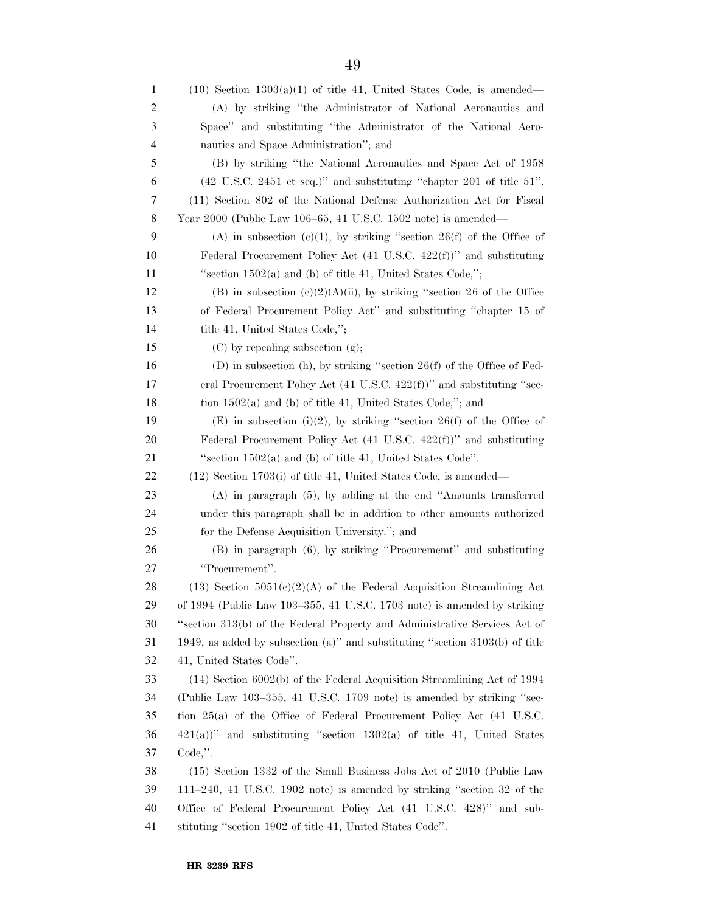| 1  | $(10)$ Section $1303(a)(1)$ of title 41, United States Code, is amended—                  |
|----|-------------------------------------------------------------------------------------------|
| 2  | (A) by striking "the Administrator of National Aeronautics and                            |
| 3  | Space" and substituting "the Administrator of the National Aero-                          |
| 4  | nautics and Space Administration"; and                                                    |
| 5  | (B) by striking "the National Aeronautics and Space Act of 1958                           |
| 6  | $(42 \text{ U.S.C. } 2451 \text{ et seq.})$ " and substituting "chapter 201 of title 51". |
| 7  | (11) Section 802 of the National Defense Authorization Act for Fiscal                     |
| 8  | Year 2000 (Public Law 106–65, 41 U.S.C. 1502 note) is amended—                            |
| 9  | (A) in subsection (c)(1), by striking "section 26(f) of the Office of                     |
| 10 | Federal Procurement Policy Act $(41 \text{ U.S.C. } 422(f))$ " and substituting           |
| 11 | "section $1502(a)$ and (b) of title 41, United States Code,";                             |
| 12 | (B) in subsection $(e)(2)(A)(ii)$ , by striking "section 26 of the Office                 |
| 13 | of Federal Procurement Policy Act" and substituting "chapter 15 of                        |
| 14 | title 41, United States Code,";                                                           |
| 15 | $(C)$ by repealing subsection $(g)$ ;                                                     |
| 16 | (D) in subsection (h), by striking "section $26(f)$ of the Office of Fed-                 |
| 17 | eral Procurement Policy Act $(41 \text{ U.S.C. } 422(f))$ " and substituting "sec-        |
| 18 | tion $1502(a)$ and (b) of title 41, United States Code,"; and                             |
| 19 | (E) in subsection (i)(2), by striking "section 26(f) of the Office of                     |
| 20 | Federal Procurement Policy Act $(41 \text{ U.S.C. } 422(f))$ " and substituting           |
| 21 | "section $1502(a)$ and (b) of title 41, United States Code".                              |
| 22 | $(12)$ Section 1703(i) of title 41, United States Code, is amended—                       |
| 23 | $(A)$ in paragraph $(5)$ , by adding at the end "Amounts transferred                      |
| 24 | under this paragraph shall be in addition to other amounts authorized                     |
| 25 | for the Defense Acquisition University."; and                                             |
| 26 | (B) in paragraph (6), by striking "Procurememt" and substituting                          |
| 27 | "Procurement".                                                                            |
| 28 | $(13)$ Section $5051(c)(2)(A)$ of the Federal Acquisition Streamlining Act                |
| 29 | of 1994 (Public Law 103–355, 41 U.S.C. 1703 note) is amended by striking                  |
| 30 | "section 313(b) of the Federal Property and Administrative Services Act of                |
| 31 | 1949, as added by subsection (a)" and substituting "section $3103(b)$ of title            |
| 32 | 41, United States Code".                                                                  |
| 33 | $(14)$ Section 6002(b) of the Federal Acquisition Streamlining Act of 1994                |
| 34 | (Public Law 103–355, 41 U.S.C. 1709 note) is amended by striking "sec-                    |
| 35 | tion 25(a) of the Office of Federal Procurement Policy Act (41 U.S.C.                     |
| 36 | $421(a)$ " and substituting "section $1302(a)$ of title 41, United States                 |
| 37 | $Code,$ ".                                                                                |
| 38 | (15) Section 1332 of the Small Business Jobs Act of 2010 (Public Law                      |
| 39 | $111-240$ , 41 U.S.C. 1902 note) is amended by striking "section 32 of the                |
| 40 | Office of Federal Procurement Policy Act (41 U.S.C. 428)" and sub-                        |
| 41 | stituting "section 1902 of title 41, United States Code".                                 |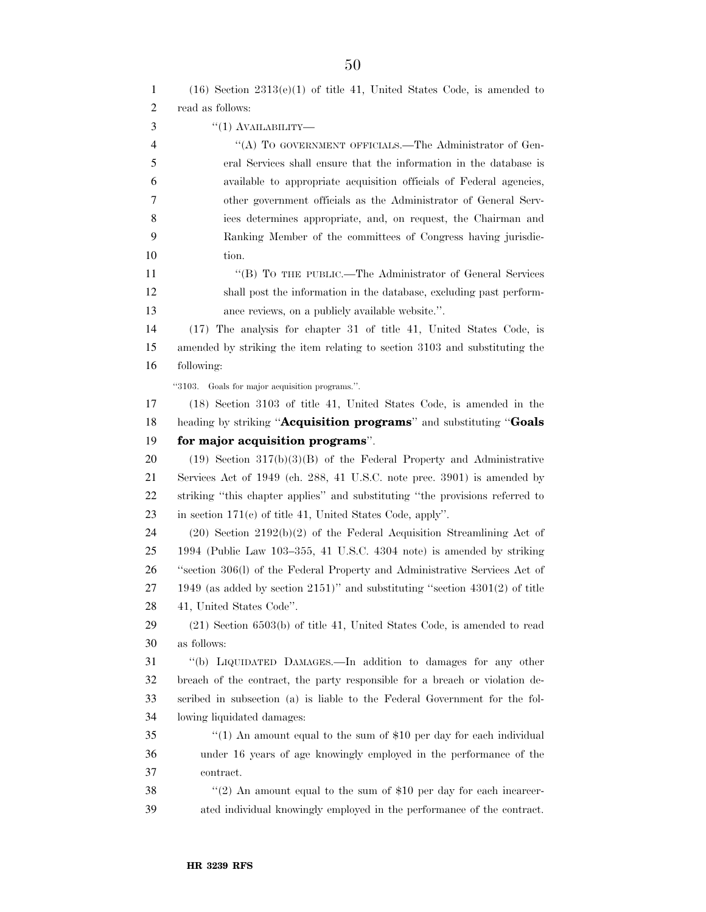| 1              | $(16)$ Section $2313(e)(1)$ of title 41, United States Code, is amended to       |
|----------------|----------------------------------------------------------------------------------|
| $\mathfrak{2}$ | read as follows:                                                                 |
| 3              | $"(1)$ AVAILABILITY—                                                             |
| 4              | "(A) TO GOVERNMENT OFFICIALS.—The Administrator of Gen-                          |
| 5              | eral Services shall ensure that the information in the database is               |
| 6              | available to appropriate acquisition officials of Federal agencies,              |
| 7              | other government officials as the Administrator of General Serv-                 |
| 8              | ices determines appropriate, and, on request, the Chairman and                   |
| 9              | Ranking Member of the committees of Congress having jurisdic-                    |
| 10             | tion.                                                                            |
| 11             | "(B) TO THE PUBLIC.—The Administrator of General Services                        |
| 12             | shall post the information in the database, excluding past perform-              |
| 13             | ance reviews, on a publicly available website.".                                 |
| 14             | (17) The analysis for chapter 31 of title 41, United States Code, is             |
| 15             | amended by striking the item relating to section 3103 and substituting the       |
| 16             | following:                                                                       |
|                | "3103. Goals for major acquisition programs.".                                   |
| 17             | (18) Section 3103 of title 41, United States Code, is amended in the             |
| 18             | heading by striking "Acquisition programs" and substituting "Goals               |
| 19             | for major acquisition programs".                                                 |
| 20             | $(19)$ Section 317(b)(3)(B) of the Federal Property and Administrative           |
| 21             | Services Act of 1949 (ch. 288, 41 U.S.C. note prec. 3901) is amended by          |
| 22             | striking "this chapter applies" and substituting "the provisions referred to     |
| 23             | in section $171(c)$ of title 41, United States Code, apply".                     |
| 24             | $(20)$ Section $2192(b)(2)$ of the Federal Acquisition Streamlining Act of       |
| 25             | 1994 (Public Law 103-355, 41 U.S.C. 4304 note) is amended by striking            |
| 26             | "section 306(l) of the Federal Property and Administrative Services Act of       |
| 27             | 1949 (as added by section $2151$ )" and substituting "section $4301(2)$ of title |
| 28             | 41, United States Code".                                                         |
| 29             | $(21)$ Section 6503(b) of title 41, United States Code, is amended to read       |
| 30             | as follows:                                                                      |
| 31             | "(b) LIQUIDATED DAMAGES.—In addition to damages for any other                    |
| 32             | breach of the contract, the party responsible for a breach or violation de-      |
| 33             | scribed in subsection (a) is liable to the Federal Government for the fol-       |
| 34             | lowing liquidated damages:                                                       |
| 35             | "(1) An amount equal to the sum of $$10$ per day for each individual             |
| 36             | under 16 years of age knowingly employed in the performance of the               |
| 37             | contract.                                                                        |
| 38             | "(2) An amount equal to the sum of $$10$ per day for each incarcer-              |
| 39             | ated individual knowingly employed in the performance of the contract.           |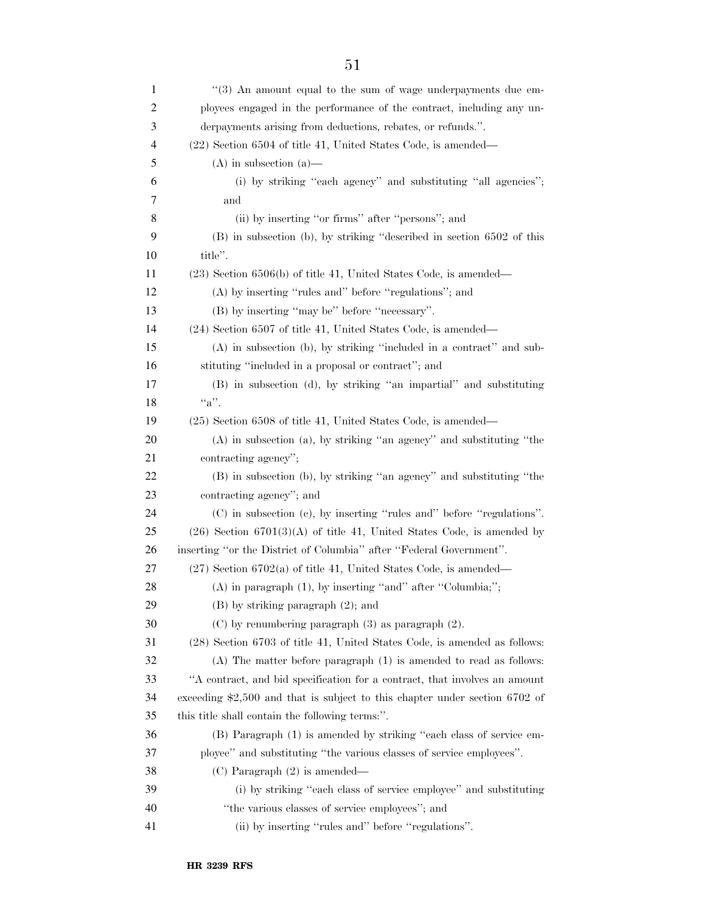| 1  | $(3)$ An amount equal to the sum of wage underpayments due em-              |
|----|-----------------------------------------------------------------------------|
| 2  | ployees engaged in the performance of the contract, including any un-       |
| 3  | derpayments arising from deductions, rebates, or refunds.".                 |
| 4  | (22) Section 6504 of title 41, United States Code, is amended—              |
| 5  | $(A)$ in subsection $(a)$ —                                                 |
| 6  | (i) by striking "each agency" and substituting "all agencies";              |
| 7  | and                                                                         |
| 8  | (ii) by inserting "or firms" after "persons"; and                           |
| 9  | (B) in subsection (b), by striking "described in section 6502 of this       |
| 10 | title".                                                                     |
| 11 | $(23)$ Section 6506(b) of title 41, United States Code, is amended—         |
| 12 | (A) by inserting "rules and" before "regulations"; and                      |
| 13 | (B) by inserting "may be" before "necessary".                               |
| 14 | (24) Section 6507 of title 41, United States Code, is amended—              |
| 15 | (A) in subsection (b), by striking "included in a contract" and sub-        |
| 16 | stituting "included in a proposal or contract"; and                         |
| 17 | (B) in subsection (d), by striking "an impartial" and substituting          |
| 18 | $``a"$ .                                                                    |
| 19 | (25) Section 6508 of title 41, United States Code, is amended—              |
| 20 | $(A)$ in subsection $(a)$ , by striking "an agency" and substituting "the   |
| 21 | contracting agency";                                                        |
| 22 | (B) in subsection (b), by striking "an agency" and substituting "the        |
| 23 | contracting agency"; and                                                    |
| 24 | (C) in subsection (c), by inserting "rules and" before "regulations".       |
| 25 | $(26)$ Section $6701(3)(A)$ of title 41, United States Code, is amended by  |
| 26 | inserting "or the District of Columbia" after "Federal Government".         |
| 27 | $(27)$ Section 6702(a) of title 41, United States Code, is amended—         |
| 28 | $(A)$ in paragraph $(1)$ , by inserting "and" after "Columbia;";            |
| 29 | $(B)$ by striking paragraph $(2)$ ; and                                     |
| 30 | $(C)$ by renumbering paragraph $(3)$ as paragraph $(2)$ .                   |
| 31 | (28) Section 6703 of title 41, United States Code, is amended as follows:   |
| 32 | $(A)$ The matter before paragraph $(1)$ is amended to read as follows:      |
| 33 | "A contract, and bid specification for a contract, that involves an amount  |
| 34 | exceeding \$2,500 and that is subject to this chapter under section 6702 of |
| 35 | this title shall contain the following terms:".                             |
| 36 | (B) Paragraph (1) is amended by striking "each class of service em-         |
| 37 | ployee" and substituting "the various classes of service employees".        |
| 38 | $(C)$ Paragraph $(2)$ is amended—                                           |
| 39 | (i) by striking "each class of service employee" and substituting           |
| 40 | "the various classes of service employees"; and                             |
| 41 | (ii) by inserting "rules and" before "regulations".                         |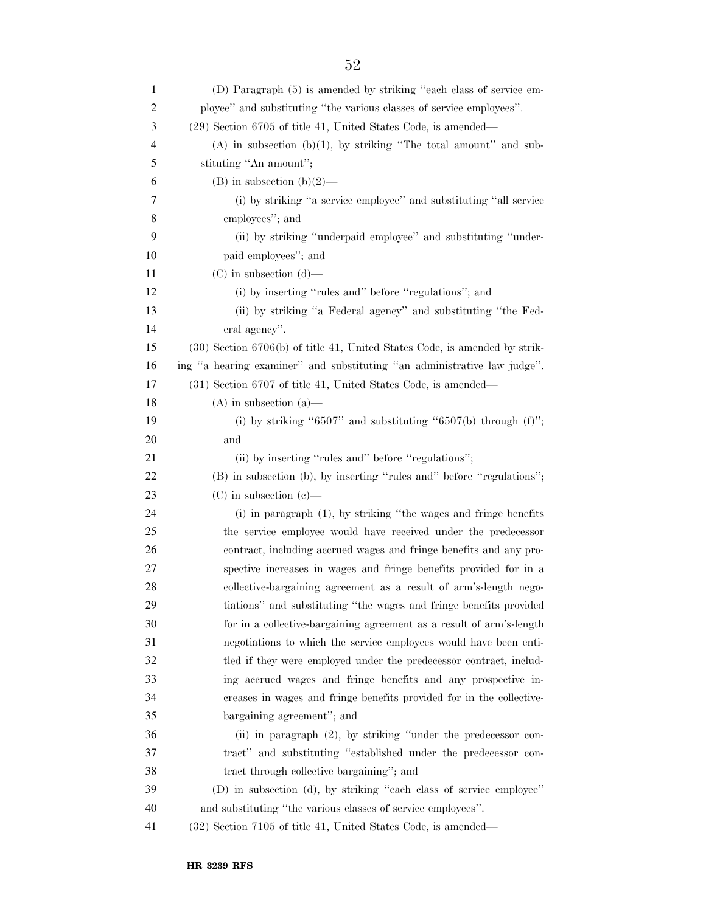| 1              | (D) Paragraph (5) is amended by striking "each class of service em-            |
|----------------|--------------------------------------------------------------------------------|
| $\overline{c}$ | ployee" and substituting "the various classes of service employees".           |
| 3              | (29) Section 6705 of title 41, United States Code, is amended—                 |
| 4              | $(A)$ in subsection $(b)(1)$ , by striking "The total amount" and sub-         |
| 5              | stituting "An amount";                                                         |
| 6              | $(B)$ in subsection $(b)(2)$ —                                                 |
| 7              | (i) by striking "a service employee" and substituting "all service             |
| 8              | employees"; and                                                                |
| 9              | (ii) by striking "underpaid employee" and substituting "under-                 |
| 10             | paid employees"; and                                                           |
| 11             | $(C)$ in subsection $(d)$ —                                                    |
| 12             | (i) by inserting "rules and" before "regulations"; and                         |
| 13             | (ii) by striking "a Federal agency" and substituting "the Fed-                 |
| 14             | eral agency".                                                                  |
| 15             | $(30)$ Section $6706(b)$ of title 41, United States Code, is amended by strik- |
| 16             | ing "a hearing examiner" and substituting "an administrative law judge".       |
| 17             | (31) Section 6707 of title 41, United States Code, is amended—                 |
| 18             | $(A)$ in subsection $(a)$ —                                                    |
| 19             | (i) by striking "6507" and substituting "6507(b) through $(f)$ ";              |
| 20             | and                                                                            |
| 21             | (ii) by inserting "rules and" before "regulations";                            |
| 22             | (B) in subsection (b), by inserting "rules and" before "regulations";          |
| 23             | $(C)$ in subsection $(e)$ —                                                    |
| 24             | $(i)$ in paragraph $(1)$ , by striking "the wages and fringe benefits"         |
| 25             | the service employee would have received under the predecessor                 |
| 26             | contract, including accrued wages and fringe benefits and any pro-             |
| 27             | spective increases in wages and fringe benefits provided for in a              |
| 28             | collective-bargaining agreement as a result of arm's-length nego-              |
| 29             | tiations" and substituting "the wages and fringe benefits provided             |
| 30             | for in a collective-bargaining agreement as a result of arm's-length           |
| 31             | negotiations to which the service employees would have been enti-              |
| 32             | tled if they were employed under the predecessor contract, includ-             |
| 33             | ing accrued wages and fringe benefits and any prospective in-                  |
| 34             | creases in wages and fringe benefits provided for in the collective-           |
| 35             | bargaining agreement"; and                                                     |
| 36             | (ii) in paragraph (2), by striking "under the predecessor con-                 |
| 37             | tract" and substituting "established under the predecessor con-                |
| 38             | tract through collective bargaining"; and                                      |
| 39             | (D) in subsection (d), by striking "each class of service employee"            |
| 40             | and substituting "the various classes of service employees".                   |
| 41             | (32) Section 7105 of title 41, United States Code, is amended—                 |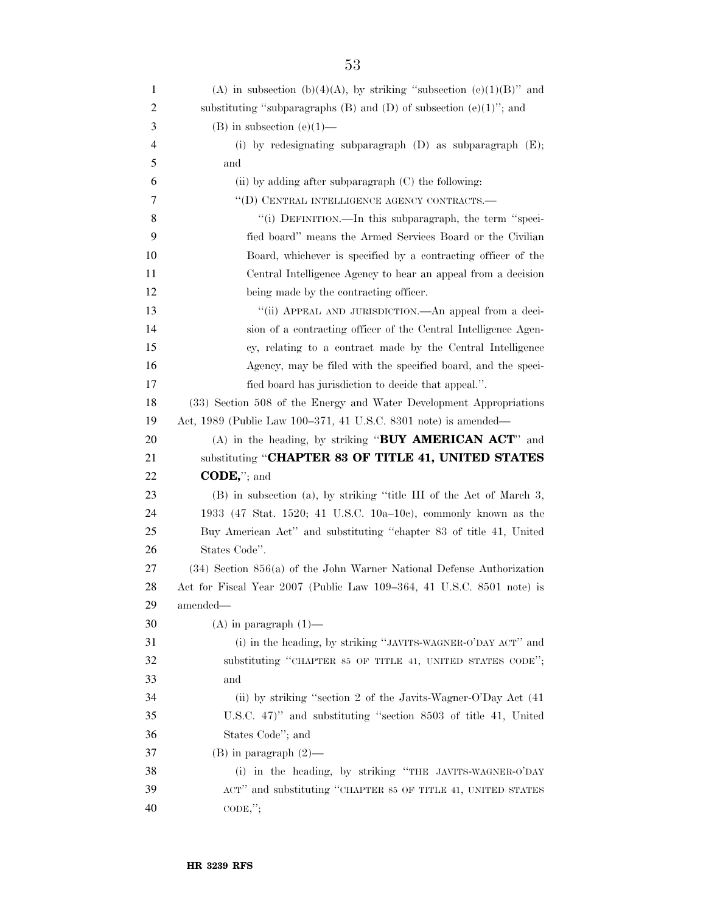| 1              | (A) in subsection (b)(4)(A), by striking "subsection (e)(1)(B)" and                 |
|----------------|-------------------------------------------------------------------------------------|
| $\overline{c}$ | substituting "subparagraphs $(B)$ and $(D)$ of subsection $(e)(1)$ "; and           |
| 3              | $(B)$ in subsection $(e)(1)$ —                                                      |
| 4              | (i) by redesignating subparagraph $(D)$ as subparagraph $(E)$ ;                     |
| 5              | and                                                                                 |
| 6              | (ii) by adding after subparagraph (C) the following:                                |
| 7              | "(D) CENTRAL INTELLIGENCE AGENCY CONTRACTS.-                                        |
| 8              | "(i) DEFINITION.—In this subparagraph, the term "speci-                             |
| 9              | fied board" means the Armed Services Board or the Civilian                          |
| 10             | Board, whichever is specified by a contracting officer of the                       |
| 11             | Central Intelligence Agency to hear an appeal from a decision                       |
| 12             | being made by the contracting officer.                                              |
| 13             | "(ii) APPEAL AND JURISDICTION.—An appeal from a deci-                               |
| 14             | sion of a contracting officer of the Central Intelligence Agen-                     |
| 15             | cy, relating to a contract made by the Central Intelligence                         |
| 16             | Agency, may be filed with the specified board, and the speci-                       |
| 17             | fied board has jurisdiction to decide that appeal.".                                |
| 18             | (33) Section 508 of the Energy and Water Development Appropriations                 |
| 19             | Act, 1989 (Public Law 100–371, 41 U.S.C. 8301 note) is amended—                     |
| 20             | (A) in the heading, by striking "BUY AMERICAN ACT" and                              |
| 21             | substituting "CHAPTER 83 OF TITLE 41, UNITED STATES                                 |
| 22             | $\mathbf{CODE},$ "; and                                                             |
| 23             | (B) in subsection (a), by striking "title III of the Act of March 3,                |
| 24             | 1933 (47 Stat. 1520; 41 U.S.C. 10a-10c), commonly known as the                      |
| 25             | Buy American Act" and substituting "chapter 83 of title 41, United                  |
| 26             | States Code".                                                                       |
| 27             |                                                                                     |
| 28             | $(34)$ Section $856(a)$ of the John Warner National Defense Authorization           |
|                | Act for Fiscal Year 2007 (Public Law 109–364, 41 U.S.C. 8501 note) is               |
| 29             | amended-                                                                            |
| 30             | $(A)$ in paragraph $(1)$ —                                                          |
| 31             | (i) in the heading, by striking "JAVITS-WAGNER-O'DAY ACT" and                       |
| 32             | substituting "CHAPTER 85 OF TITLE 41, UNITED STATES CODE";                          |
| 33             | and                                                                                 |
| 34             | (ii) by striking "section 2 of the Javits-Wagner-O'Day Act (41)                     |
| 35             | U.S.C. 47)" and substituting "section 8503 of title 41, United                      |
| 36             | States Code"; and                                                                   |
| 37             | $(B)$ in paragraph $(2)$ —                                                          |
| 38             | (i) in the heading, by striking "THE JAVITS-WAGNER-O'DAY                            |
| 39<br>40       | ACT" and substituting "CHAPTER 85 OF TITLE 41, UNITED STATES<br>$\mathrm{CODE},$ "; |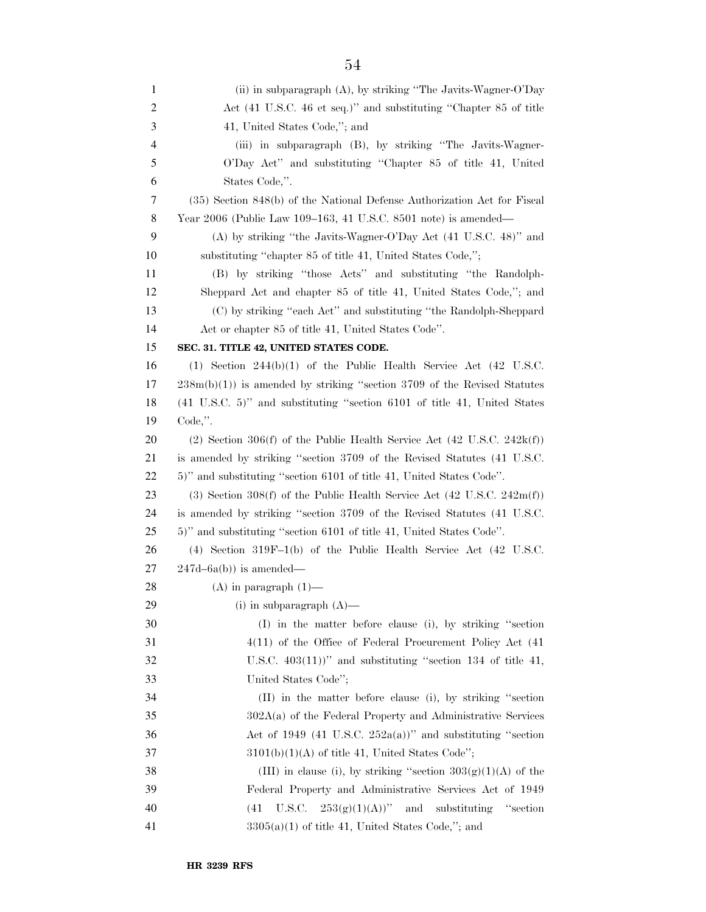(ii) in subparagraph (A), by striking ''The Javits-Wagner-O'Day Act (41 U.S.C. 46 et seq.)'' and substituting ''Chapter 85 of title 41, United States Code,''; and (iii) in subparagraph (B), by striking ''The Javits-Wagner- O'Day Act'' and substituting ''Chapter 85 of title 41, United States Code,''. (35) Section 848(b) of the National Defense Authorization Act for Fiscal Year 2006 (Public Law 109–163, 41 U.S.C. 8501 note) is amended— (A) by striking ''the Javits-Wagner-O'Day Act (41 U.S.C. 48)'' and substituting ''chapter 85 of title 41, United States Code,''; (B) by striking ''those Acts'' and substituting ''the Randolph- Sheppard Act and chapter 85 of title 41, United States Code,''; and (C) by striking ''each Act'' and substituting ''the Randolph-Sheppard Act or chapter 85 of title 41, United States Code''. **SEC. 31. TITLE 42, UNITED STATES CODE.**  (1) Section 244(b)(1) of the Public Health Service Act (42 U.S.C. 238m(b)(1)) is amended by striking ''section 3709 of the Revised Statutes (41 U.S.C. 5)'' and substituting ''section 6101 of title 41, United States Code,''. 20 (2) Section 306(f) of the Public Health Service Act (42 U.S.C. 242k(f)) is amended by striking ''section 3709 of the Revised Statutes (41 U.S.C. 5)'' and substituting ''section 6101 of title 41, United States Code''. (3) Section 308(f) of the Public Health Service Act (42 U.S.C. 242m(f)) is amended by striking ''section 3709 of the Revised Statutes (41 U.S.C. 5)'' and substituting ''section 6101 of title 41, United States Code''. (4) Section 319F–1(b) of the Public Health Service Act (42 U.S.C.  $27 \quad 247d - 6a(b)$  is amended—  $(A)$  in paragraph  $(1)$ — (i) in subparagraph (A)— (I) in the matter before clause (i), by striking ''section 4(11) of the Office of Federal Procurement Policy Act (41  $32 \qquad \qquad$  U.S.C.  $403(11)$ <sup>"</sup> and substituting "section 134 of title 41, United States Code''; (II) in the matter before clause (i), by striking ''section 302A(a) of the Federal Property and Administrative Services Act of 1949 (41 U.S.C.  $252a(a)$ )" and substituting "section  $3101(b)(1)(A)$  of title 41, United States Code"; 38 (III) in clause (i), by striking "section  $303(g)(1)(A)$  of the Federal Property and Administrative Services Act of 1949 40 (41 U.S.C.  $253(g)(1)(A))$ " and substituting "section  $3305(a)(1)$  of title 41, United States Code,"; and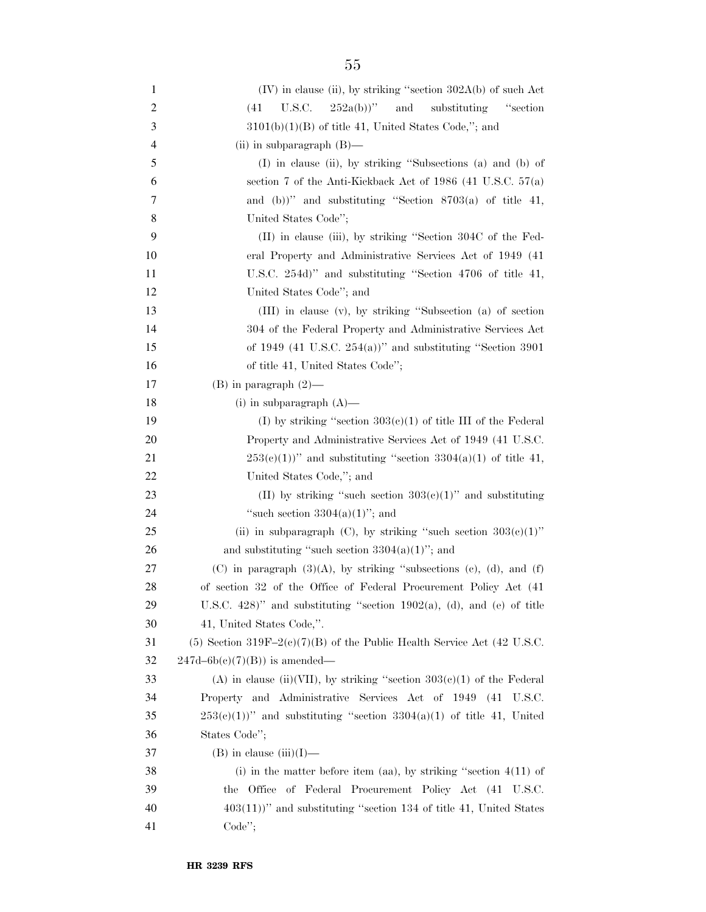| 1  | (IV) in clause (ii), by striking "section 302A(b) of such Act                |
|----|------------------------------------------------------------------------------|
| 2  | $252a(b)$ "<br>substituting<br>U.S.C.<br>and<br>"section"<br>(41)            |
| 3  | $3101(b)(1)(B)$ of title 41, United States Code,"; and                       |
| 4  | (ii) in subparagraph $(B)$ —                                                 |
| 5  | (I) in clause (ii), by striking "Subsections (a) and (b) of                  |
| 6  | section 7 of the Anti-Kickback Act of 1986 (41 U.S.C. $57(a)$ )              |
| 7  | and (b))" and substituting "Section $8703(a)$ of title 41,                   |
| 8  | United States Code";                                                         |
| 9  | $(II)$ in clause (iii), by striking "Section 304C of the Fed-                |
| 10 | eral Property and Administrative Services Act of 1949 (41)                   |
| 11 | U.S.C. 254d)" and substituting "Section 4706 of title 41,                    |
| 12 | United States Code"; and                                                     |
| 13 | (III) in clause (v), by striking "Subsection (a) of section                  |
| 14 | 304 of the Federal Property and Administrative Services Act                  |
| 15 | of 1949 (41 U.S.C. 254(a))" and substituting "Section 3901                   |
| 16 | of title 41, United States Code";                                            |
| 17 | $(B)$ in paragraph $(2)$ —                                                   |
| 18 | (i) in subparagraph $(A)$ —                                                  |
| 19 | (I) by striking "section $303(c)(1)$ of title III of the Federal             |
| 20 | Property and Administrative Services Act of 1949 (41 U.S.C.                  |
| 21 | $253(e)(1)$ " and substituting "section $3304(a)(1)$ of title 41,            |
| 22 | United States Code,"; and                                                    |
| 23 | (II) by striking "such section $303(c)(1)$ " and substituting                |
| 24 | "such section $3304(a)(1)$ "; and                                            |
| 25 | (ii) in subparagraph (C), by striking "such section $303(e)(1)$ "            |
| 26 | and substituting "such section $3304(a)(1)$ "; and                           |
| 27 | (C) in paragraph $(3)(A)$ , by striking "subsections (c), (d), and (f)       |
| 28 | of section 32 of the Office of Federal Procurement Policy Act (41)           |
| 29 | U.S.C. 428)" and substituting "section 1902(a), (d), and (e) of title        |
| 30 | 41, United States Code,".                                                    |
| 31 | $(5)$ Section 319F-2 $(e)(7)(B)$ of the Public Health Service Act (42 U.S.C. |
| 32 | $247d-6b(c)(7)(B)$ is amended—                                               |
| 33 | (A) in clause (ii)(VII), by striking "section $303(e)(1)$ of the Federal     |
| 34 | Property and Administrative Services Act of 1949 (41 U.S.C.                  |
| 35 | $253(e)(1)$ " and substituting "section $3304(a)(1)$ of title 41, United     |
| 36 | States Code";                                                                |
| 37 | $(B)$ in clause $(iii)(I)$ —                                                 |
| 38 | (i) in the matter before item (aa), by striking "section $4(11)$ of          |
| 39 | the Office of Federal Procurement Policy Act (41 U.S.C.                      |
| 40 | $403(11)$ " and substituting "section 134 of title 41, United States         |
| 41 | $Code$ ";                                                                    |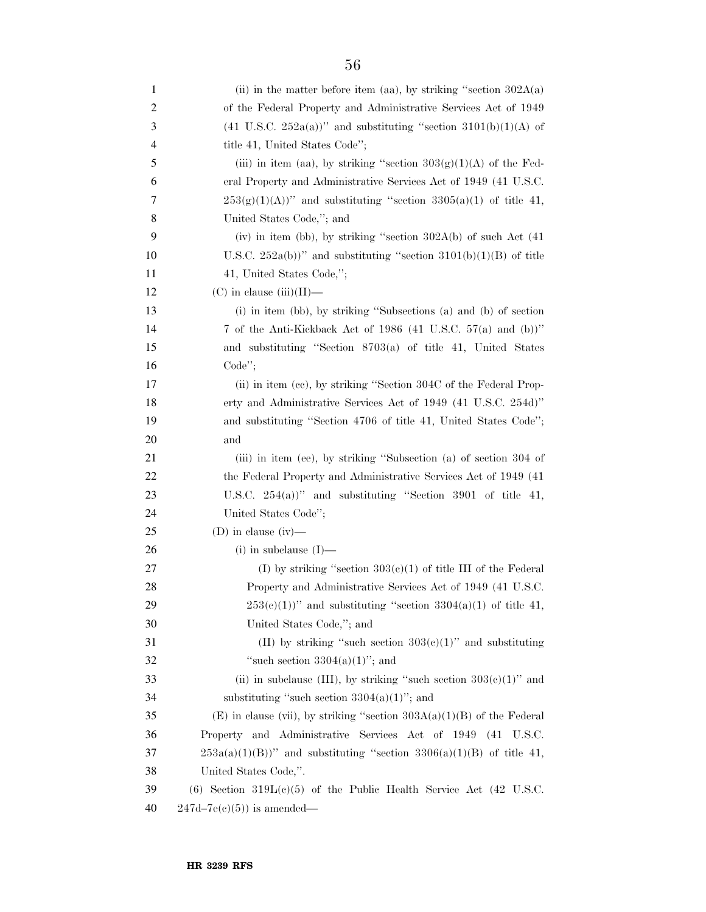| 1  | (ii) in the matter before item (aa), by striking "section $302A(a)$                |
|----|------------------------------------------------------------------------------------|
| 2  | of the Federal Property and Administrative Services Act of 1949                    |
| 3  | $(41 \text{ U.S.C. } 252a(a))$ " and substituting "section $3101(b)(1)(A)$ of      |
| 4  | title 41, United States Code";                                                     |
| 5  | (iii) in item (aa), by striking "section $303(g)(1)(A)$ of the Fed-                |
| 6  | eral Property and Administrative Services Act of 1949 (41 U.S.C.                   |
| 7  | $253(g)(1)(A))$ " and substituting "section $3305(a)(1)$ of title 41,              |
| 8  | United States Code,"; and                                                          |
| 9  | (iv) in item (bb), by striking "section $302A(b)$ of such Act $(41)$               |
| 10 | U.S.C. $252a(b)$ " and substituting "section $3101(b)(1)(B)$ of title              |
| 11 | 41, United States Code,";                                                          |
| 12 | $(C)$ in clause $(iii)(II)$ —                                                      |
| 13 | (i) in item (bb), by striking "Subsections (a) and (b) of section                  |
| 14 | 7 of the Anti-Kickback Act of 1986 (41 U.S.C. 57(a) and (b))"                      |
| 15 | and substituting "Section 8703(a) of title 41, United States                       |
| 16 | Code";                                                                             |
| 17 | (ii) in item (cc), by striking "Section 304C of the Federal Prop-                  |
| 18 | erty and Administrative Services Act of 1949 (41 U.S.C. 254d)"                     |
| 19 | and substituting "Section 4706 of title 41, United States Code";                   |
| 20 | and                                                                                |
| 21 | (iii) in item (ee), by striking "Subsection (a) of section 304 of                  |
| 22 | the Federal Property and Administrative Services Act of 1949 (41)                  |
| 23 | U.S.C. $254(a)$ )" and substituting "Section 3901 of title 41,                     |
| 24 | United States Code";                                                               |
| 25 | (D) in clause $(iv)$ —                                                             |
| 26 | $(i)$ in subclause $(I)$ —                                                         |
| 27 | (I) by striking "section $303(c)(1)$ of title III of the Federal                   |
| 28 | Property and Administrative Services Act of 1949 (41 U.S.C.                        |
| 29 | $253(e)(1)$ " and substituting "section $3304(a)(1)$ of title 41,                  |
| 30 | United States Code,"; and                                                          |
| 31 | (II) by striking "such section $303(e)(1)$ " and substituting                      |
| 32 | "such section $3304(a)(1)$ "; and                                                  |
| 33 | (ii) in subclause (III), by striking "such section $303(e)(1)$ " and               |
| 34 | substituting "such section $3304(a)(1)$ "; and                                     |
| 35 | (E) in clause (vii), by striking "section $303A(a)(1)(B)$ of the Federal           |
| 36 | Property and Administrative Services Act of 1949 (41 U.S.C.                        |
| 37 | $253a(a)(1)(B)$ " and substituting "section $3306(a)(1)(B)$ of title 41,           |
| 38 | United States Code,".                                                              |
| 39 | $(6)$ Section 319L $(e)(5)$ of the Public Health Service Act $(42 \text{ U.S.C.})$ |
| 40 | $247d-7e(c)(5)$ is amended—                                                        |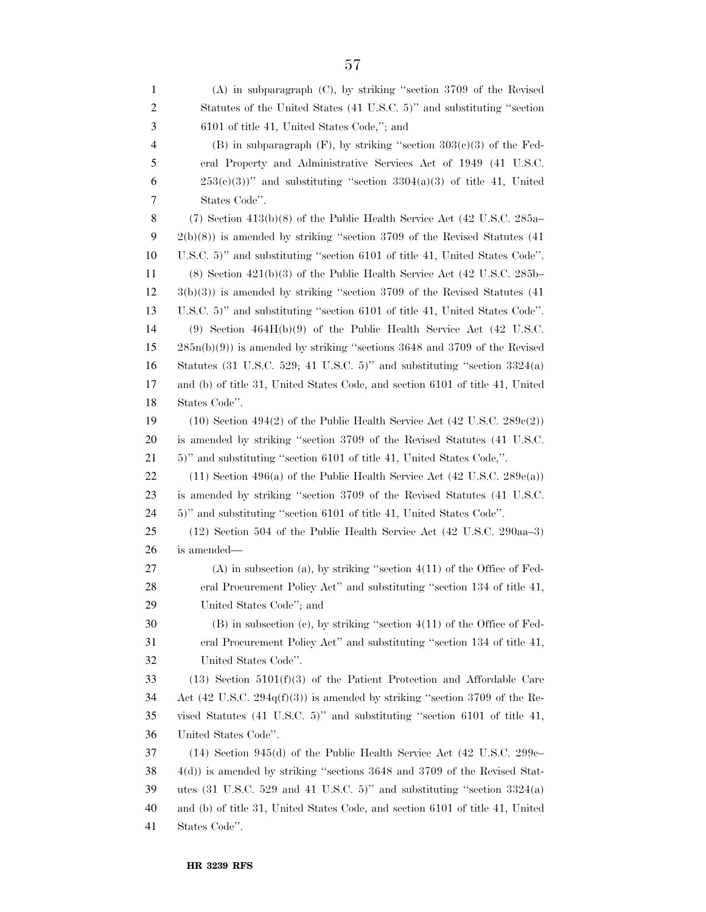| 1              | $(A)$ in subparagraph $(C)$ , by striking "section 3709 of the Revised                                  |
|----------------|---------------------------------------------------------------------------------------------------------|
| $\overline{2}$ | Statutes of the United States (41 U.S.C. 5)" and substituting "section                                  |
| 3              | 6101 of title 41, United States Code,"; and                                                             |
| $\overline{4}$ | (B) in subparagraph $(F)$ , by striking "section $303(e)(3)$ of the Fed-                                |
| 5              | eral Property and Administrative Services Act of 1949 (41 U.S.C.                                        |
| 6              | $253(e)(3)$ " and substituting "section $3304(a)(3)$ of title 41, United                                |
| 7              | States Code".                                                                                           |
| 8              | $(7)$ Section 413(b)(8) of the Public Health Service Act (42 U.S.C. 285a–                               |
| 9              | $2(b)(8)$ ) is amended by striking "section 3709 of the Revised Statutes (41)                           |
| 10             | U.S.C. 5)" and substituting "section 6101 of title 41, United States Code".                             |
| 11             | $(8)$ Section $421(b)(3)$ of the Public Health Service Act $(42 \text{ U.S.C. } 285b-$                  |
| 12             | $3(b)(3)$ ) is amended by striking "section 3709 of the Revised Statutes (41)                           |
| 13             | U.S.C. 5)" and substituting "section 6101 of title 41, United States Code".                             |
| 14             | $(9)$ Section $464H(b)(9)$ of the Public Health Service Act $(42 \text{ U.S.C.})$                       |
| 15             | $285n(b)(9)$ is amended by striking "sections 3648 and 3709 of the Revised                              |
| 16             | Statutes $(31 \text{ U.S.C. } 529; 41 \text{ U.S.C. } 5)$ " and substituting "section $3324(a)$         |
| 17             | and (b) of title 31, United States Code, and section 6101 of title 41, United                           |
| 18             | States Code".                                                                                           |
| 19             | $(10)$ Section 494 $(2)$ of the Public Health Service Act $(42 \text{ U.S.C. } 289e(2))$                |
| 20             | is amended by striking "section 3709 of the Revised Statutes (41 U.S.C.                                 |
| 21             | 5)" and substituting "section 6101 of title 41, United States Code,".                                   |
| 22             | $(11)$ Section 496(a) of the Public Health Service Act (42 U.S.C. 289 $e$ (a))                          |
| 23             | is amended by striking "section 3709 of the Revised Statutes (41 U.S.C.                                 |
| 24             | 5)" and substituting "section 6101 of title 41, United States Code".                                    |
| 25             | (12) Section 504 of the Public Health Service Act (42 U.S.C. 290aa–3)                                   |
| 26             | is amended—                                                                                             |
| 27             | $(A)$ in subsection $(a)$ , by striking "section $4(11)$ of the Office of Fed-                          |
| 28             | eral Procurement Policy Act" and substituting "section 134 of title 41,                                 |
| 29             | United States Code"; and                                                                                |
| 30             | $(B)$ in subsection $(c)$ , by striking "section $4(11)$ of the Office of Fed-                          |
| 31             | eral Procurement Policy Act" and substituting "section 134 of title 41,                                 |
| 32             | United States Code".                                                                                    |
| 33             | $(13)$ Section $5101(f)(3)$ of the Patient Protection and Affordable Care                               |
| 34             | Act (42 U.S.C. 294 $q(f)(3)$ ) is amended by striking "section 3709 of the Re-                          |
| 35             | vised Statutes $(41 \text{ U.S.C. } 5)$ " and substituting "section 6101 of title 41,                   |
| 36             | United States Code".                                                                                    |
| 37             | $(14)$ Section 945(d) of the Public Health Service Act (42 U.S.C. 299 $e-$                              |
| 38             | $4(d)$ ) is amended by striking "sections 3648 and 3709 of the Revised Stat-                            |
| 39             | utes $(31 \text{ U.S.C. } 529 \text{ and } 41 \text{ U.S.C. } 5)$ " and substituting "section $3324(a)$ |
| 40             | and (b) of title 31, United States Code, and section 6101 of title 41, United                           |
| 41             | States Code".                                                                                           |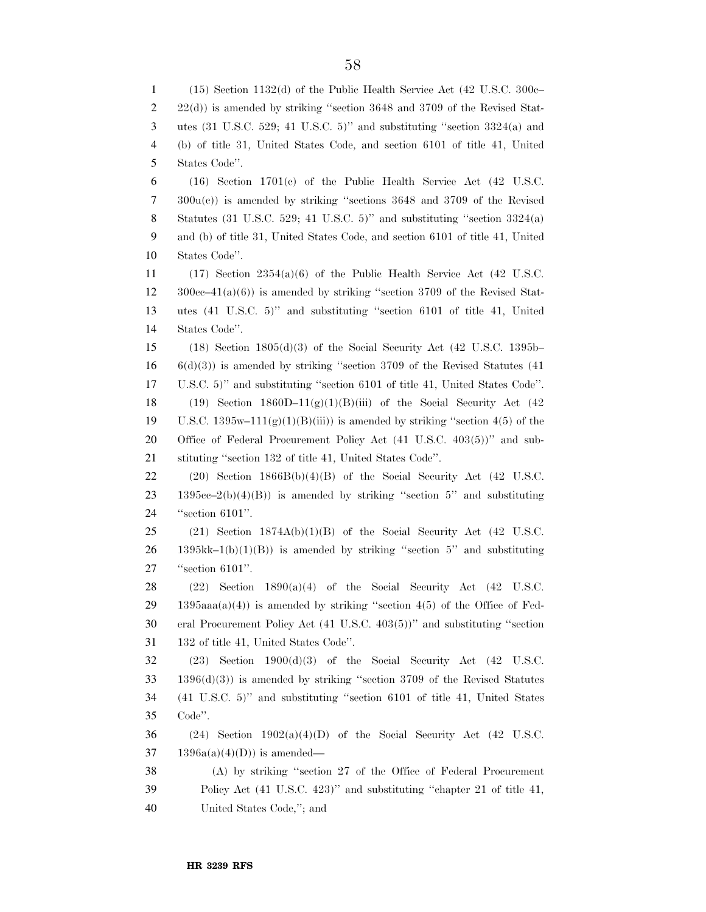(15) Section 1132(d) of the Public Health Service Act (42 U.S.C. 300c– 2 22(d)) is amended by striking "section 3648 and 3709 of the Revised Stat- utes (31 U.S.C. 529; 41 U.S.C. 5)'' and substituting ''section 3324(a) and (b) of title 31, United States Code, and section 6101 of title 41, United States Code''. (16) Section 1701(c) of the Public Health Service Act (42 U.S.C. 300u(c)) is amended by striking ''sections 3648 and 3709 of the Revised 8 Statutes (31 U.S.C. 529; 41 U.S.C. 5)" and substituting "section  $3324(a)$  and (b) of title 31, United States Code, and section 6101 of title 41, United States Code''. (17) Section 2354(a)(6) of the Public Health Service Act (42 U.S.C.  $12 \qquad 300c-41(a)(6)$  is amended by striking "section 3709 of the Revised Stat- utes (41 U.S.C. 5)'' and substituting ''section 6101 of title 41, United States Code''. (18) Section 1805(d)(3) of the Social Security Act (42 U.S.C. 1395b– 6(d)(3)) is amended by striking ''section 3709 of the Revised Statutes (41 U.S.C. 5)'' and substituting ''section 6101 of title 41, United States Code''. 18 (19) Section  $1860D-11(g)(1)(B)(iii)$  of the Social Security Act (42) 19 U.S.C. 1395w–111(g)(1)(B)(iii)) is amended by striking "section 4(5) of the 20 Office of Federal Procurement Policy Act (41 U.S.C. 403(5))" and sub- stituting ''section 132 of title 41, United States Code''. 22 (20) Section  $1866B(b)(4)(B)$  of the Social Security Act (42 U.S.C. 23 1395cc–2(b)(4)(B)) is amended by striking "section 5" and substituting ''section 6101''. 25 (21) Section  $1874A(b)(1)(B)$  of the Social Security Act (42 U.S.C. 1395kk–1(b)(1)(B)) is amended by striking "section 5" and substituting ''section 6101''.  $(22)$  Section 1890(a)(4) of the Social Security Act (42 U.S.C. 29 1395aaa(a)(4)) is amended by striking "section 4(5) of the Office of Fed- eral Procurement Policy Act (41 U.S.C. 403(5))'' and substituting ''section 132 of title 41, United States Code''. (23) Section 1900(d)(3) of the Social Security Act (42 U.S.C. 1396(d)(3)) is amended by striking ''section 3709 of the Revised Statutes (41 U.S.C. 5)'' and substituting ''section 6101 of title 41, United States Code''.  $(24)$  Section 1902(a)(4)(D) of the Social Security Act (42 U.S.C. 37 1396a(a)(4)(D)) is amended– (A) by striking ''section 27 of the Office of Federal Procurement 39 Policy Act (41 U.S.C. 423)" and substituting "chapter 21 of title 41, United States Code,''; and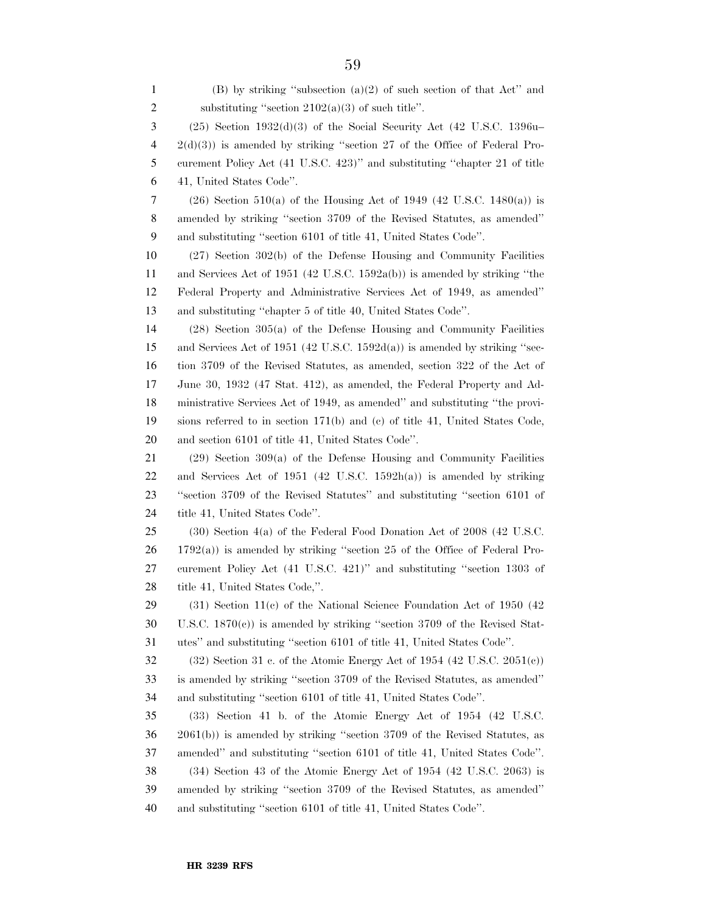| 1              | $(B)$ by striking "subsection $(a)(2)$ of such section of that Act" and              |
|----------------|--------------------------------------------------------------------------------------|
| $\overline{c}$ | substituting "section $2102(a)(3)$ of such title".                                   |
| 3              | $(25)$ Section 1932 $(d)(3)$ of the Social Security Act $(42 \text{ U.S.C. } 1396u-$ |
| 4              | $2(d)(3)$ ) is amended by striking "section 27 of the Office of Federal Pro-         |
| 5              | curement Policy Act (41 U.S.C. 423)" and substituting "chapter 21 of title           |
| 6              | 41, United States Code".                                                             |
| 7              | $(26)$ Section 510(a) of the Housing Act of 1949 (42 U.S.C. 1480(a)) is              |
| 8              | amended by striking "section 3709 of the Revised Statutes, as amended"               |
| 9              | and substituting "section 6101 of title 41, United States Code".                     |
| 10             | $(27)$ Section 302(b) of the Defense Housing and Community Facilities                |
| 11             | and Services Act of 1951 (42 U.S.C. 1592a(b)) is amended by striking "the            |
| 12             | Federal Property and Administrative Services Act of 1949, as amended"                |
| 13             | and substituting "chapter 5 of title 40, United States Code".                        |
| 14             | $(28)$ Section 305(a) of the Defense Housing and Community Facilities                |
| 15             | and Services Act of 1951 (42 U.S.C. 1592 $d(a)$ ) is amended by striking "sec-       |
| 16             | tion 3709 of the Revised Statutes, as amended, section 322 of the Act of             |
| 17             | June 30, 1932 (47 Stat. 412), as amended, the Federal Property and Ad-               |
| 18             | ministrative Services Act of 1949, as amended" and substituting "the provi-          |
| 19             | sions referred to in section 171(b) and (c) of title 41, United States Code,         |
| 20             | and section 6101 of title 41, United States Code".                                   |
| 21             | $(29)$ Section 309(a) of the Defense Housing and Community Facilities                |
| 22             | and Services Act of $1951$ (42 U.S.C. $1592h(a)$ ) is amended by striking            |
| 23             | "section 3709 of the Revised Statutes" and substituting "section 6101 of             |
| 24             | title 41, United States Code".                                                       |
| 25             | $(30)$ Section 4(a) of the Federal Food Donation Act of 2008 (42 U.S.C.              |
| 26             | $1792(a)$ ) is amended by striking "section 25 of the Office of Federal Pro-         |
| 27             | curement Policy Act (41 U.S.C. 421)" and substituting "section 1303 of               |
| 28             | title 41, United States Code,".                                                      |
| 29             | $(31)$ Section 11(c) of the National Science Foundation Act of 1950 (42)             |
| 30             | U.S.C. $1870(c)$ ) is amended by striking "section 3709 of the Revised Stat-         |
| 31             | utes" and substituting "section 6101 of title 41, United States Code".               |
| 32             | $(32)$ Section 31 c. of the Atomic Energy Act of 1954 $(42 \text{ U.S.C. } 2051(c))$ |
| 33             | is amended by striking "section 3709 of the Revised Statutes, as amended"            |
| 34             | and substituting "section 6101 of title 41, United States Code".                     |
| 35             | (33) Section 41 b. of the Atomic Energy Act of 1954 (42 U.S.C.                       |
| 36             | $2061(b)$ ) is amended by striking "section 3709 of the Revised Statutes, as         |
| 37             | amended" and substituting "section 6101 of title 41, United States Code".            |
| 38             | (34) Section 43 of the Atomic Energy Act of 1954 (42 U.S.C. 2063) is                 |
| 39             | amended by striking "section 3709 of the Revised Statutes, as amended"               |
| 40             | and substituting "section 6101 of title 41, United States Code".                     |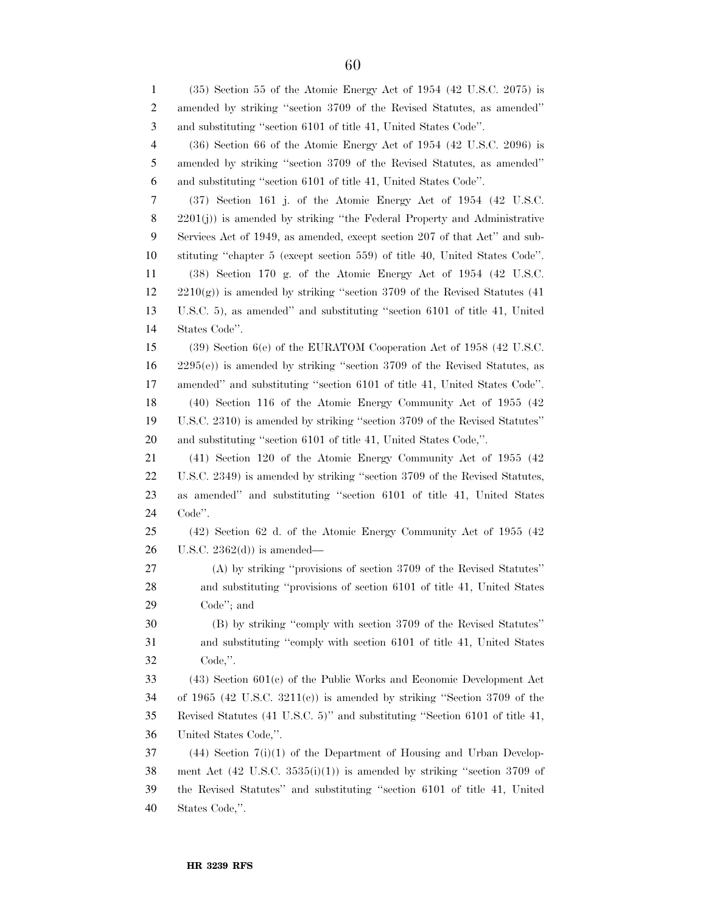(35) Section 55 of the Atomic Energy Act of 1954 (42 U.S.C. 2075) is amended by striking ''section 3709 of the Revised Statutes, as amended'' and substituting ''section 6101 of title 41, United States Code''. (36) Section 66 of the Atomic Energy Act of 1954 (42 U.S.C. 2096) is amended by striking ''section 3709 of the Revised Statutes, as amended'' and substituting ''section 6101 of title 41, United States Code''. (37) Section 161 j. of the Atomic Energy Act of 1954 (42 U.S.C. 2201(j)) is amended by striking ''the Federal Property and Administrative Services Act of 1949, as amended, except section 207 of that Act'' and sub- stituting ''chapter 5 (except section 559) of title 40, United States Code''. (38) Section 170 g. of the Atomic Energy Act of 1954 (42 U.S.C. 2210(g)) is amended by striking ''section 3709 of the Revised Statutes (41 U.S.C. 5), as amended'' and substituting ''section 6101 of title 41, United States Code''. (39) Section 6(e) of the EURATOM Cooperation Act of 1958 (42 U.S.C. 2295(e)) is amended by striking ''section 3709 of the Revised Statutes, as amended'' and substituting ''section 6101 of title 41, United States Code''. (40) Section 116 of the Atomic Energy Community Act of 1955 (42 U.S.C. 2310) is amended by striking ''section 3709 of the Revised Statutes'' and substituting ''section 6101 of title 41, United States Code,''. (41) Section 120 of the Atomic Energy Community Act of 1955 (42 U.S.C. 2349) is amended by striking ''section 3709 of the Revised Statutes, as amended'' and substituting ''section 6101 of title 41, United States Code''. (42) Section 62 d. of the Atomic Energy Community Act of 1955 (42 U.S.C.  $2362(d)$  is amended— (A) by striking ''provisions of section 3709 of the Revised Statutes'' and substituting ''provisions of section 6101 of title 41, United States Code''; and (B) by striking ''comply with section 3709 of the Revised Statutes'' and substituting ''comply with section 6101 of title 41, United States Code,''. (43) Section 601(c) of the Public Works and Economic Development Act of 1965 (42 U.S.C. 3211(c)) is amended by striking ''Section 3709 of the Revised Statutes (41 U.S.C. 5)'' and substituting ''Section 6101 of title 41, United States Code,''. (44) Section 7(i)(1) of the Department of Housing and Urban Develop-38 ment Act  $(42 \text{ U.S.C. } 3535(i)(1))$  is amended by striking "section 3709 of the Revised Statutes'' and substituting ''section 6101 of title 41, United States Code,''.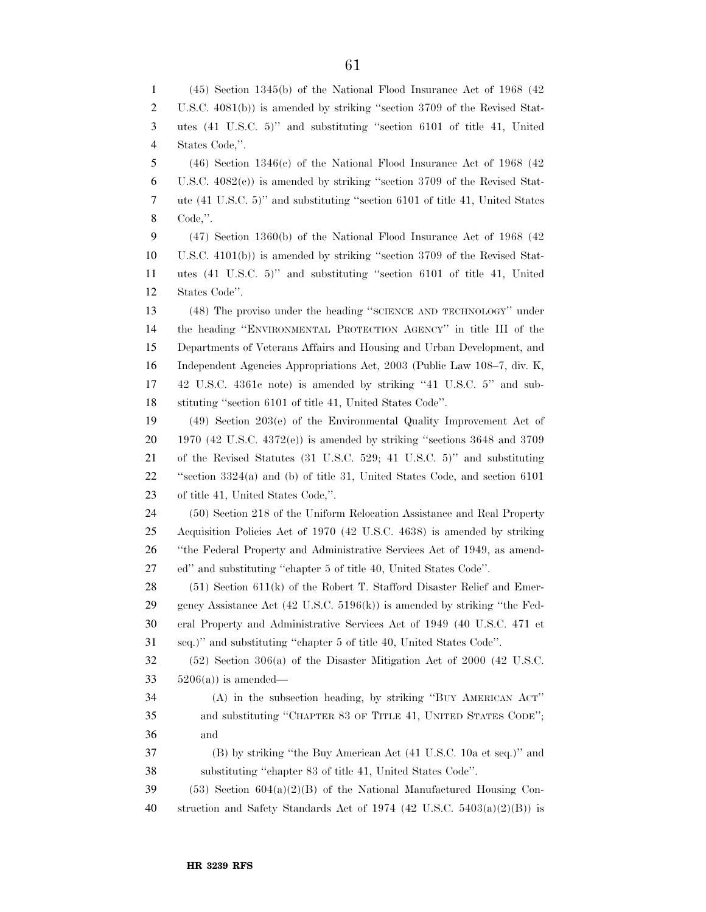(45) Section 1345(b) of the National Flood Insurance Act of 1968 (42 U.S.C. 4081(b)) is amended by striking ''section 3709 of the Revised Stat- utes (41 U.S.C. 5)'' and substituting ''section 6101 of title 41, United States Code,''. (46) Section 1346(c) of the National Flood Insurance Act of 1968 (42 U.S.C. 4082(c)) is amended by striking ''section 3709 of the Revised Stat- ute (41 U.S.C. 5)'' and substituting ''section 6101 of title 41, United States Code,''. (47) Section 1360(b) of the National Flood Insurance Act of 1968 (42 U.S.C. 4101(b)) is amended by striking ''section 3709 of the Revised Stat- utes (41 U.S.C. 5)'' and substituting ''section 6101 of title 41, United States Code''. (48) The proviso under the heading ''SCIENCE AND TECHNOLOGY'' under the heading ''ENVIRONMENTAL PROTECTION AGENCY'' in title III of the Departments of Veterans Affairs and Housing and Urban Development, and Independent Agencies Appropriations Act, 2003 (Public Law 108–7, div. K, 42 U.S.C. 4361c note) is amended by striking ''41 U.S.C. 5'' and sub- stituting ''section 6101 of title 41, United States Code''. (49) Section 203(e) of the Environmental Quality Improvement Act of 1970 (42 U.S.C. 4372(e)) is amended by striking ''sections 3648 and 3709 of the Revised Statutes (31 U.S.C. 529; 41 U.S.C. 5)'' and substituting ''section 3324(a) and (b) of title 31, United States Code, and section 6101 of title 41, United States Code,''. (50) Section 218 of the Uniform Relocation Assistance and Real Property Acquisition Policies Act of 1970 (42 U.S.C. 4638) is amended by striking ''the Federal Property and Administrative Services Act of 1949, as amend- ed'' and substituting ''chapter 5 of title 40, United States Code''. 28 (51) Section 611(k) of the Robert T. Stafford Disaster Relief and Emer- gency Assistance Act (42 U.S.C. 5196(k)) is amended by striking ''the Fed- eral Property and Administrative Services Act of 1949 (40 U.S.C. 471 et seq.)'' and substituting ''chapter 5 of title 40, United States Code''. (52) Section 306(a) of the Disaster Mitigation Act of 2000 (42 U.S.C.  $5206(a)$  is amended— (A) in the subsection heading, by striking ''BUY AMERICAN ACT'' and substituting ''CHAPTER 83 OF TITLE 41, UNITED STATES CODE''; and (B) by striking ''the Buy American Act (41 U.S.C. 10a et seq.)'' and substituting ''chapter 83 of title 41, United States Code''. 39 (53) Section  $604(a)(2)(B)$  of the National Manufactured Housing Con-40 struction and Safety Standards Act of 1974 (42 U.S.C.  $5403(a)(2)(B)$ ) is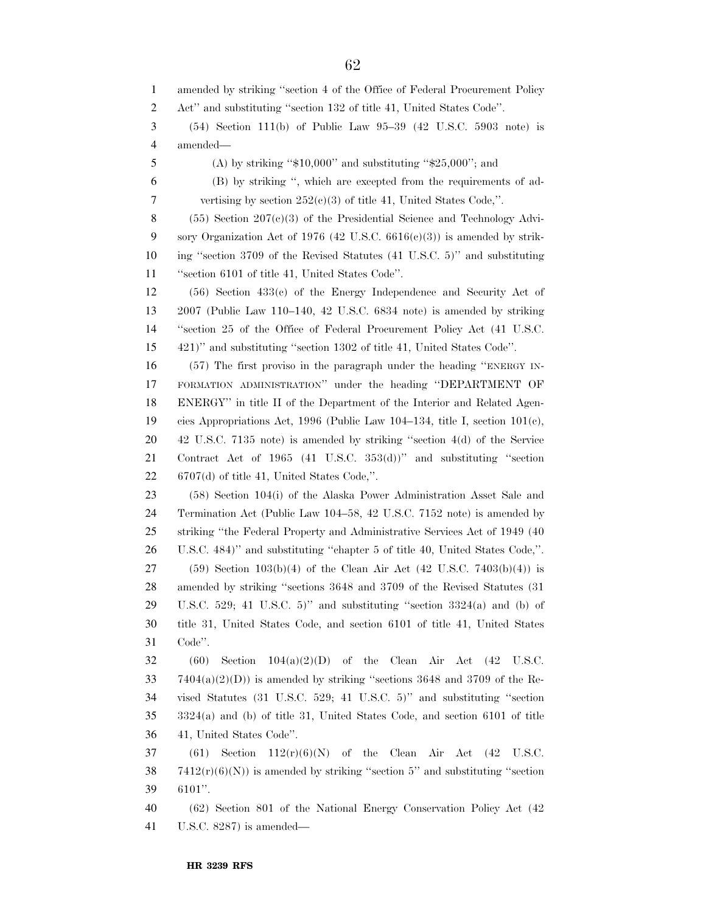amended by striking ''section 4 of the Office of Federal Procurement Policy Act'' and substituting ''section 132 of title 41, United States Code''. (54) Section 111(b) of Public Law 95–39 (42 U.S.C. 5903 note) is amended— (A) by striking ''\$10,000'' and substituting ''\$25,000''; and (B) by striking '', which are excepted from the requirements of ad- vertising by section 252(c)(3) of title 41, United States Code,''. (55) Section 207(c)(3) of the Presidential Science and Technology Advi-9 sory Organization Act of 1976 (42 U.S.C.  $6616(e)(3)$ ) is amended by strik- ing ''section 3709 of the Revised Statutes (41 U.S.C. 5)'' and substituting ''section 6101 of title 41, United States Code''. (56) Section 433(c) of the Energy Independence and Security Act of 2007 (Public Law 110–140, 42 U.S.C. 6834 note) is amended by striking ''section 25 of the Office of Federal Procurement Policy Act (41 U.S.C. 421)'' and substituting ''section 1302 of title 41, United States Code''. (57) The first proviso in the paragraph under the heading ''ENERGY IN- FORMATION ADMINISTRATION'' under the heading ''DEPARTMENT OF ENERGY'' in title II of the Department of the Interior and Related Agen- cies Appropriations Act, 1996 (Public Law 104–134, title I, section 101(c), 42 U.S.C. 7135 note) is amended by striking ''section 4(d) of the Service Contract Act of 1965 (41 U.S.C. 353(d))'' and substituting ''section 6707(d) of title 41, United States Code,''. (58) Section 104(i) of the Alaska Power Administration Asset Sale and Termination Act (Public Law 104–58, 42 U.S.C. 7152 note) is amended by striking ''the Federal Property and Administrative Services Act of 1949 (40 U.S.C. 484)'' and substituting ''chapter 5 of title 40, United States Code,''. (59) Section 103(b)(4) of the Clean Air Act (42 U.S.C. 7403(b)(4)) is amended by striking ''sections 3648 and 3709 of the Revised Statutes (31 U.S.C. 529; 41 U.S.C. 5)'' and substituting ''section 3324(a) and (b) of title 31, United States Code, and section 6101 of title 41, United States Code''. 32 (60) Section  $104(a)(2)(D)$  of the Clean Air Act (42 U.S.C.  $7404(a)(2)(D)$  is amended by striking "sections 3648 and 3709 of the Re- vised Statutes (31 U.S.C. 529; 41 U.S.C. 5)'' and substituting ''section 3324(a) and (b) of title 31, United States Code, and section 6101 of title 41, United States Code''. 37 (61) Section  $112(r)(6)(N)$  of the Clean Air Act (42 U.S.C.  $7412(r)(6)(N)$  is amended by striking "section 5" and substituting "section 6101''. (62) Section 801 of the National Energy Conservation Policy Act (42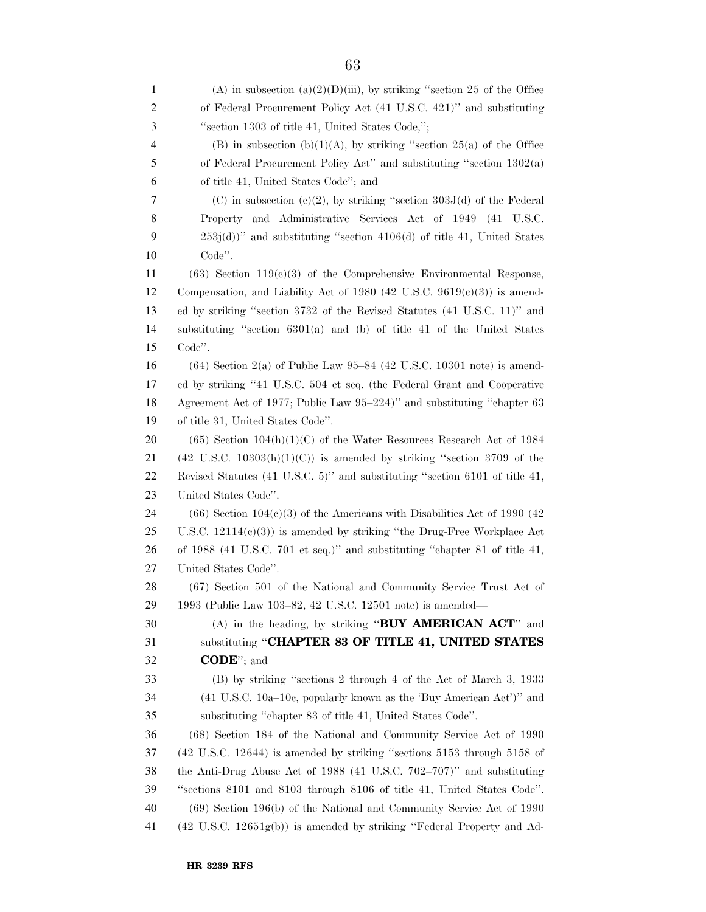1 (A) in subsection (a)(2)(D)(iii), by striking "section 25 of the Office of Federal Procurement Policy Act (41 U.S.C. 421)'' and substituting ''section 1303 of title 41, United States Code,''; 4 (B) in subsection (b)(1)(A), by striking "section 25(a) of the Office of Federal Procurement Policy Act'' and substituting ''section 1302(a) of title 41, United States Code''; and (C) in subsection (c)(2), by striking ''section 303J(d) of the Federal Property and Administrative Services Act of 1949 (41 U.S.C. 253j(d))'' and substituting ''section 4106(d) of title 41, United States Code''. (63) Section 119(c)(3) of the Comprehensive Environmental Response, 12 Compensation, and Liability Act of 1980 (42 U.S.C.  $9619(e)(3)$ ) is amend- ed by striking ''section 3732 of the Revised Statutes (41 U.S.C. 11)'' and substituting ''section 6301(a) and (b) of title 41 of the United States Code''. (64) Section 2(a) of Public Law 95–84 (42 U.S.C. 10301 note) is amend- ed by striking ''41 U.S.C. 504 et seq. (the Federal Grant and Cooperative Agreement Act of 1977; Public Law 95–224)'' and substituting ''chapter 63 of title 31, United States Code''. 20 (65) Section  $104(h)(1)(C)$  of the Water Resources Research Act of 1984 21 (42 U.S.C. 10303(h)(1)(C)) is amended by striking "section 3709 of the Revised Statutes (41 U.S.C. 5)'' and substituting ''section 6101 of title 41, United States Code''. 24 (66) Section  $104(c)(3)$  of the Americans with Disabilities Act of 1990 (42) U.S.C. 12114(c)(3)) is amended by striking ''the Drug-Free Workplace Act of 1988 (41 U.S.C. 701 et seq.)'' and substituting ''chapter 81 of title 41, United States Code''. (67) Section 501 of the National and Community Service Trust Act of 1993 (Public Law 103–82, 42 U.S.C. 12501 note) is amended— (A) in the heading, by striking ''**BUY AMERICAN ACT**'' and substituting ''**CHAPTER 83 OF TITLE 41, UNITED STATES CODE**''; and (B) by striking ''sections 2 through 4 of the Act of March 3, 1933 (41 U.S.C. 10a–10c, popularly known as the 'Buy American Act')'' and substituting ''chapter 83 of title 41, United States Code''. (68) Section 184 of the National and Community Service Act of 1990 (42 U.S.C. 12644) is amended by striking ''sections 5153 through 5158 of the Anti-Drug Abuse Act of 1988 (41 U.S.C. 702–707)'' and substituting ''sections 8101 and 8103 through 8106 of title 41, United States Code''. (69) Section 196(b) of the National and Community Service Act of 1990 (42 U.S.C. 12651g(b)) is amended by striking ''Federal Property and Ad-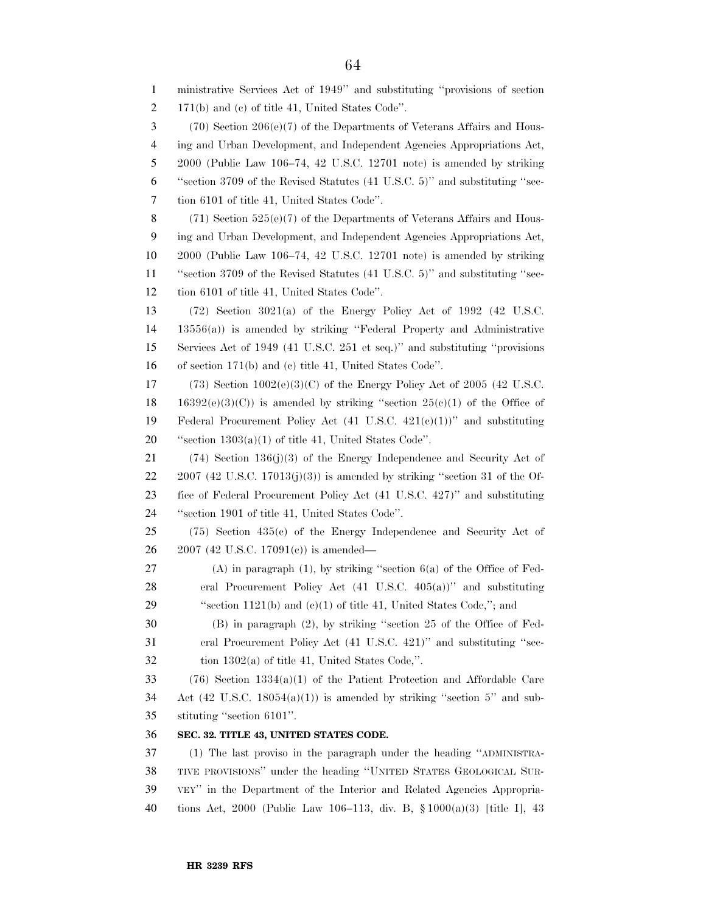ministrative Services Act of 1949'' and substituting ''provisions of section 171(b) and (c) of title 41, United States Code''. (70) Section 206(e)(7) of the Departments of Veterans Affairs and Hous- ing and Urban Development, and Independent Agencies Appropriations Act, 2000 (Public Law 106–74, 42 U.S.C. 12701 note) is amended by striking ''section 3709 of the Revised Statutes (41 U.S.C. 5)'' and substituting ''sec- tion 6101 of title 41, United States Code''. (71) Section 525(e)(7) of the Departments of Veterans Affairs and Hous- ing and Urban Development, and Independent Agencies Appropriations Act, 2000 (Public Law 106–74, 42 U.S.C. 12701 note) is amended by striking ''section 3709 of the Revised Statutes (41 U.S.C. 5)'' and substituting ''sec- tion 6101 of title 41, United States Code''. (72) Section 3021(a) of the Energy Policy Act of 1992 (42 U.S.C. 13556(a)) is amended by striking ''Federal Property and Administrative Services Act of 1949 (41 U.S.C. 251 et seq.)'' and substituting ''provisions of section 171(b) and (c) title 41, United States Code''. 17 (73) Section  $1002(e)(3)(C)$  of the Energy Policy Act of 2005 (42 U.S.C. 18 16392(e)(3)(C)) is amended by striking "section  $25(e)(1)$  of the Office of 19 Federal Procurement Policy Act  $(41 \text{ U.S.C. } 421(e)(1))$ " and substituting ''section 1303(a)(1) of title 41, United States Code''. (74) Section 136(j)(3) of the Energy Independence and Security Act of 22 2007 (42 U.S.C. 17013(j)(3)) is amended by striking "section 31 of the Of- fice of Federal Procurement Policy Act (41 U.S.C. 427)'' and substituting ''section 1901 of title 41, United States Code''. (75) Section 435(c) of the Energy Independence and Security Act of 2007 (42 U.S.C. 17091(c)) is amended— (A) in paragraph (1), by striking ''section 6(a) of the Office of Fed- eral Procurement Policy Act (41 U.S.C. 405(a))'' and substituting 29 "section 1121(b) and (c)(1) of title 41, United States Code,"; and (B) in paragraph (2), by striking ''section 25 of the Office of Fed- eral Procurement Policy Act (41 U.S.C. 421)'' and substituting ''sec- tion 1302(a) of title 41, United States Code,''. (76) Section 1334(a)(1) of the Patient Protection and Affordable Care 34 Act  $(42 \text{ U.S.C. } 18054(a)(1))$  is amended by striking "section 5" and sub- stituting ''section 6101''. **SEC. 32. TITLE 43, UNITED STATES CODE.**  (1) The last proviso in the paragraph under the heading ''ADMINISTRA- TIVE PROVISIONS'' under the heading ''UNITED STATES GEOLOGICAL SUR- VEY'' in the Department of the Interior and Related Agencies Appropria-tions Act, 2000 (Public Law 106–113, div. B, § 1000(a)(3) [title I], 43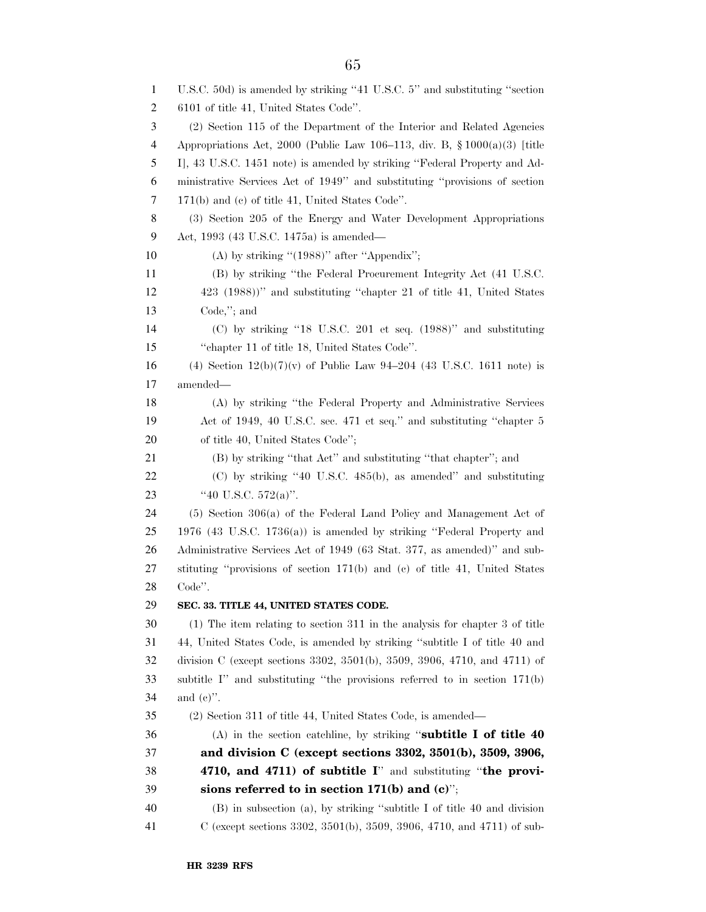U.S.C. 50d) is amended by striking ''41 U.S.C. 5'' and substituting ''section 6101 of title 41, United States Code''. (2) Section 115 of the Department of the Interior and Related Agencies Appropriations Act, 2000 (Public Law 106–113, div. B, § 1000(a)(3) [title I], 43 U.S.C. 1451 note) is amended by striking ''Federal Property and Ad- ministrative Services Act of 1949'' and substituting ''provisions of section 171(b) and (c) of title 41, United States Code''. (3) Section 205 of the Energy and Water Development Appropriations Act, 1993 (43 U.S.C. 1475a) is amended— 10 (A) by striking "(1988)" after "Appendix"; (B) by striking ''the Federal Procurement Integrity Act (41 U.S.C. 423 (1988))'' and substituting ''chapter 21 of title 41, United States Code,''; and (C) by striking ''18 U.S.C. 201 et seq. (1988)'' and substituting ''chapter 11 of title 18, United States Code''. 16 (4) Section  $12(b)(7)(v)$  of Public Law 94–204 (43 U.S.C. 1611 note) is amended— (A) by striking ''the Federal Property and Administrative Services Act of 1949, 40 U.S.C. sec. 471 et seq.'' and substituting ''chapter 5 20 of title 40, United States Code"; (B) by striking ''that Act'' and substituting ''that chapter''; and (C) by striking ''40 U.S.C. 485(b), as amended'' and substituting 23 ''40 U.S.C. 572(a)''. (5) Section 306(a) of the Federal Land Policy and Management Act of 1976 (43 U.S.C. 1736(a)) is amended by striking ''Federal Property and Administrative Services Act of 1949 (63 Stat. 377, as amended)'' and sub- stituting ''provisions of section 171(b) and (c) of title 41, United States Code''. **SEC. 33. TITLE 44, UNITED STATES CODE.**  (1) The item relating to section 311 in the analysis for chapter 3 of title 44, United States Code, is amended by striking ''subtitle I of title 40 and division C (except sections 3302, 3501(b), 3509, 3906, 4710, and 4711) of subtitle I'' and substituting ''the provisions referred to in section 171(b) and (c)''. (2) Section 311 of title 44, United States Code, is amended— (A) in the section catchline, by striking ''**subtitle I of title 40 and division C (except sections 3302, 3501(b), 3509, 3906, 4710, and 4711) of subtitle I**'' and substituting ''**the provi- sions referred to in section 171(b) and (c)**''; (B) in subsection (a), by striking ''subtitle I of title 40 and division C (except sections 3302, 3501(b), 3509, 3906, 4710, and 4711) of sub-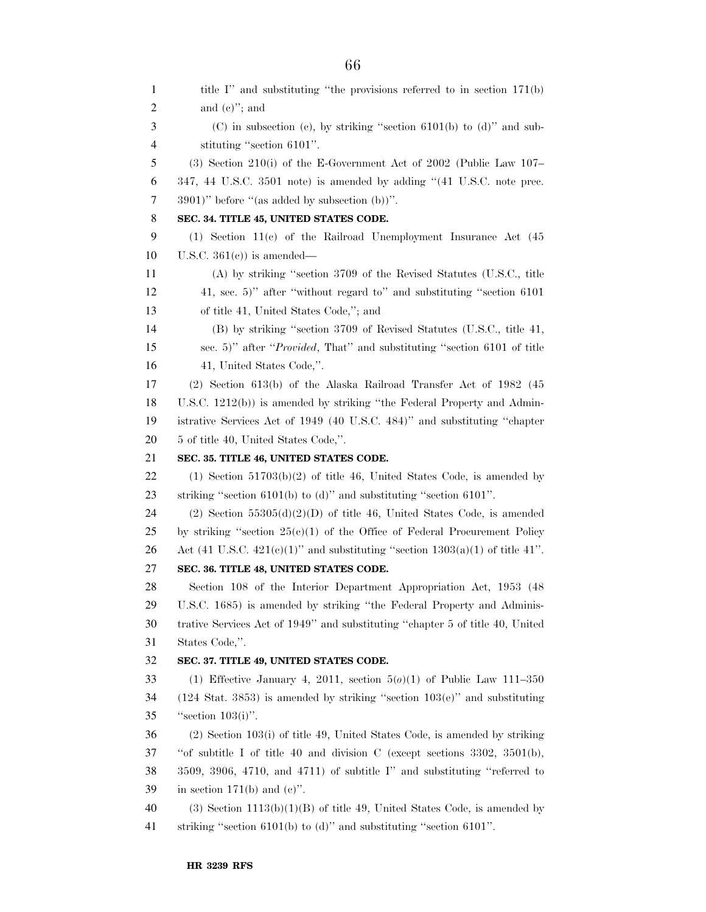1 title I'' and substituting "the provisions referred to in section 171(b) and (c)''; and (C) in subsection (c), by striking ''section 6101(b) to (d)'' and sub- stituting ''section 6101''. (3) Section 210(i) of the E-Government Act of 2002 (Public Law 107– 347, 44 U.S.C. 3501 note) is amended by adding ''(41 U.S.C. note prec. 3901)'' before ''(as added by subsection (b))''. **SEC. 34. TITLE 45, UNITED STATES CODE.**  (1) Section 11(c) of the Railroad Unemployment Insurance Act (45 U.S.C. 361(c)) is amended— (A) by striking ''section 3709 of the Revised Statutes (U.S.C., title 41, sec. 5)'' after ''without regard to'' and substituting ''section 6101 of title 41, United States Code,''; and (B) by striking ''section 3709 of Revised Statutes (U.S.C., title 41, sec. 5)'' after ''*Provided*, That'' and substituting ''section 6101 of title 41, United States Code,''. (2) Section 613(b) of the Alaska Railroad Transfer Act of 1982 (45 U.S.C. 1212(b)) is amended by striking ''the Federal Property and Admin- istrative Services Act of 1949 (40 U.S.C. 484)'' and substituting ''chapter 5 of title 40, United States Code,''. **SEC. 35. TITLE 46, UNITED STATES CODE.**  22 (1) Section  $51703(b)(2)$  of title 46, United States Code, is amended by striking ''section 6101(b) to (d)'' and substituting ''section 6101''. (2) Section 55305(d)(2)(D) of title 46, United States Code, is amended 25 by striking "section  $25(e)(1)$  of the Office of Federal Procurement Policy 26 Act (41 U.S.C.  $421(e)(1)$ " and substituting "section  $1303(a)(1)$  of title 41". **SEC. 36. TITLE 48, UNITED STATES CODE.**  Section 108 of the Interior Department Appropriation Act, 1953 (48 U.S.C. 1685) is amended by striking ''the Federal Property and Adminis- trative Services Act of 1949'' and substituting ''chapter 5 of title 40, United States Code,''. **SEC. 37. TITLE 49, UNITED STATES CODE.**  (1) Effective January 4, 2011, section 5(*o*)(1) of Public Law 111–350 (124 Stat. 3853) is amended by striking ''section 103(e)'' and substituting ''section 103(i)''. (2) Section 103(i) of title 49, United States Code, is amended by striking ''of subtitle I of title 40 and division C (except sections 3302, 3501(b), 3509, 3906, 4710, and 4711) of subtitle I'' and substituting ''referred to 39 in section 171(b) and  $(e)$ ". 40 (3) Section  $1113(b)(1)(B)$  of title 49, United States Code, is amended by striking ''section 6101(b) to (d)'' and substituting ''section 6101''.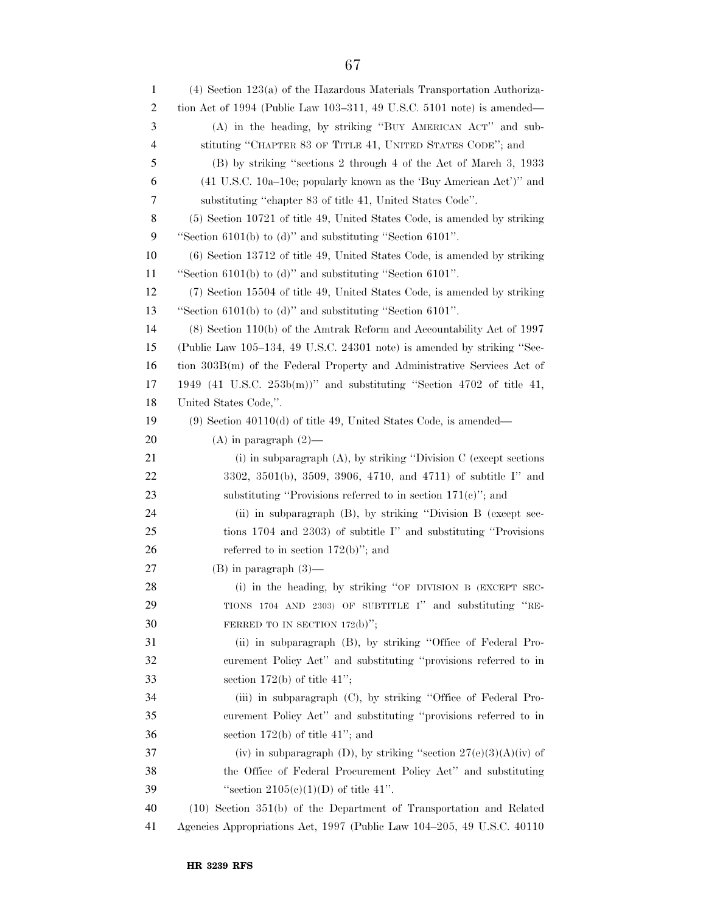(4) Section 123(a) of the Hazardous Materials Transportation Authoriza- tion Act of 1994 (Public Law 103–311, 49 U.S.C. 5101 note) is amended— (A) in the heading, by striking ''BUY AMERICAN ACT'' and sub- stituting ''CHAPTER 83 OF TITLE 41, UNITED STATES CODE''; and (B) by striking ''sections 2 through 4 of the Act of March 3, 1933 (41 U.S.C. 10a–10c; popularly known as the 'Buy American Act')'' and substituting ''chapter 83 of title 41, United States Code''. (5) Section 10721 of title 49, United States Code, is amended by striking ''Section 6101(b) to (d)'' and substituting ''Section 6101''. (6) Section 13712 of title 49, United States Code, is amended by striking ''Section 6101(b) to (d)'' and substituting ''Section 6101''. (7) Section 15504 of title 49, United States Code, is amended by striking ''Section 6101(b) to (d)'' and substituting ''Section 6101''. (8) Section 110(b) of the Amtrak Reform and Accountability Act of 1997 (Public Law 105–134, 49 U.S.C. 24301 note) is amended by striking ''Sec- tion 303B(m) of the Federal Property and Administrative Services Act of 1949 (41 U.S.C. 253b(m))'' and substituting ''Section 4702 of title 41, United States Code,''. (9) Section 40110(d) of title 49, United States Code, is amended— 20 (A) in paragraph  $(2)$ — 21 (i) in subparagraph (A), by striking "Division C (except sections 3302, 3501(b), 3509, 3906, 4710, and 4711) of subtitle I'' and 23 substituting "Provisions referred to in section 171(c)"; and (ii) in subparagraph (B), by striking ''Division B (except sec- tions 1704 and 2303) of subtitle I'' and substituting ''Provisions 26 referred to in section  $172(b)$ "; and (B) in paragraph (3)— (i) in the heading, by striking ''OF DIVISION B (EXCEPT SEC- TIONS 1704 AND 2303) OF SUBTITLE I'' and substituting ''RE-30 FERRED TO IN SECTION 172(b)"; (ii) in subparagraph (B), by striking ''Office of Federal Pro- curement Policy Act'' and substituting ''provisions referred to in 33 section  $172(b)$  of title  $41$ "; (iii) in subparagraph (C), by striking ''Office of Federal Pro- curement Policy Act'' and substituting ''provisions referred to in section 172(b) of title 41"; and 37 (iv) in subparagraph (D), by striking "section  $27(e)(3)(A)(iv)$  of the Office of Federal Procurement Policy Act'' and substituting 39 "section  $2105(e)(1)(D)$  of title 41". (10) Section 351(b) of the Department of Transportation and Related Agencies Appropriations Act, 1997 (Public Law 104–205, 49 U.S.C. 40110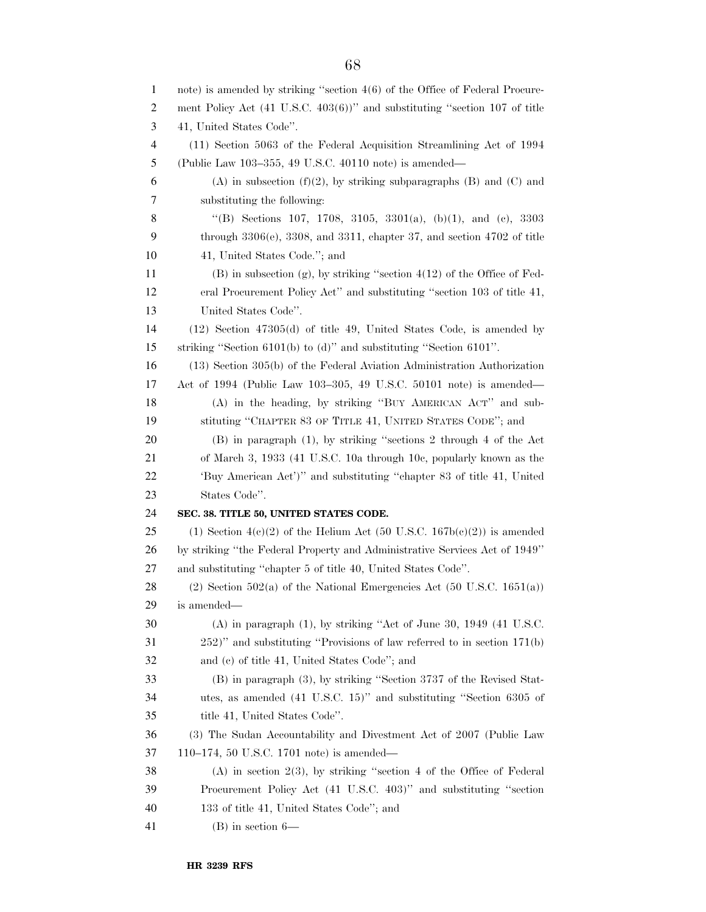| $\mathbf{1}$   | note) is amended by striking "section $4(6)$ of the Office of Federal Procure-         |
|----------------|----------------------------------------------------------------------------------------|
| 2              | ment Policy Act $(41 \text{ U.S.C. } 403(6))$ " and substituting "section 107 of title |
| 3              | 41, United States Code".                                                               |
| $\overline{4}$ | (11) Section 5063 of the Federal Acquisition Streamlining Act of 1994                  |
| 5              | (Public Law 103-355, 49 U.S.C. 40110 note) is amended—                                 |
| 6              | $(A)$ in subsection $(f)(2)$ , by striking subparagraphs $(B)$ and $(C)$ and           |
| 7              | substituting the following:                                                            |
| 8              | "(B) Sections 107, 1708, 3105, 3301(a), (b)(1), and (c), 3303                          |
| 9              | through $3306(e)$ , $3308$ , and $3311$ , chapter 37, and section $4702$ of title      |
| 10             | 41, United States Code."; and                                                          |
| 11             | $(B)$ in subsection $(g)$ , by striking "section $4(12)$ of the Office of Fed-         |
| 12             | eral Procurement Policy Act" and substituting "section 103 of title 41,                |
| 13             | United States Code".                                                                   |
| 14             | $(12)$ Section $47305(d)$ of title 49, United States Code, is amended by               |
| 15             | striking "Section 6101(b) to (d)" and substituting "Section 6101".                     |
| 16             | $(13)$ Section $305(b)$ of the Federal Aviation Administration Authorization           |
| 17             | Act of 1994 (Public Law 103-305, 49 U.S.C. 50101 note) is amended—                     |
| 18             | (A) in the heading, by striking "BUY AMERICAN ACT" and sub-                            |
| 19             | stituting "CHAPTER 83 OF TITLE 41, UNITED STATES CODE"; and                            |
| 20             | $(B)$ in paragraph $(1)$ , by striking "sections 2 through 4 of the Act                |
| 21             | of March 3, 1933 (41 U.S.C. 10a through 10e, popularly known as the                    |
| 22             | 'Buy American Act')" and substituting "chapter 83 of title 41, United                  |
| 23             | States Code".                                                                          |
| 24             | SEC. 38. TITLE 50, UNITED STATES CODE.                                                 |
| 25             | (1) Section $4(c)(2)$ of the Helium Act (50 U.S.C. 167b(c)(2)) is amended              |
| 26             | by striking "the Federal Property and Administrative Services Act of 1949"             |
| 27             | and substituting "chapter 5 of title 40, United States Code".                          |
| 28             | $(2)$ Section 502(a) of the National Emergencies Act (50 U.S.C. 1651(a))               |
| 29             | is amended—                                                                            |
| 30             | $(A)$ in paragraph $(1)$ , by striking "Act of June 30, 1949 $(41 \text{ U.S.C.})$     |
| 31             | $(252)$ " and substituting "Provisions of law referred to in section $171(b)$          |
| 32             | and (c) of title 41, United States Code"; and                                          |
| 33             | (B) in paragraph (3), by striking "Section 3737 of the Revised Stat-                   |
| 34             | utes, as amended (41 U.S.C. 15)" and substituting "Section 6305 of                     |
| 35             | title 41, United States Code".                                                         |
| 36             | (3) The Sudan Accountability and Divestment Act of 2007 (Public Law                    |
| 37             | 110–174, 50 U.S.C. 1701 note) is amended—                                              |
| 38             | $(A)$ in section 2(3), by striking "section 4 of the Office of Federal                 |
| 39             | Procurement Policy Act (41 U.S.C. 403)" and substituting "section                      |
| 40             | 133 of title 41, United States Code"; and                                              |
| 41             | $(B)$ in section $6-$                                                                  |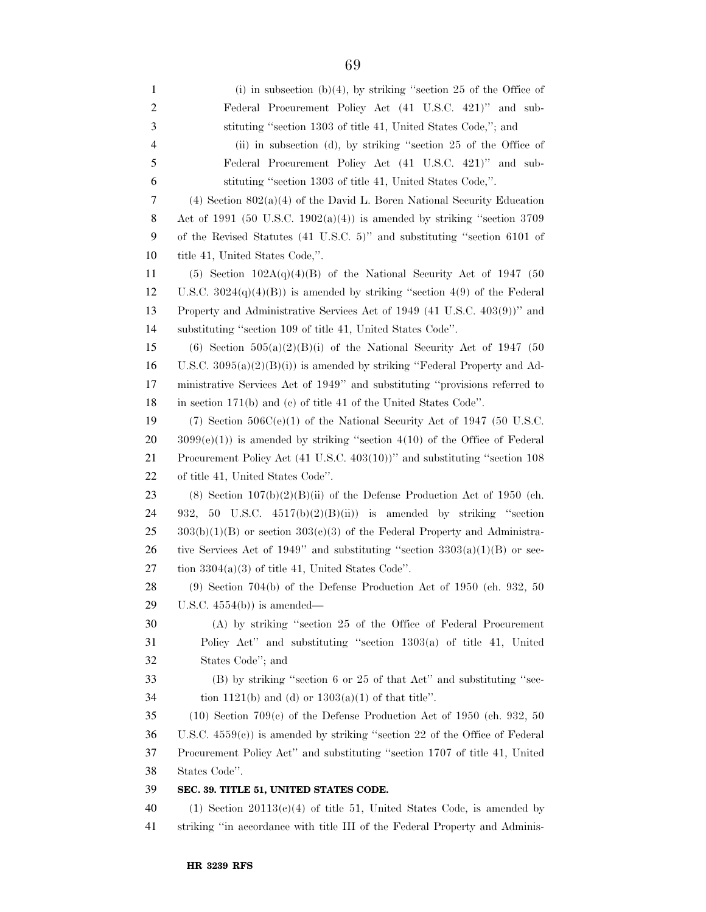(i) in subsection (b)(4), by striking ''section 25 of the Office of Federal Procurement Policy Act (41 U.S.C. 421)'' and sub- stituting ''section 1303 of title 41, United States Code,''; and (ii) in subsection (d), by striking ''section 25 of the Office of Federal Procurement Policy Act (41 U.S.C. 421)'' and sub- stituting ''section 1303 of title 41, United States Code,''. (4) Section 802(a)(4) of the David L. Boren National Security Education 8 Act of 1991 (50 U.S.C. 1902(a)(4)) is amended by striking "section 3709 of the Revised Statutes (41 U.S.C. 5)'' and substituting ''section 6101 of title 41, United States Code,''. 11 (5) Section  $102A(q)(4)(B)$  of the National Security Act of 1947 (50 12 U.S.C.  $3024(q)(4)(B)$  is amended by striking "section 4(9) of the Federal Property and Administrative Services Act of 1949 (41 U.S.C. 403(9))'' and substituting ''section 109 of title 41, United States Code''. (6) Section 505(a)(2)(B)(i) of the National Security Act of 1947 (50 16 U.S.C.  $3095(a)(2)(B)(i)$  is amended by striking "Federal Property and Ad- ministrative Services Act of 1949'' and substituting ''provisions referred to in section 171(b) and (c) of title 41 of the United States Code''. 19 (7) Section  $506C(e)(1)$  of the National Security Act of 1947 (50 U.S.C.  $20 \quad 3099(e)(1)$  is amended by striking "section  $4(10)$  of the Office of Federal Procurement Policy Act (41 U.S.C. 403(10))'' and substituting ''section 108 of title 41, United States Code''. 23 (8) Section  $107(b)(2)(B)(ii)$  of the Defense Production Act of 1950 (ch. 24 932, 50 U.S.C.  $4517(b)(2)(B(ii))$  is amended by striking "section 303(b)(1)(B) or section 303(c)(3) of the Federal Property and Administra-26 tive Services Act of 1949" and substituting "section  $3303(a)(1)(B)$  or sec-27 tion  $3304(a)(3)$  of title 41, United States Code". (9) Section 704(b) of the Defense Production Act of 1950 (ch. 932, 50 U.S.C. 4554(b)) is amended— (A) by striking ''section 25 of the Office of Federal Procurement Policy Act'' and substituting ''section 1303(a) of title 41, United States Code''; and (B) by striking ''section 6 or 25 of that Act'' and substituting ''sec-34 tion 1121(b) and (d) or  $1303(a)(1)$  of that title". (10) Section 709(c) of the Defense Production Act of 1950 (ch. 932, 50 U.S.C. 4559(c)) is amended by striking ''section 22 of the Office of Federal Procurement Policy Act'' and substituting ''section 1707 of title 41, United States Code''. **SEC. 39. TITLE 51, UNITED STATES CODE.**  40 (1) Section 20113(c)(4) of title 51, United States Code, is amended by striking ''in accordance with title III of the Federal Property and Adminis